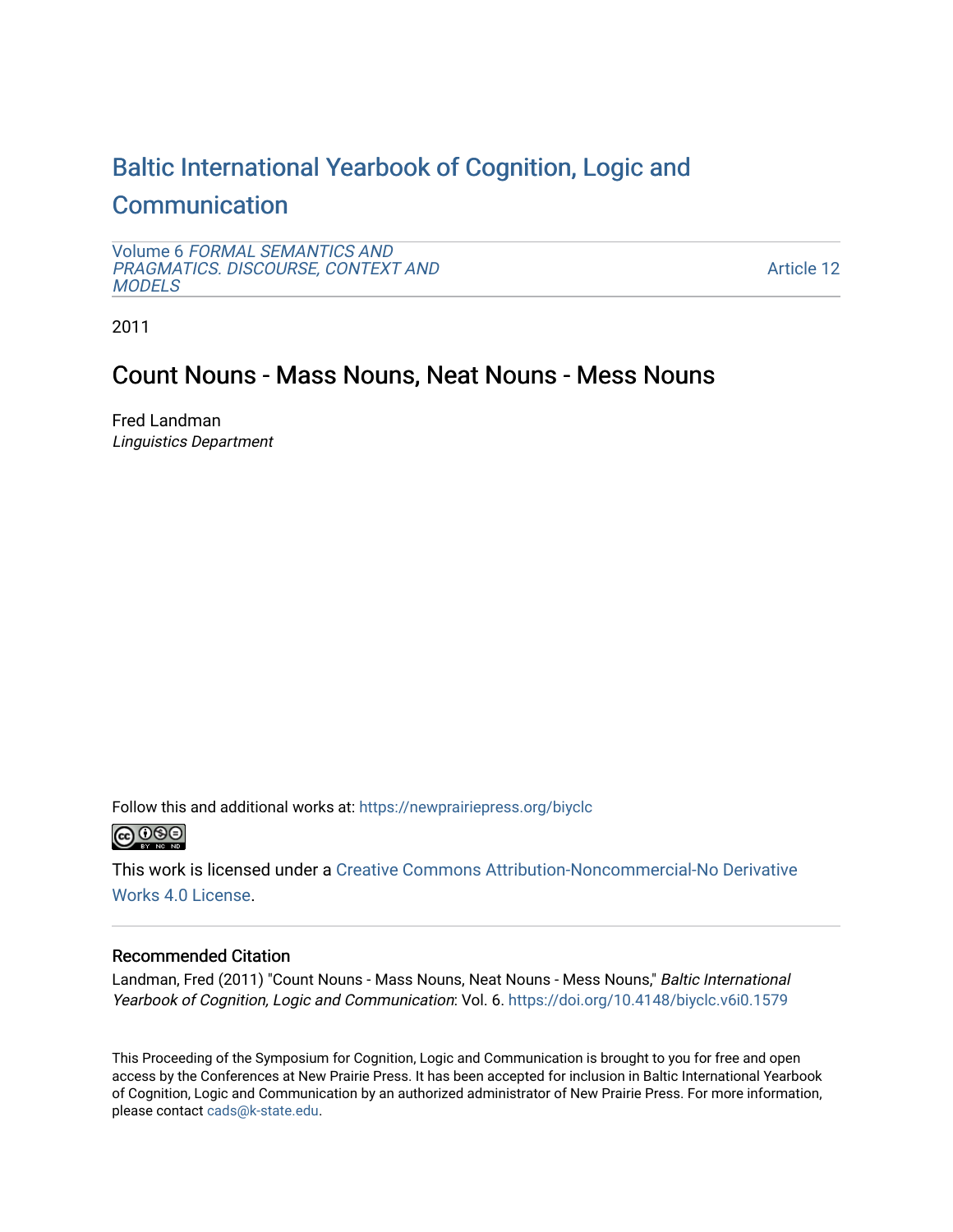# [Baltic International Yearbook of Cognition, Logic and](https://newprairiepress.org/biyclc)  **[Communication](https://newprairiepress.org/biyclc)**

Volume 6 [FORMAL SEMANTICS AND](https://newprairiepress.org/biyclc/vol6) [PRAGMATICS. DISCOURSE, CONTEXT AND](https://newprairiepress.org/biyclc/vol6)  **[MODELS](https://newprairiepress.org/biyclc/vol6)** 

[Article 12](https://newprairiepress.org/biyclc/vol6/iss1/12) 

2011

# Count Nouns - Mass Nouns, Neat Nouns - Mess Nouns

Fred Landman Linguistics Department

Follow this and additional works at: [https://newprairiepress.org/biyclc](https://newprairiepress.org/biyclc?utm_source=newprairiepress.org%2Fbiyclc%2Fvol6%2Fiss1%2F12&utm_medium=PDF&utm_campaign=PDFCoverPages) 



This work is licensed under a [Creative Commons Attribution-Noncommercial-No Derivative](https://creativecommons.org/licenses/by-nc-nd/4.0/)  [Works 4.0 License](https://creativecommons.org/licenses/by-nc-nd/4.0/).

# Recommended Citation

Landman, Fred (2011) "Count Nouns - Mass Nouns, Neat Nouns - Mess Nouns," Baltic International Yearbook of Cognition, Logic and Communication: Vol. 6. https://doi.org/10.4148/biyclc.v6i0.1579

This Proceeding of the Symposium for Cognition, Logic and Communication is brought to you for free and open access by the Conferences at New Prairie Press. It has been accepted for inclusion in Baltic International Yearbook of Cognition, Logic and Communication by an authorized administrator of New Prairie Press. For more information, please contact [cads@k-state.edu.](mailto:cads@k-state.edu)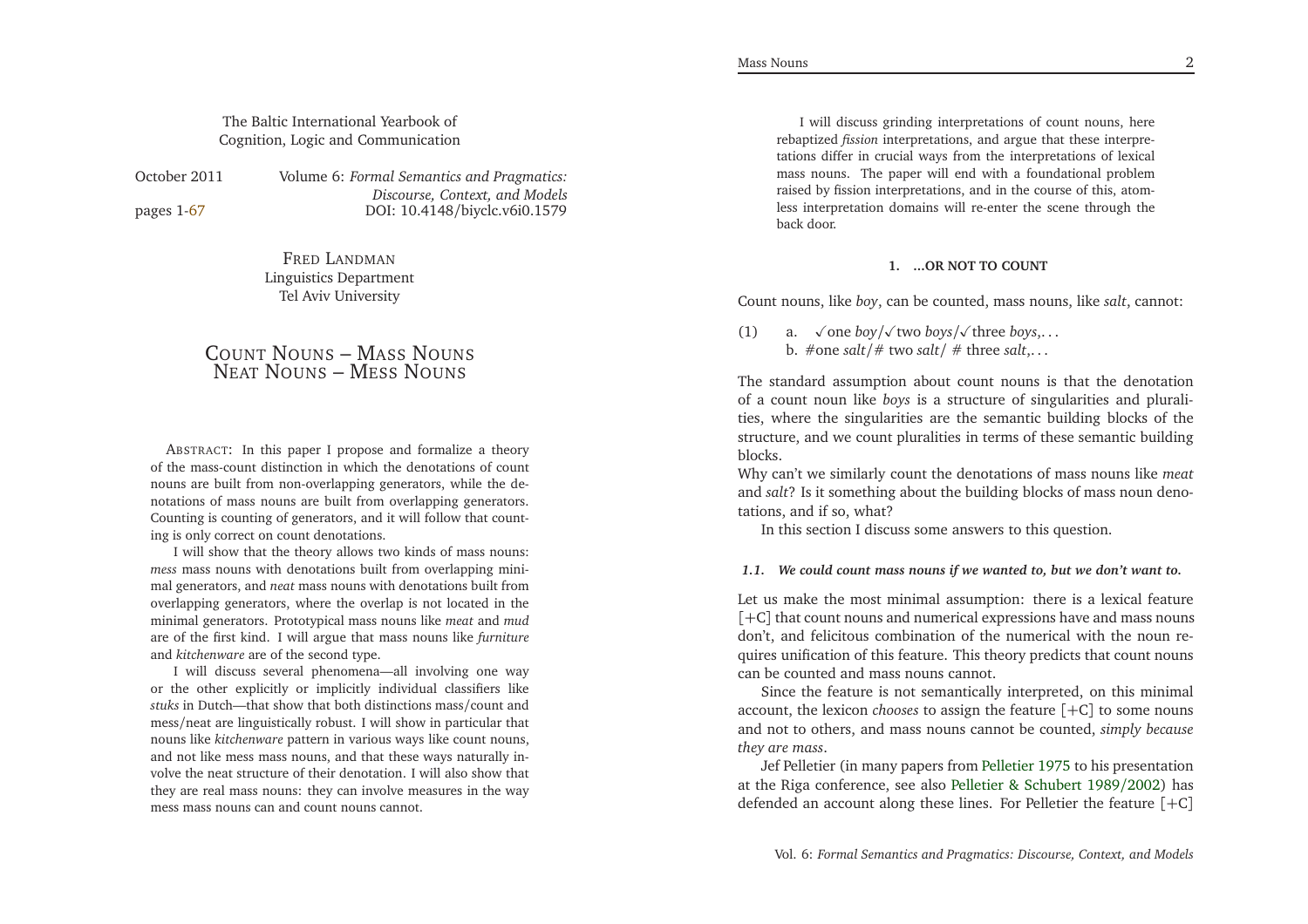# The Baltic International Yearbook ofCognition, Logic and Communication

pages 1[-67](#page-34-0)

October <sup>2011</sup> Volume 6: *Formal Semantics and Pragmatics: Discourse, Context, and Models*DOI: 10.4148/biyclc.v6i0.1579

> FRED <sup>L</sup>ANDMAN Linguistics DepartmentTel Aviv University

# COUNT <sup>N</sup>OUNS – <sup>M</sup>ASS <sup>N</sup>OUNS NEAT <sup>N</sup>OUNS – <sup>M</sup>ESS <sup>N</sup>OUNS

ABSTRACT: In this paper <sup>I</sup> propose and formalize <sup>a</sup> theory of the mass-count distinction in which the denotations of count nouns are built from non-overlapping generators, while the denotations of mass nouns are built from overlapping generators. Counting is counting of generators, and it will follow that counting is only correct on count denotations.

<sup>I</sup> will show that the theory allows two kinds of mass nouns: *mess* mass nouns with denotations built from overlapping minimal generators, and *neat* mass nouns with denotations built from overlapping generators, where the overlap is not located in the minimal generators. Prototypical mass nouns like *meat* and *mud* are of the first kind. <sup>I</sup> will argue that mass nouns like *furniture* and *kitchenware* are of the second type.

<sup>I</sup> will discuss several <sup>p</sup>henomena—all involving one way or the other explicitly or implicitly individual classifiers like *stuks* in Dutch—that show that both distinctions mass/count and mess/neat are linguistically robust. <sup>I</sup> will show in particular that nouns like *kitchenware* pattern in various ways like count nouns, and not like mess mass nouns, and that these ways naturally in volve the neat structure of their denotation. <sup>I</sup> will also show that they are real mass nouns: they can involve measures in the waymess mass nouns can and count nouns cannot.

<sup>I</sup> will discuss grinding interpretations of count nouns, here rebaptized *fission* interpretations, and argue that these interpretations differ in crucial ways from the interpretations of lexical mass nouns. The paper will end with <sup>a</sup> foundational problem raised by fission interpretations, and in the course of this, atomless interpretation domains will re-enter the scene through theback door.

### **1. ...OR NOT TO COUNT**

Count nouns, like *boy*, can be counted, mass nouns, like *salt*, cannot:

(1) a.  $\sqrt{\text{one }} \text{boy}/\sqrt{\text{two }} \text{ boys}/\sqrt{\text{three }} \text{ boys}, \dots$ b. #one *salt*/# two *salt*/ # three *salt*,. . .

The standard assumption about count nouns is that the denotation of <sup>a</sup> count noun like *boys* is <sup>a</sup> structure of singularities and <sup>p</sup>luralities, where the singularities are the semantic building blocks of the structure, and we count <sup>p</sup>luralities in terms of these semantic buildingblocks.

Why can't we similarly count the denotations of mass nouns like *meat* and *salt*? Is it something about the building blocks of mass noun denotations, and if so, what?

In this section <sup>I</sup> discuss some answers to this question.

#### 1.1. We could count mass nouns if we wanted to, but we don't want to.

Let us make the most minimal assumption: there is <sup>a</sup> lexical feature [+C] that count nouns and numerical expressions have and mass nouns don't, and felicitous combination of the numerical with the noun requires unification of this feature. This theory predicts that count nounscan be counted and mass nouns cannot.

Since the feature is not semantically interpreted, on this minimalaccount, the lexicon *chooses* to assign the feature [+C] to some nouns and not to others, and mass nouns cannot be counted, *simply becausethey are mass*.

Jef Pelletier (in many papers from [Pelletier](#page-34-1) [1975](#page-34-1) to his presentation at the Riga conference, see also Pelletier & [Schubert](#page-34-2) <sup>1989</sup>/[2002](#page-34-2)) has defended an account along these lines. For Pelletier the feature [+C]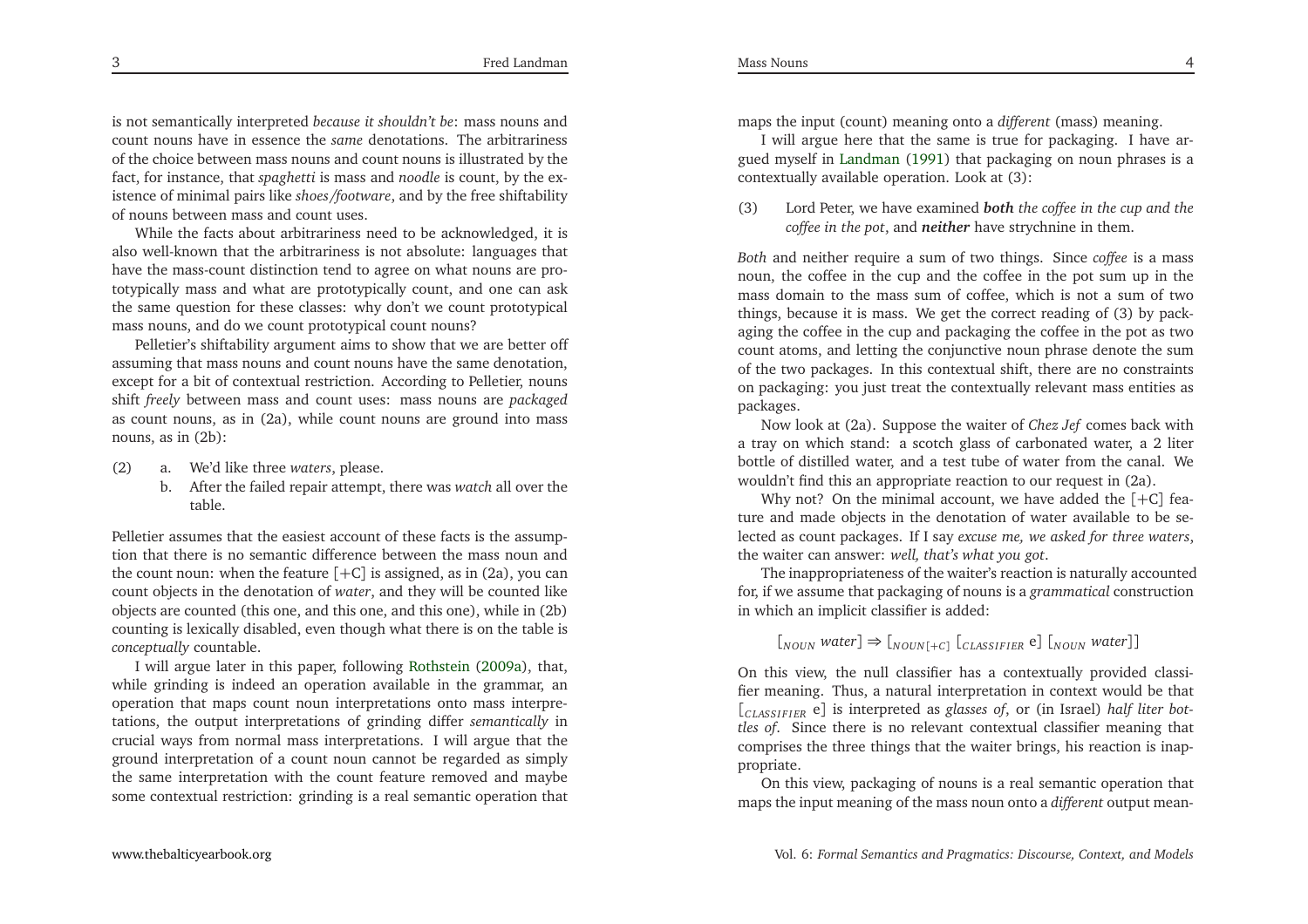is not semantically interpreted *because it shouldn't be*: mass nouns and count nouns have in essence the *same* denotations. The arbitrariness of the choice between mass nouns and count nouns is illustrated by the fact, for instance, that *spaghetti* is mass and *noodle* is count, by the existence of minimal pairs like *shoes /footware*, and by the free shiftabilityof nouns between mass and count uses.

While the facts about arbitrariness need to be acknowledged, it is also well-known that the arbitrariness is not absolute: languages that have the mass-count distinction tend to agree on what nouns are prototypically mass and what are prototypically count, and one can ask the same question for these classes: why don't we count prototypicalmass nouns, and do we count prototypical count nouns?

 Pelletier's shiftability argumen<sup>t</sup> aims to show that we are better off assuming that mass nouns and count nouns have the same denotation, excep<sup>t</sup> for <sup>a</sup> bit of contextual restriction. According to Pelletier, nouns shift *freely* between mass and count uses: mass nouns are *packaged* as count nouns, as in (2a), while count nouns are ground into massnouns, as in (2b):

- (2) a. We'd like three *waters*, <sup>p</sup>lease.
	- b. After the failed repair attempt, there was *watch* all over the table.

Pelletier assumes that the easiest account of these facts is the assumption that there is no semantic difference between the mass noun andthe count noun: when the feature  $[+C]$  is assigned, as in  $(2a)$ , you can count objects in the denotation of *water*, and they will be counted like objects are counted (this one, and this one, and this one), while in (2b) counting is lexically disabled, even though what there is on the table is *conceptually* countable.

<sup>I</sup> will argue later in this paper, following [Rothstein](#page-34-3) [\(2009a](#page-34-3)), that, while grinding is indeed an operation available in the grammar, an operation that maps count noun interpretations onto mass interpretations, the output interpretations of grinding differ *semantically* in crucial ways from normal mass interpretations. <sup>I</sup> will argue that the ground interpretation of <sup>a</sup> count noun cannot be regarded as simply the same interpretation with the count feature removed and maybesome contextual restriction: grinding is <sup>a</sup> real semantic operation that

maps the input (count) meaning onto <sup>a</sup> *different* (mass) meaning.

<sup>I</sup> will argue here that the same is true for packaging. <sup>I</sup> have ar gued myself in [Landman](#page-33-0) [\(1991](#page-33-0)) that packaging on noun <sup>p</sup>hrases is <sup>a</sup> contextually available operation. Look at (3):

(3) Lord Peter, we have examined *both the coffee in the cup and the coffee in the pot*, and *neither* have strychnine in them.

*Both* and neither require <sup>a</sup> sum of two things. Since *coffee* is <sup>a</sup> mass noun, the coffee in the cup and the coffee in the po<sup>t</sup> sum up in the mass domain to the mass sum of coffee, which is not <sup>a</sup> sum of two things, because it is mass. We ge<sup>t</sup> the correct reading of (3) by packaging the coffee in the cup and packaging the coffee in the po<sup>t</sup> as two count atoms, and letting the conjunctive noun <sup>p</sup>hrase denote the sum of the two packages. In this contextual shift, there are no constraints on packaging: you just treat the contextually relevant mass entities as packages.

 Now look at (2a). Suppose the waiter of *Chez Jef* comes back with <sup>a</sup> tray on which stand: <sup>a</sup> scotch <sup>g</sup>lass of carbonated water, <sup>a</sup> <sup>2</sup> liter bottle of distilled water, and <sup>a</sup> test tube of water from the canal. Wewouldn't find this an appropriate reaction to our reques<sup>t</sup> in (2a).

Why not? On the minimal account, we have added the [+C] fea ture and made objects in the denotation of water available to be selected as count packages. If <sup>I</sup> say *excuse me, we asked for three waters*, the waiter can answer: *well, that's what you got*.

The inappropriateness of the waiter's reaction is naturally accounted for, if we assume that packaging of nouns is <sup>a</sup> *grammatical* constructionin which an implicit classifier is added:

# $[I_{\text{NOUN}} \text{ water}] \Rightarrow [I_{\text{NOUN}}[+c] \left[C_{\text{LASSIFIER}} \mathbf{e}\right] [I_{\text{NOUN}} \text{ water}]\text{]}$

On this view, the null classifier has <sup>a</sup> contextually provided classifier meaning. Thus, <sup>a</sup> natural interpretation in context would be that [*<sup>C</sup> LASS <sup>I</sup> <sup>F</sup> <sup>I</sup> ER* <sup>e</sup>] is interpreted as *glasses of*, or (in Israel) *half liter bottles of*. Since there is no relevant contextual classifier meaning that comprises the three things that the waiter brings, his reaction is inappropriate.

On this view, packaging of nouns is <sup>a</sup> real semantic operation that maps the input meaning of the mass noun onto <sup>a</sup> *different* output mean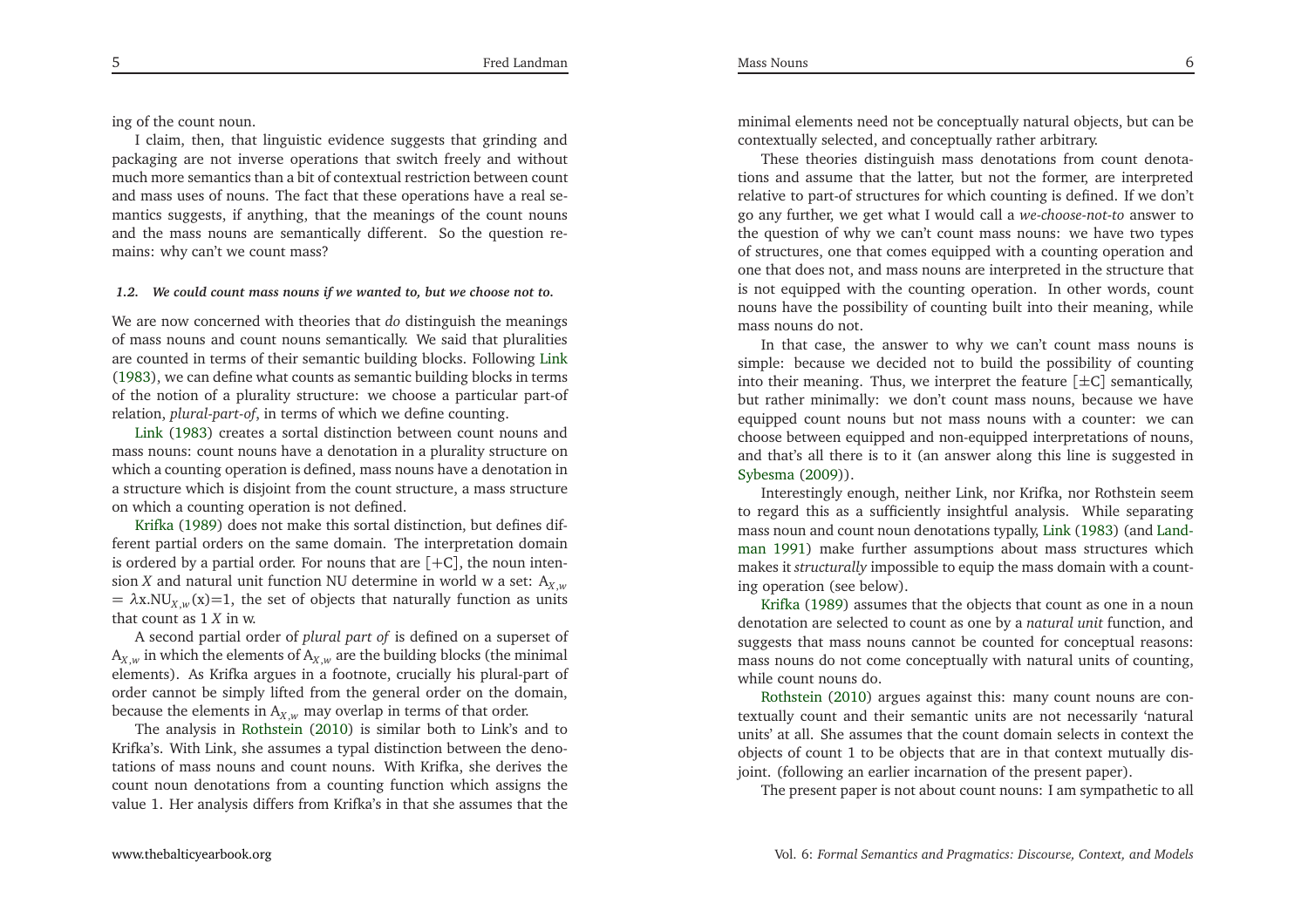ing of the count noun.

<sup>I</sup> claim, then, that linguistic evidence suggests that grinding and packaging are not inverse operations that switch freely and without much more semantics than <sup>a</sup> bit of contextual restriction between count and mass uses of nouns. The fact that these operations have <sup>a</sup> real semantics suggests, if anything, that the meanings of the count nouns and the mass nouns are semantically different. So the question remains: why can't we count mass?

### 1.2. We could count mass nouns if we wanted to, but we choose not to.

We are now concerned with theories that *do* distinguish the meanings of mass nouns and count nouns semantically. We said that <sup>p</sup>luralities are counted in terms of their semantic building blocks. Following [Link](#page-33-1) [\(1983](#page-33-1)), we can define what counts as semantic building blocks in terms of the notion of <sup>a</sup> <sup>p</sup>lurality structure: we choose <sup>a</sup> particular part-ofrelation, *plural-part-of*, in terms of which we define counting.

Link [\(1983](#page-33-1)) creates <sup>a</sup> sortal distinction between count nouns and mass nouns: count nouns have <sup>a</sup> denotation in <sup>a</sup> <sup>p</sup>lurality structure on which <sup>a</sup> counting operation is defined, mass nouns have <sup>a</sup> denotation in <sup>a</sup> structure which is disjoint from the count structure, <sup>a</sup> mass structureonwhich <sup>a</sup> counting operation is not defined.

Krifka [\(1989\)](#page-33-2) does not make this sortal distinction, but defines different partial orders on the same domain. The interpretation domain is ordered by <sup>a</sup> partial order. For nouns that are [+<sup>C</sup>], the noun inten sion*X* and natural unit function NU determine in world <sup>w</sup> <sup>a</sup> set: <sup>A</sup>*<sup>X</sup>* $= \lambda x.NU<sub>X,w</sub>(x)=1$ , the set of objects that naturally function as units that count as <sup>1</sup>*X* in w.

 <sup>A</sup> second partial order of *plural par<sup>t</sup> of* is defined on <sup>a</sup> superse<sup>t</sup> of  $A_{X,w}$  in which the elements of  $A_{X,w}$  are the building blocks (the minimal elements). As Krifka argues in <sup>a</sup> footnote, crucially his <sup>p</sup>lural-part oforder cannot be simply lifted from the general order on the domain, because the elements in  $A_{X,w}$  may overlap in terms of that order.

The analysis in [Rothstein](#page-34-4) [\(2010](#page-34-4)) is similar both to Link's and to Krifka's. With Link, she assumes <sup>a</sup> typal distinction between the denotations of mass nouns and count nouns. With Krifka, she derives the count noun denotations from <sup>a</sup> counting function which assigns thevalue 1. Her analysis differs from Krifka's in that she assumes that the

minimal elements need not be conceptually natural objects, but can becontextually selected, and conceptually rather arbitrary.

Mass Nouns

These theories distinguish mass denotations from count denotations and assume that the latter, but not the former, are interpreted relative to part-of structures for which counting is defined. If we don't go any further, we ge<sup>t</sup> what <sup>I</sup> would call <sup>a</sup> *we-choose-not-to* answer to the question of why we can't count mass nouns: we have two types of structures, one that comes equipped with <sup>a</sup> counting operation and one that does not, and mass nouns are interpreted in the structure that is not equipped with the counting operation. In other words, count nouns have the possibility of counting built into their meaning, whilemass nouns do not.

In that case, the answer to why we can't count mass nouns is simple: because we decided not to build the possibility of countinginto their meaning. Thus, we interpret the feature  $[\pm C]$  semantically, but rather minimally: we don't count mass nouns, because we have equipped count nouns but not mass nouns with <sup>a</sup> counter: we can choose between equipped and non-equipped interpretations of nouns, and that's all there is to it (an answer along this line is suggested in[Sybesma](#page-34-5) [\(2009](#page-34-5))).

Interestingly enough, neither Link, nor Krifka, nor Rothstein seem to regard this as <sup>a</sup> sufficiently insightful analysis. While separating mass noun and count noun denotations t[yp](#page-33-0)all[y,](#page-33-0) [Link](#page-33-1) [\(1983\)](#page-33-1) (and Landman [1991](#page-33-0)) make further assumptions about mass structures which makes it *structurally* impossible to equip the mass domain with <sup>a</sup> countingoperation (see below).

Krifka [\(1989](#page-33-2)) assumes that the objects that count as one in <sup>a</sup> noun denotation are selected to count as one by <sup>a</sup> *natural unit* function, and suggests that mass nouns cannot be counted for conceptual reasons: mass nouns do not come conceptually with natural units of counting, while count nouns do.

Rothstein [\(2010](#page-34-4)) argues against this: many count nouns are contextually count and their semantic units are not necessarily 'natural units' at all. She assumes that the count domain selects in context the objects of count <sup>1</sup> to be objects that are in that context mutually disjoint. (following an earlier incarnation of the presen<sup>t</sup> paper).

The presen<sup>t</sup> paper is not about count nouns: <sup>I</sup> am sympathetic to all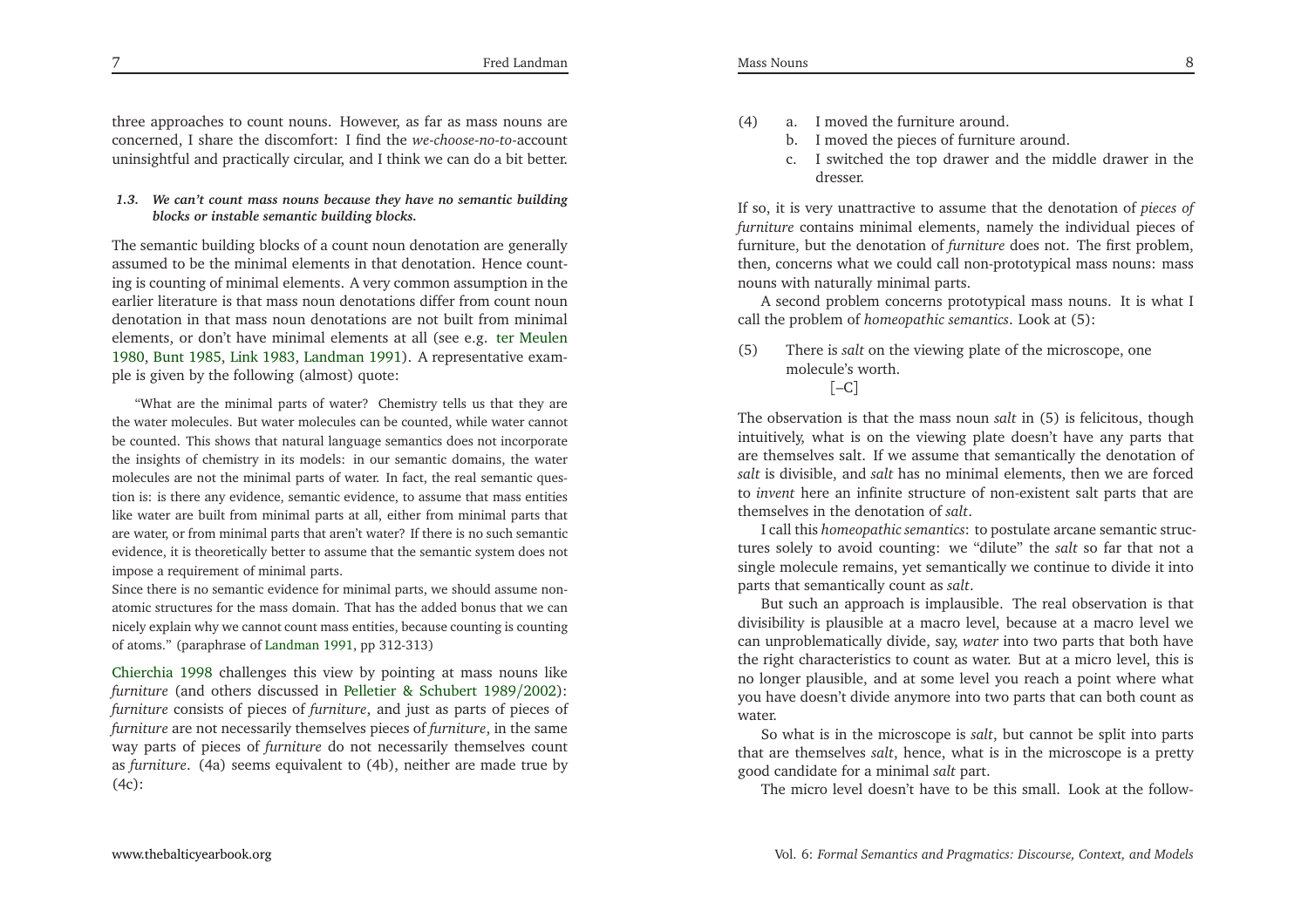three approaches to count nouns. However, as far as mass nouns are concerned, <sup>I</sup> share the discomfort: <sup>I</sup> find the *we-choose-no-to*-account uninsightful and practically circular, and <sup>I</sup> think we can do <sup>a</sup> bit better.

## 1.3. We can't count mass nouns because they have no semantic building *blocks or instable semantic building blocks.*

The semantic building blocks of <sup>a</sup> count noun denotation are generally assumed to be the minimal elements in that denotation. Hence counting is counting of minimal elements. <sup>A</sup> very common assumption in the earlier literature is that mass noun denotations differ from count noun denotation in that mass noun denotations are not built from minimalelements, or don't have minimal elements at all (see e.g. ter [Meulen](#page-34-6) [1980](#page-34-6), [Bunt](#page-33-3) [1985,](#page-33-3) [Link](#page-33-1) [1983](#page-33-1), [Landman](#page-33-0) [1991\)](#page-33-0). <sup>A</sup> representative exam<sup>p</sup>le is <sup>g</sup>iven by the following (almost) quote:

"What are the minimal parts of water? Chemistry tells us that they are the water molecules. But water molecules can be counted, while water cannotbe counted. This shows that natural language semantics does not incorporate the insights of chemistry in its models: in our semantic domains, the water molecules are not the minimal parts of water. In fact, the real semantic question is: is there any evidence, semantic evidence, to assume that mass entities like water are built from minimal parts at all, either from minimal parts that are water, or from minimal parts that aren't water? If there is no such semantic evidence, it is theoretically better to assume that the semantic system does notimpose <sup>a</sup> requirement of minimal parts.

Since there is no semantic evidence for minimal parts, we should assume nonatomic structures for the mass domain. That has the added bonus that we can nicely explain why we cannot count mass entities, because counting is countingof atoms." (paraphrase of [Landman](#page-33-0) [1991](#page-33-0), pp 312-313)

[Chierchia](#page-33-4) [1998](#page-33-4) challenges this view by pointing at mass nouns like *furniture* (and others discussed in Pelletier & [Schubert](#page-34-2) <sup>1989</sup>/[2002](#page-34-2)): *furniture* consists of <sup>p</sup>ieces of *furniture*, and just as parts of <sup>p</sup>ieces of *furniture* are not necessarily themselves <sup>p</sup>ieces of *furniture*, in the same way parts of <sup>p</sup>ieces of *furniture* do not necessarily themselves count as *furniture*. (4a) seems equivalent to (4b), neither are made true by(4c):

- (4) a. <sup>I</sup> moved the furniture around.
	- b. <sup>I</sup> moved the <sup>p</sup>ieces of furniture around.
	- c. <sup>I</sup> switched the top drawer and the middle drawer in thedresser.

If so, it is very unattractive to assume that the denotation of *<sup>p</sup>ieces of furniture* contains minimal elements, namely the individual <sup>p</sup>ieces of furniture, but the denotation of *furniture* does not. The first problem, then, concerns what we could call non-prototypical mass nouns: massnouns with naturally minimal parts.

<sup>A</sup> second problem concerns prototypical mass nouns. It is what <sup>I</sup>call the problem of *homeopathic semantics*. Look at (5):

(5) There is *salt* on the viewing <sup>p</sup>late of the microscope, onemolecule's worth.  $[-C]$ 

The observation is that the mass noun *salt* in (5) is felicitous, though intuitively, what is on the viewing <sup>p</sup>late doesn't have any parts that are themselves salt. If we assume that semantically the denotation of *salt* is divisible, and *salt* has no minimal elements, then we are forced to *invent* here an infinite structure of non-existent salt parts that are themselves in the denotation of *salt*.

<sup>I</sup> call this *homeopathic semantics*: to postulate arcane semantic structures solely to avoid counting: we "dilute" the *salt* so far that not <sup>a</sup> single molecule remains, ye<sup>t</sup> semantically we continue to divide it intoparts that semantically count as *salt*.

But such an approach is implausible. The real observation is that divisibility is <sup>p</sup>lausible at <sup>a</sup> macro level, because at <sup>a</sup> macro level we can unproblematically divide, say, *water* into two parts that both have the right characteristics to count as water. But at <sup>a</sup> micro level, this is no longer <sup>p</sup>lausible, and at some level you reach <sup>a</sup> point where what you have doesn't divide anymore into two parts that can both count aswater.

So what is in the microscope is *salt*, but cannot be split into parts that are themselves *salt*, hence, what is in the microscope is <sup>a</sup> prettygood candidate for <sup>a</sup> minimal *salt* part.

The micro level doesn't have to be this small. Look at the follow-

7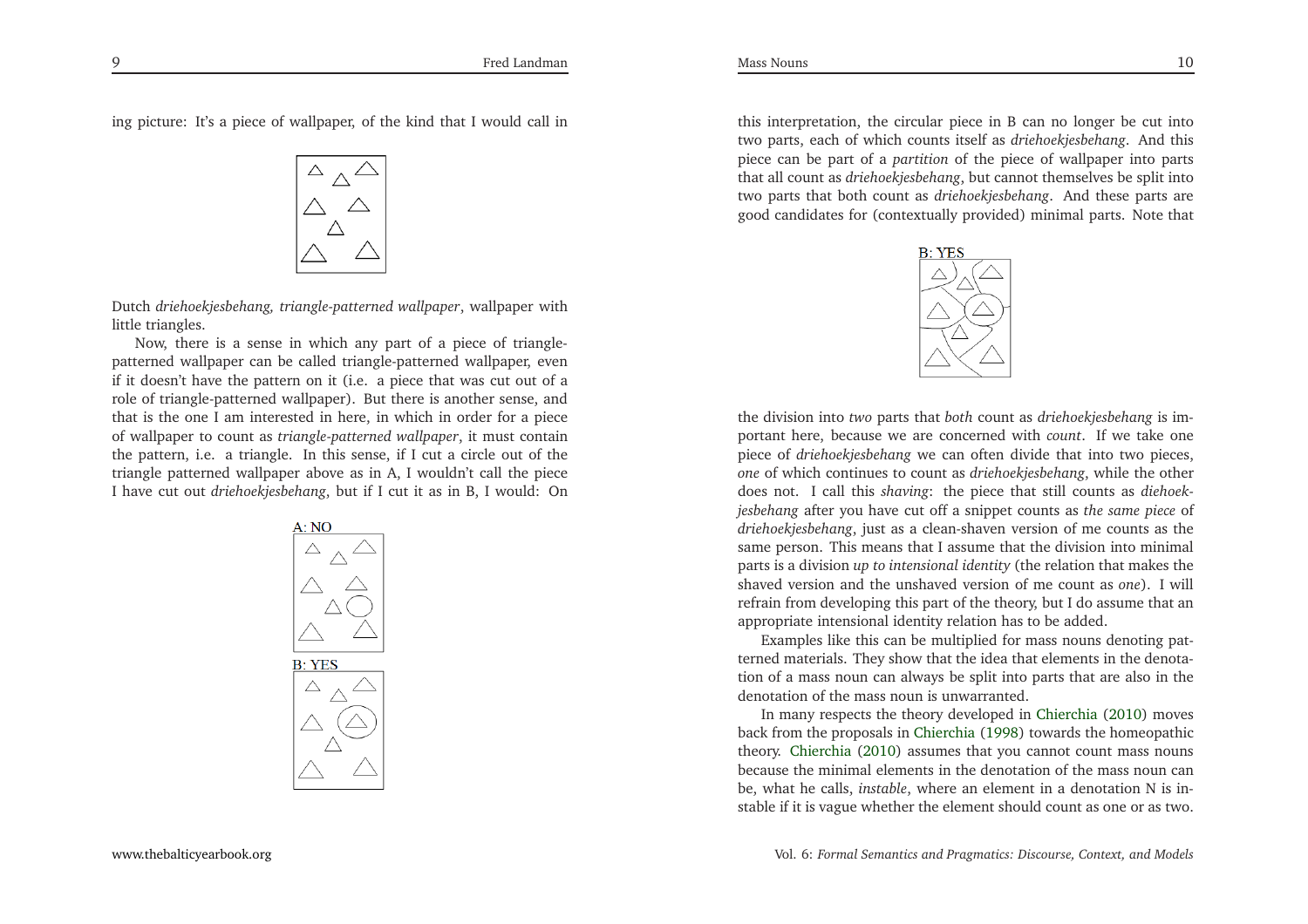ing <sup>p</sup>icture: It's <sup>a</sup> <sup>p</sup>iece of wallpaper, of the kind that <sup>I</sup> would call in



Dutch *driehoekjesbehang, triangle-patterned wallpaper*, wallpaper with little triangles.

Now, there is <sup>a</sup> sense in which any par<sup>t</sup> of <sup>a</sup> <sup>p</sup>iece of trianglepatterned wallpaper can be called triangle-patterned wallpaper, even if it doesn't have the pattern on it (i.e. <sup>a</sup> <sup>p</sup>iece that was cut out of <sup>a</sup> role of triangle-patterned wallpaper). But there is another sense, and that is the one <sup>I</sup> am interested in here, in which in order for <sup>a</sup> <sup>p</sup>iece of wallpaper to count as *triangle-patterned wallpaper*, it must contain the pattern, i.e. <sup>a</sup> triangle. In this sense, if <sup>I</sup> cut <sup>a</sup> circle out of the triangle patterned wallpaper above as in A, <sup>I</sup> wouldn't call the <sup>p</sup>iece<sup>I</sup> have cut out *driehoekjesbehang*, but if <sup>I</sup> cut it as in B, <sup>I</sup> would: On



this interpretation, the circular <sup>p</sup>iece in <sup>B</sup> can no longer be cut into two parts, each of which counts itself as *driehoekjesbehang*. And this <sup>p</sup>iece can be par<sup>t</sup> of <sup>a</sup> *partition* of the <sup>p</sup>iece of wallpaper into parts that all count as *driehoekjesbehang*, but cannot themselves be split into two parts that both count as *driehoekjesbehang*. And these parts aregood candidates for (contextually provided) minimal parts. Note that



the division into *two* parts that *both* count as *driehoekjesbehang* is important here, because we are concerned with *count*. If we take one <sup>p</sup>iece of *driehoekjesbehang* we can often divide that into two <sup>p</sup>ieces, *one* of which continues to count as *driehoekjesbehang*, while the other does not. <sup>I</sup> call this *shaving*: the <sup>p</sup>iece that still counts as *diehoekjesbehang* after you have cut off <sup>a</sup> snippet counts as *the same <sup>p</sup>iece* of *driehoekjesbehang*, just as <sup>a</sup> clean-shaven version of me counts as the same person. This means that <sup>I</sup> assume that the division into minimal parts is <sup>a</sup> division *up to intensional identity* (the relation that makes the shaved version and the unshaved version of me count as *one*). <sup>I</sup> will refrain from developing this par<sup>t</sup> of the theory, but <sup>I</sup> do assume that anappropriate intensional identity relation has to be added.

Examples like this can be multiplied for mass nouns denoting patterned materials. They show that the idea that elements in the denotation of <sup>a</sup> mass noun can always be split into parts that are also in the denotation of the mass noun is unwarranted.

In many respects the theory developed in [Chierchia](#page-33-5) [\(2010](#page-33-5)) moves back from the proposals in [Chierchia](#page-33-4) [\(1998\)](#page-33-4) towards the homeopathic theory. [Chierchia](#page-33-5) [\(2010\)](#page-33-5) assumes that you cannot count mass nouns because the minimal elements in the denotation of the mass noun can be, what he calls, *instable*, where an element in <sup>a</sup> denotation <sup>N</sup> is instable if it is vague whether the element should count as one or as two.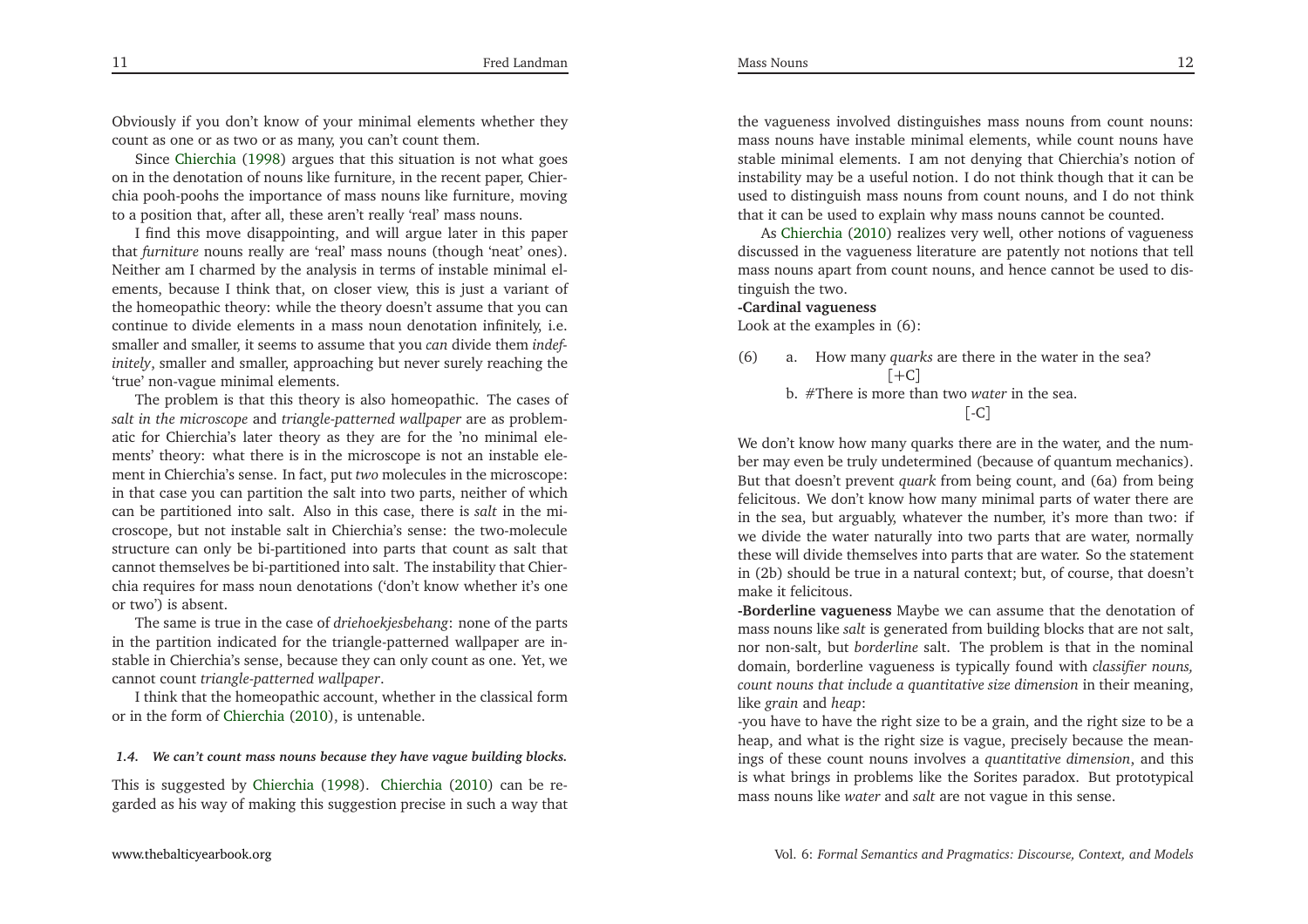Mass Nouns

Obviously if you don't know of your minimal elements whether theycount as one or as two or as many, you can't count them.

Since [Chierchia](#page-33-4) [\(1998](#page-33-4)) argues that this situation is not what goes on in the denotation of nouns like furniture, in the recent paper, Chierchia pooh-poohs the importance of mass nouns like furniture, movingto a position that, after all, these aren't really 'real' mass nouns.

<sup>I</sup> find this move disappointing, and will argue later in this paper that *furniture* nouns really are 'real' mass nouns (though 'neat' ones). Neither am <sup>I</sup> charmed by the analysis in terms of instable minimal elements, because <sup>I</sup> think that, on closer view, this is just <sup>a</sup> variant of the homeopathic theory: while the theory doesn't assume that you can continue to divide elements in <sup>a</sup> mass noun denotation infinitely, i.e. smaller and smaller, it seems to assume that you *can* divide them *indefinitely*, smaller and smaller, approaching but never surely reaching the'true' non-vague minimal elements.

The problem is that this theory is also homeopathic. The cases of *salt in the microscope* and *triangle-patterned wallpaper* are as problematic for Chierchia's later theory as they are for the 'no minimal elements' theory: what there is in the microscope is not an instable element in Chierchia's sense. In fact, pu<sup>t</sup> *two* molecules in the microscope: in that case you can partition the salt into two parts, neither of which can be partitioned into salt. Also in this case, there is *salt* in the microscope, but not instable salt in Chierchia's sense: the two-molecule structure can only be bi-partitioned into parts that count as salt that cannot themselves be bi-partitioned into salt. The instability that Chierchia requires for mass noun denotations ('don't know whether it's oneor two') is absent.

The same is true in the case of *driehoekjesbehang*: none of the parts in the partition indicated for the triangle-patterned wallpaper are instable in Chierchia's sense, because they can only count as one. Yet, wecannot count *triangle-patterned wallpaper*.

<sup>I</sup> think that the homeopathic account, whether in the classical formor in the form of [Chierchia](#page-33-5) [\(2010](#page-33-5)), is untenable.

# 1.4. We can't count mass nouns because they have vague building blocks.

This is suggested by [Chierchia](#page-33-4) [\(1998](#page-33-4)). [Chierchia](#page-33-5) [\(2010](#page-33-5)) can be regarded as his way of making this suggestion precise in such <sup>a</sup> way that

the vagueness involved distinguishes mass nouns from count nouns: mass nouns have instable minimal elements, while count nouns have stable minimal elements. <sup>I</sup> am not denying that Chierchia's notion of instability may be <sup>a</sup> useful notion. <sup>I</sup> do not think though that it can be used to distinguish mass nouns from count nouns, and <sup>I</sup> do not thinkthat it can be used to explain why mass nouns cannot be counted.

As [Chierchia](#page-33-5) [\(2010](#page-33-5)) realizes very well, other notions of vagueness discussed in the vagueness literature are patently not notions that tell mass nouns apar<sup>t</sup> from count nouns, and hence cannot be used to distinguish the two.

### **-Cardinal vagueness**

Look at the examples in (6):

(6) a. How many *quarks* are there in the water in the sea?  $[+C]$  b. #There is more than two *water* in the sea.  $\lceil -C \rceil$ 

We don't know how many quarks there are in the water, and the number may even be truly undetermined (because of quantum mechanics). But that doesn't preven<sup>t</sup> *quar<sup>k</sup>* from being count, and (6a) from being felicitous. We don't know how many minimal parts of water there are in the sea, but arguably, whatever the number, it's more than two: if we divide the water naturally into two parts that are water, normally these will divide themselves into parts that are water. So the statement in (2b) should be true in <sup>a</sup> natural context; but, of course, that doesn'tmake it felicitous.

**-Borderline vagueness** Maybe we can assume that the denotation of mass nouns like *salt* is generated from building blocks that are not salt, nor non-salt, but *borderline* salt. The problem is that in the nominal domain, borderline vagueness is typically found with *classifier nouns, count nouns that include <sup>a</sup> quantitative size dimension* in their meaning, like *grain* and *heap*:

-you have to have the right size to be <sup>a</sup> grain, and the right size to be <sup>a</sup> heap, and what is the right size is vague, precisely because the meanings of these count nouns involves <sup>a</sup> *quantitative dimension*, and this is what brings in problems like the Sorites paradox. But prototypicalmass nouns like *water* and *salt* are not vague in this sense.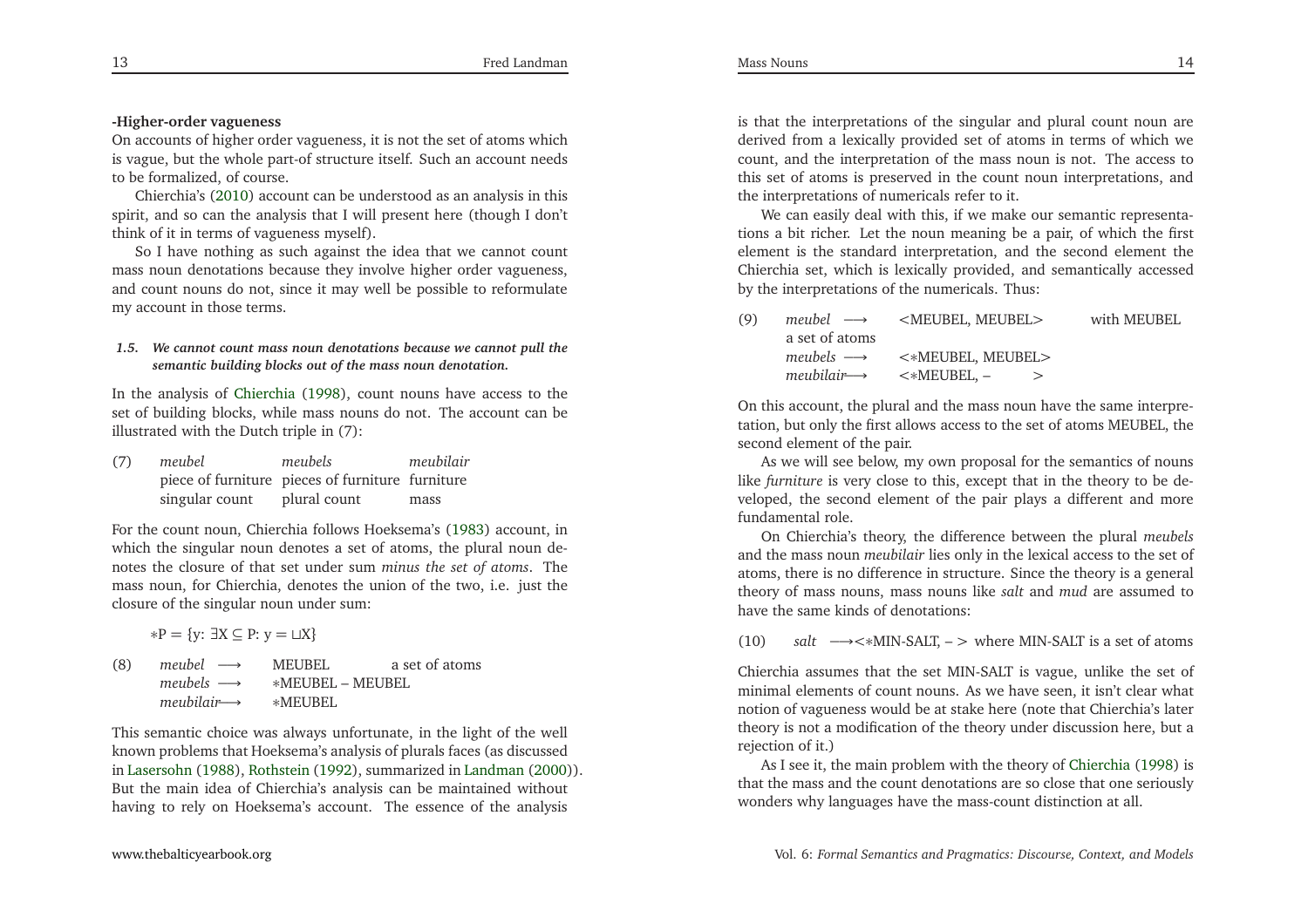# **-Higher-order vagueness**

 On accounts of higher order vagueness, it is not the set of atoms which is vague, but the whole part-of structure itself. Such an account needsto be formalized, of course.

Chierchia's [\(2010](#page-33-5)) account can be understood as an analysis in this spirit, and so can the analysis that <sup>I</sup> will presen<sup>t</sup> here (though <sup>I</sup> don'tthink of it in terms of vagueness myself).

So <sup>I</sup> have nothing as such against the idea that we cannot count mass noun denotations because they involve higher order vagueness, and count nouns do not, since it may well be possible to reformulatemy account in those terms.

### *1.5. We cannot count mass noun denotations because we cannot pull thesemantic building blocks out of the mass noun denotation.*

In the analysis of [Chierchia](#page-33-4) [\(1998](#page-33-4)), count nouns have access to the set of building blocks, while mass nouns do not. The account can beillustrated with the Dutch triple in (7):

| (7) | meubel         | meubels                                          | meubilair |
|-----|----------------|--------------------------------------------------|-----------|
|     |                | piece of furniture pieces of furniture furniture |           |
|     | singular count | plural count                                     | mass      |

For the count noun, Chierchia follows Hoeksema's [\(1983](#page-33-6)) account, in which the singular noun denotes <sup>a</sup> set of atoms, the <sup>p</sup>lural noun denotes the closure of that set under sum *minus the set of atoms*. The mass noun-for Chiarabia denotes the union of the two i.e. just the mass noun, for Chierchia, denotes the union of the two, i.e. just theclosure of the singular noun under sum:

- $*P = \{y: \exists X \subseteq P: y = \Box X\}$
- (8) *meubel* −→ $\rightarrow$  MEUBEL a set of atoms *meubels* $s \longrightarrow \quad *MEUBEL - MEUBEL$ *meubilair*−→ <sup>∗</sup>MEUBEL

This semantic choice was always unfortunate, in the light of the well known problems that Hoeksema's analysis of <sup>p</sup>lurals faces (as discussed in [Lasersohn](#page-33-7) [\(1988](#page-33-7)), [Rothstein](#page-34-7) [\(1992\)](#page-34-7), summarized in [Landman](#page-33-8) [\(2000](#page-33-8))). But the main idea of Chierchia's analysis can be maintained withouthaving to rely on Hoeksema's account. The essence of the analysis

is that the interpretations of the singular and <sup>p</sup>lural count noun are derived from <sup>a</sup> lexically provided set of atoms in terms of which we count, and the interpretation of the mass noun is not. The access to this set of atoms is preserved in the count noun interpretations, andthe interpretations of numericals refer to it.

We can easily deal with this, if we make our semantic representations <sup>a</sup> bit richer. Let the noun meaning be <sup>a</sup> pair, of which the first element is the standard interpretation, and the second element the Chierchia set, which is lexically provided, and semantically accessedby the interpretations of the numericals. Thus:

| (9) |                | $meubel \rightarrow \text{KUEUBEL}, \text{MEUBEL}$                                                | with MEUBEL |
|-----|----------------|---------------------------------------------------------------------------------------------------|-------------|
|     | a set of atoms |                                                                                                   |             |
|     |                | $meubes \longrightarrow \Leftrightarrow$ $\prec\ast$ MEUBEL, MEUBEL>                              |             |
|     |                | $meubilair \longrightarrow \qquad \Longleftrightarrow \qquad \leq \text{MEUBEL}, \qquad \qquad >$ |             |
|     |                |                                                                                                   |             |

On this account, the <sup>p</sup>lural and the mass noun have the same interpretation, but only the first allows access to the set of atoms MEUBEL, thesecond element of the pair.

As we will see below, my own proposal for the semantics of nouns like *furniture* is very close to this, excep<sup>t</sup> that in the theory to be developed, the second element of the pair <sup>p</sup>lays <sup>a</sup> different and more fundamental role.

On Chierchia's theory, the difference between the <sup>p</sup>lural *meubels* and the mass noun *meubilair* lies only in the lexical access to the set of atoms, there is no difference in structure. Since the theory is <sup>a</sup> genera<sup>l</sup> theory of mass nouns, mass nouns like *salt* and *mud* are assumed to have the same kinds of denotations:

(10)*salt* −→<∗MIN-SALT, – <sup>&</sup>gt; where MIN-SALT is <sup>a</sup> set of atoms

Chierchia assumes that the set MIN-SALT is vague, unlike the set of minimal elements of count nouns. As we have seen, it isn't clear what notion of vagueness would be at stake here (note that Chierchia's later theory is not <sup>a</sup> modification of the theory under discussion here, but <sup>a</sup>rejection of it.)

 As <sup>I</sup> see it, the main problem with the theory of [Chierchia](#page-33-4) [\(1998](#page-33-4)) is that the mass and the count denotations are so close that one seriouslywonders why languages have the mass-count distinction at all.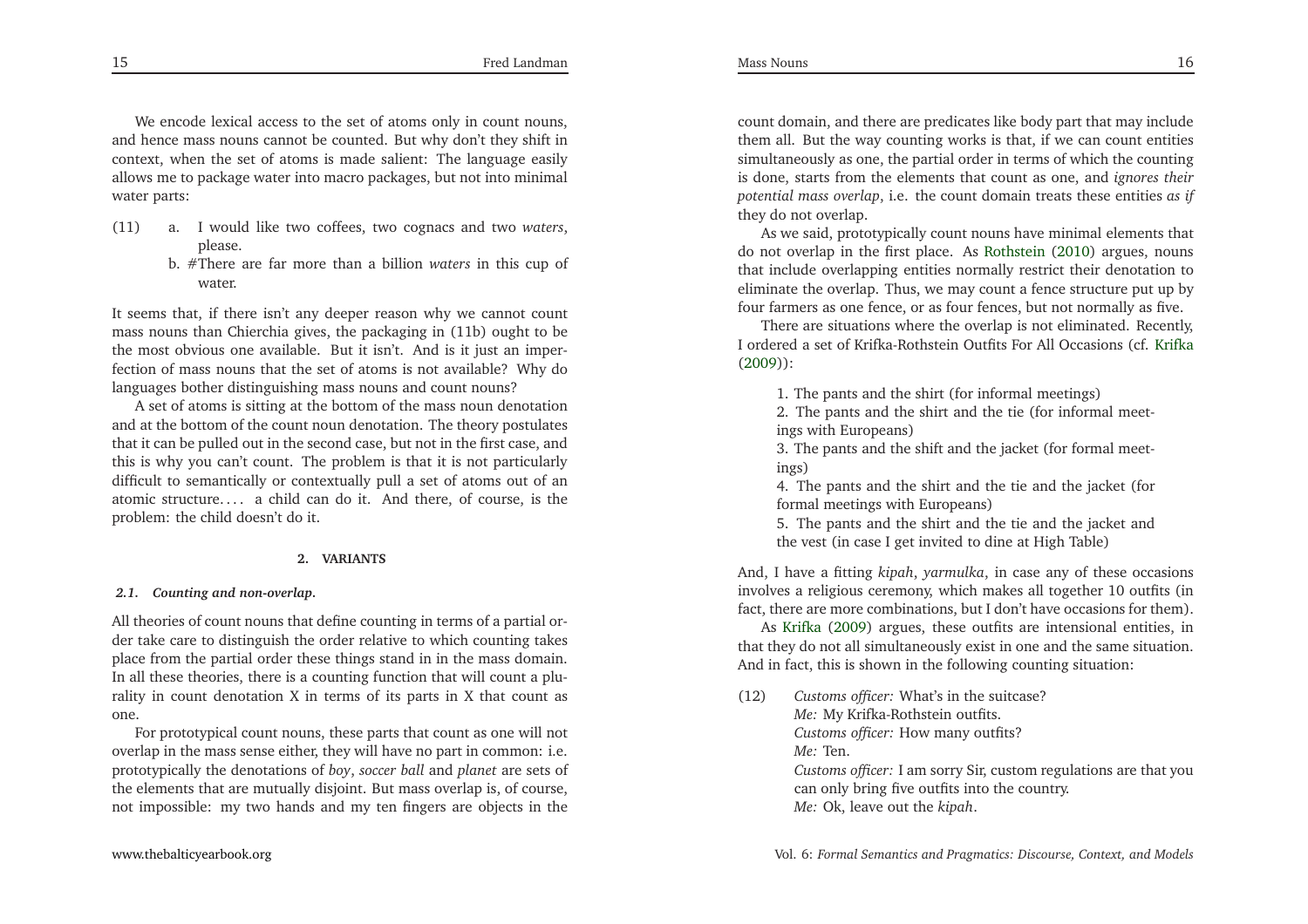We encode lexical access to the set of atoms only in count nouns, and hence mass nouns cannot be counted. But why don't they shift in context, when the set of atoms is made salient: The language easily allows me to package water into macro packages, but not into minimalwater parts:

- (11) a. <sup>I</sup> would like two coffees, two cognacs and two *waters*, please.
	- b. #There are far more than <sup>a</sup> billion *waters* in this cup of water

It seems that, if there isn't any deeper reason why we cannot count mass nouns than Chierchia <sup>g</sup>ives, the packaging in (11b) ought to be the most obvious one available. But it isn't. And is it just an imperfection of mass nouns that the set of atoms is not available? Why dolanguages bother distinguishing mass nouns and count nouns?

 <sup>A</sup> set of atoms is sitting at the bottom of the mass noun denotation and at the bottom of the count noun denotation. The theory postulates that it can be pulled out in the second case, but not in the first case, and this is why you can't count. The problem is that it is not particularly difficult to semantically or contextually pull <sup>a</sup> set of atoms out of an atomic structure. . . . <sup>a</sup> child can do it. And there, of course, is theproblem: the child doesn't do it.

### **2. VARIANTS**

### *2.1. Counting and non-overlap.*

All theories of count nouns that define counting in terms of <sup>a</sup> partial order take care to distinguish the order relative to which counting takes <sup>p</sup>lace from the partial order these things stand in in the mass domain. In all these theories, there is <sup>a</sup> counting function that will count <sup>a</sup> <sup>p</sup>lurality in count denotation <sup>X</sup> in terms of its parts in <sup>X</sup> that count asone.

 For prototypical count nouns, these parts that count as one will not overlap in the mass sense either, they will have no par<sup>t</sup> in common: i.e. prototypically the denotations of *boy*, *soccer ball* and *planet* are sets of the elements that are mutually disjoint. But mass overlap is, of course, not impossible: my two hands and my ten fingers are objects in the count domain, and there are predicates like body par<sup>t</sup> that may include them all. But the way counting works is that, if we can count entities simultaneously as one, the partial order in terms of which the counting is done, starts from the elements that count as one, and *ignores their potential mass overlap*, i.e. the count domain treats these entities *as if* they do not overlap.

As we said, prototypically count nouns have minimal elements that do not overlap in the first <sup>p</sup>lace. As [Rothstein](#page-34-4) [\(2010\)](#page-34-4) argues, nouns that include overlapping entities normally restrict their denotation to eliminate the overlap. Thus, we may count <sup>a</sup> fence structure pu<sup>t</sup> up byfour farmers as one fence, or as four fences, but not normally as five.

There are situations where the overlap is not eliminated. Recently, <sup>I</sup> ordered <sup>a</sup> set of Krifka-Rothstein Outfits For All Occasions (cf. [Krifka](#page-33-9)[\(2009](#page-33-9))):

1. The pants and the shirt (for informal meetings)

 2. The pants and the shirt and the tie (for informal meetings with Europeans)

 3. The pants and the shift and the jacket (for formal meetings)

 4. The pants and the shirt and the tie and the jacket (forformal meetings with Europeans)

 5. The pants and the shirt and the tie and the jacket andthe vest (in case <sup>I</sup> ge<sup>t</sup> invited to dine at High Table)

And, <sup>I</sup> have <sup>a</sup> fitting *kipah*, *yarmulka*, in case any of these occasions involves <sup>a</sup> religious ceremony, which makes all together <sup>10</sup> outfits (infact, there are more combinations, but <sup>I</sup> don't have occasions for them).

As [Krifka](#page-33-9) [\(2009](#page-33-9)) argues, these outfits are intensional entities, in that they do not all simultaneously exist in one and the same situation. And in fact, this is shown in the following counting situation:

(12) *Customs officer:* What's in the suitcase?*Me:* My Krifka-Rothstein outfits. *Customs officer:* How many outfits?*Me:* Ten. *Customs officer:* <sup>I</sup> am sorry Sir, custom regulations are that youcan only bring five outfits into the country.

*Me:* Ok, leave out the *kipah*.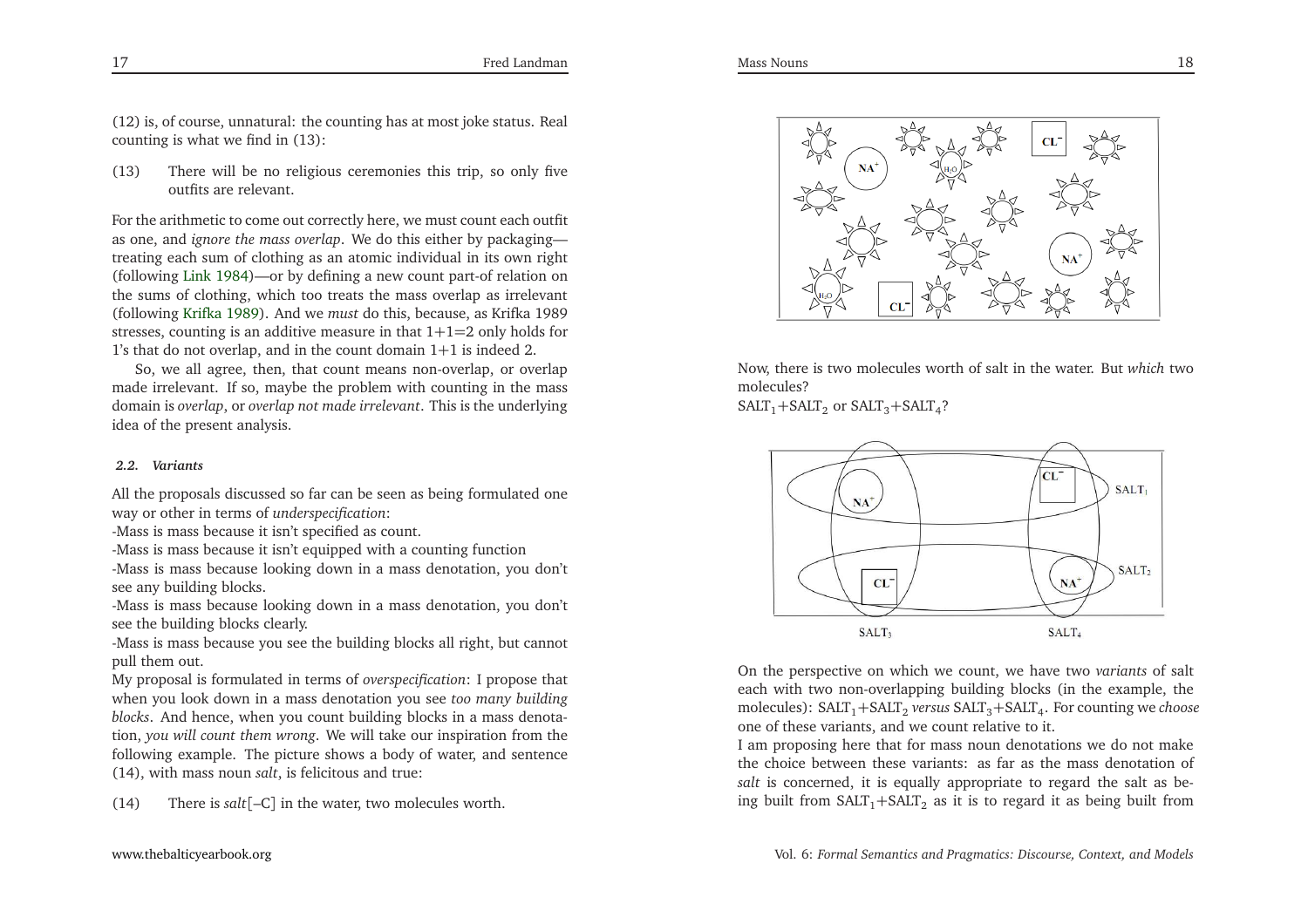(12) is, of course, unnatural: the counting has at most joke status. Realcounting is what we find in (13):

(13) There will be no religious ceremonies this trip, so only five outfits are relevant.

For the arithmetic to come out correctly here, we must count each outfit as one, and *ignore the mass overlap*. We do this either by packaging treating each sum of clothing as an atomic individual in its own right (following [Link](#page-33-10) [1984](#page-33-10))—or by defining <sup>a</sup> new count part-of relation on the sums of clothing, which too treats the mass overlap as irrelevant (following [Krifka](#page-33-2) [1989\)](#page-33-2). And we *must* do this, because, as Krifka <sup>1989</sup> stresses, counting is an additive measure in that <sup>1</sup>+1=<sup>2</sup> only holds for1's that do not overlap, and in the count domain <sup>1</sup>+<sup>1</sup> is indeed 2.

So, we all agree, then, that count means non-overlap, or overlap made irrelevant. If so, maybe the problem with counting in the mass domain is *overlap*, or *overlap not made irrelevant*. This is the underlyingidea of the presen<sup>t</sup> analysis.

### *2.2. Variants*

All the proposals discussed so far can be seen as being formulated oneway or other in terms of *underspecification*:

-Mass is mass because it isn't specified as count.

-Mass is mass because it isn't equipped with <sup>a</sup> counting function

 -Mass is mass because looking down in <sup>a</sup> mass denotation, you don'tsee any building blocks.

-Mass is mass because looking down in <sup>a</sup> mass denotation, you don'tsee the building blocks clearly.

-Mass is mass because you see the building blocks all right, but cannotpull them out.

My proposal is formulated in terms of *overspecification*: <sup>I</sup> propose that when you look down in <sup>a</sup> mass denotation you see *too many building blocks*. And hence, when you count building blocks in <sup>a</sup> mass denotation, *you will count them wrong*. We will take our inspiration from the following example. The <sup>p</sup>icture shows <sup>a</sup> body of water, and sentence(14), with mass noun *salt*, is felicitous and true:

(14) There is *salt*[–C] in the water, two molecules worth.



Now, there is two molecules worth of salt in the water. But *which* two molecules?

 $SALT_1+SALT_2$  or  $SALT_3+SALT_4$ ?



On the perspective on which we count, we have two *variants* of salt each with two non-overlapping building blocks (in the example, themolecules): SALT<sub>1</sub>+SALT<sub>2</sub> *versus* SALT<sub>3</sub>+SALT<sub>4</sub>. For counting we *choose* one of these variants, and we count relative to it.

<sup>I</sup> am proposing here that for mass noun denotations we do not make the choice between these variants: as far as the mass denotation of *salt* is concerned, it is equally appropriate to regard the salt as being built from  $\text{SALT}_1+\text{SALT}_2$  as it is to regard it as being built from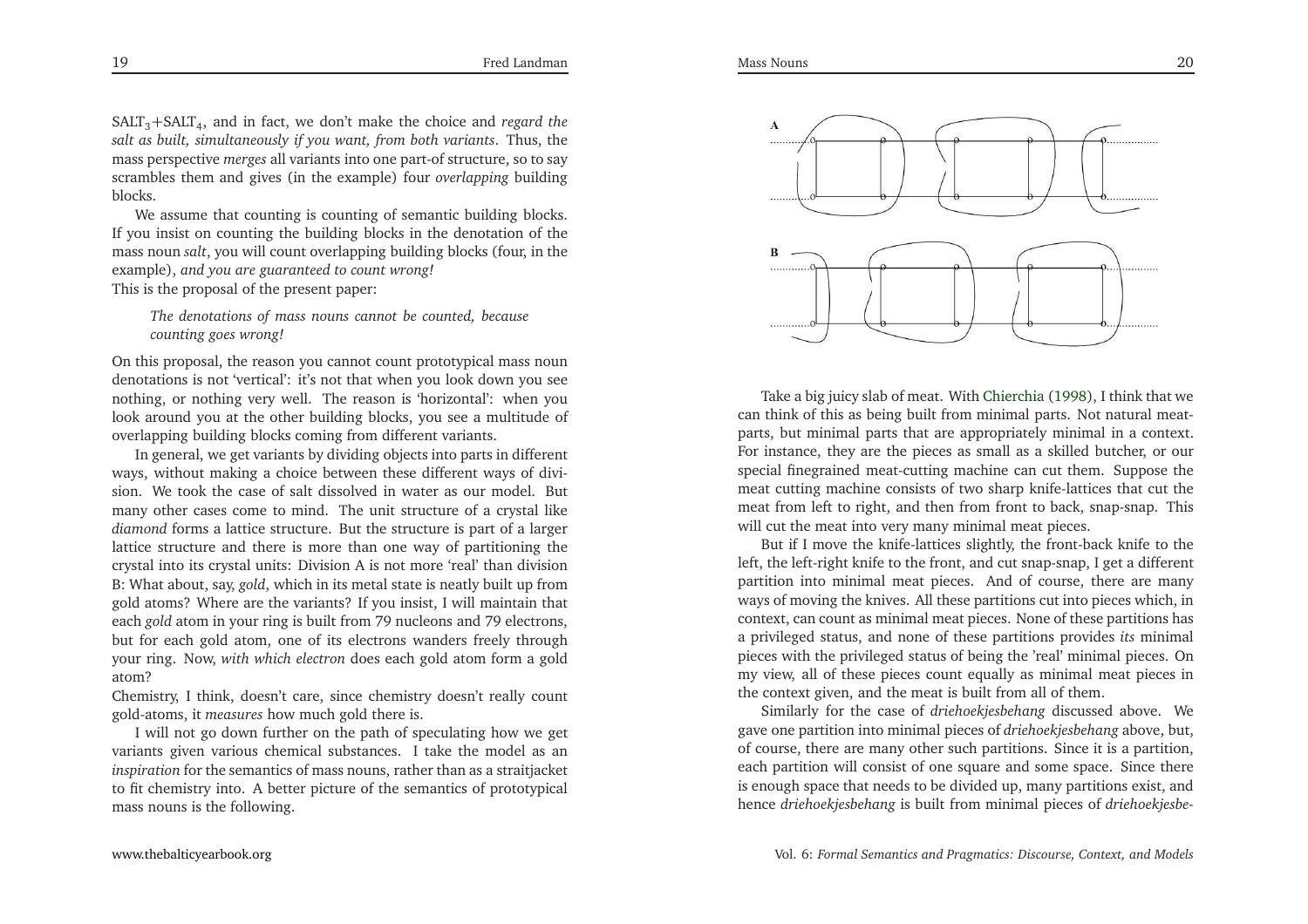SALT3+SALT4, and in fact, we don't make the choice and *regard the salt as built, simultaneously if you want, from both variants*. Thus, the mass perspective *merges* all variants into one part-of structure, so to say scrambles them and <sup>g</sup>ives (in the example) four *overlapping* buildingblocks.

We assume that counting is counting of semantic building blocks. If you insist on counting the building blocks in the denotation of the mass noun *salt*, you will count overlapping building blocks (four, in the example), *and you are guaranteed to count wrong!*This is the proposal of the presen<sup>t</sup> paper:

*The denotations of mass nouns cannot be counted, becausecounting goes wrong!*

On this proposal, the reason you cannot count prototypical mass noun denotations is not 'vertical': it's not that when you look down you see nothing, or nothing very well. The reason is 'horizontal': when you look around you at the other building blocks, you see <sup>a</sup> multitude ofoverlapping building blocks coming from different variants.

In general, we ge<sup>t</sup> variants by dividing objects into parts in different ways, without making <sup>a</sup> choice between these different ways of division. We took the case of salt dissolved in water as our model. But many other cases come to mind. The unit structure of <sup>a</sup> crystal like *diamond* forms <sup>a</sup> lattice structure. But the structure is par<sup>t</sup> of <sup>a</sup> larger lattice structure and there is more than one way of partitioning the crystal into its crystal units: Division <sup>A</sup> is not more 'real' than division B: What about, say, *gold*, which in its metal state is neatly built up from gold atoms? Where are the variants? If you insist, <sup>I</sup> will maintain that each *gold* atom in your ring is built from <sup>79</sup> nucleons and <sup>79</sup> electrons, but for each gold atom, one of its electrons wanders freely through your ring. Now, *with which electron* does each gold atom form <sup>a</sup> goldatom?

 Chemistry, <sup>I</sup> think, doesn't care, since chemistry doesn't really countgold-atoms, it *measures* how much gold there is.

<sup>I</sup> will not go down further on the path of speculating how we ge<sup>t</sup> variants <sup>g</sup>iven various chemical substances. <sup>I</sup> take the model as an *inspiration* for the semantics of mass nouns, rather than as <sup>a</sup> straitjacket to fit chemistry into. <sup>A</sup> better <sup>p</sup>icture of the semantics of prototypicalmass nouns is the following.



Take <sup>a</sup> big juicy slab of meat. With [Chierchia](#page-33-4) [\(1998\)](#page-33-4), <sup>I</sup> think that we can think of this as being built from minimal parts. Not natural meatparts, but minimal parts that are appropriately minimal in <sup>a</sup> context. For instance, they are the <sup>p</sup>ieces as small as <sup>a</sup> skilled butcher, or our special finegrained meat-cutting machine can cut them. Suppose the meat cutting machine consists of two sharp knife-lattices that cut the meat from left to right, and then from front to back, snap-snap. Thiswill cut the meat into very many minimal meat <sup>p</sup>ieces.

But if <sup>I</sup> move the knife-lattices slightly, the front-back knife to the left, the left-right knife to the front, and cut snap-snap, <sup>I</sup> ge<sup>t</sup> <sup>a</sup> different partition into minimal meat <sup>p</sup>ieces. And of course, there are many ways of moving the knives. All these partitions cut into <sup>p</sup>ieces which, in context, can count as minimal meat <sup>p</sup>ieces. None of these partitions has <sup>a</sup> privileged status, and none of these partitions provides *its* minimal <sup>p</sup>ieces with the privileged status of being the 'real' minimal <sup>p</sup>ieces. On my view, all of these <sup>p</sup>ieces count equally as minimal meat <sup>p</sup>ieces inthe context <sup>g</sup>iven, and the meat is built from all of them.

Similarly for the case of *driehoekjesbehang* discussed above. We gave one partition into minimal <sup>p</sup>ieces of *driehoekjesbehang* above, but, of course, there are many other such partitions. Since it is <sup>a</sup> partition, each partition will consist of one square and some space. Since there is enough space that needs to be divided up, many partitions exist, andhence *driehoekjesbehang* is built from minimal <sup>p</sup>ieces of *driehoekjesbe-*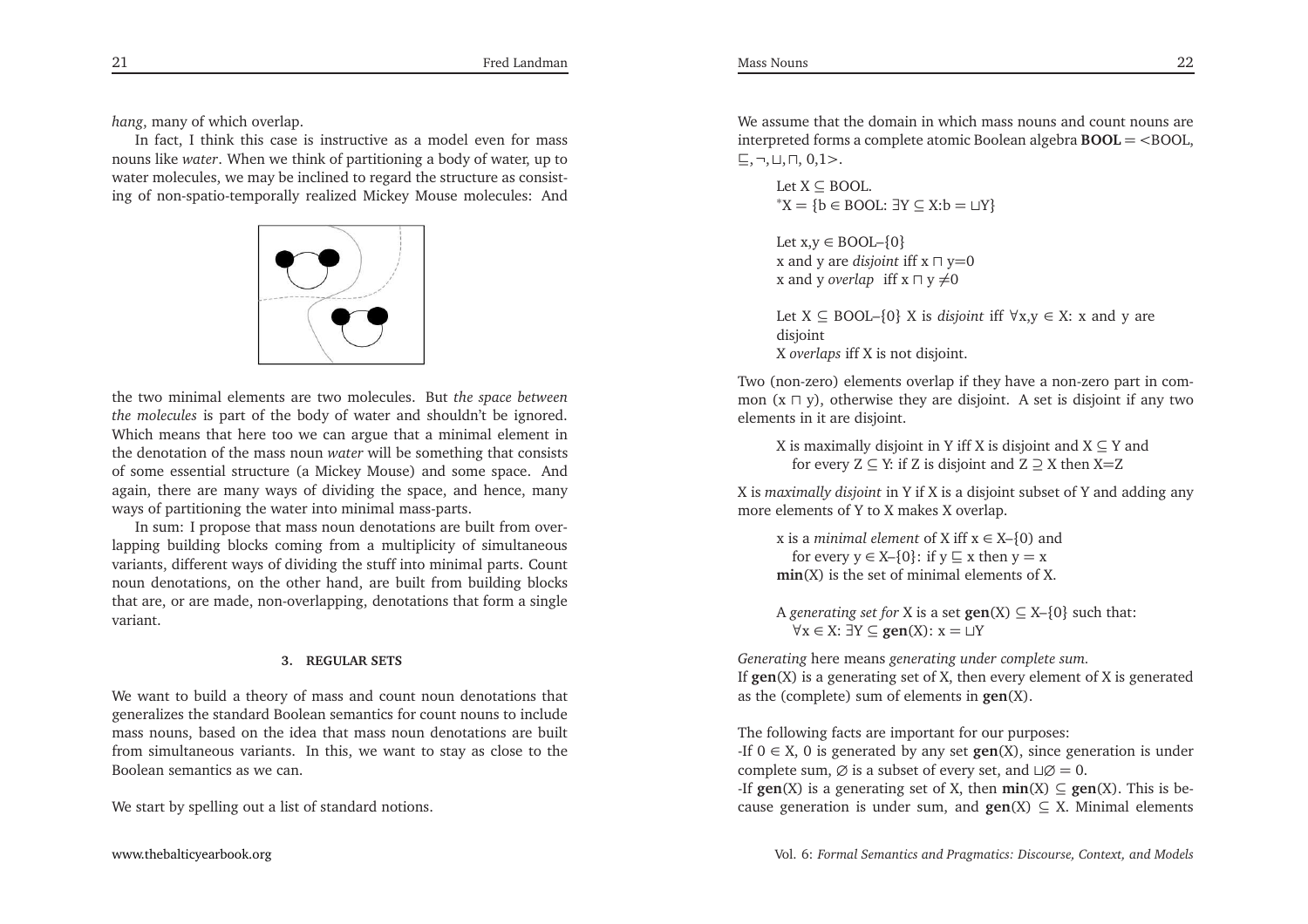*hang*, many of which overlap.

In fact, <sup>I</sup> think this case is instructive as <sup>a</sup> model even for mass nouns like *water*. When we think of partitioning <sup>a</sup> body of water, up to water molecules, we may be inclined to regard the structure as consisting of non-spatio-temporally realized Mickey Mouse molecules: And



the two minimal elements are two molecules. But *the space between the molecules* is par<sup>t</sup> of the body of water and shouldn't be ignored. Which means that here too we can argue that <sup>a</sup> minimal element in the denotation of the mass noun *water* will be something that consists of some essential structure (a Mickey Mouse) and some space. And again, there are many ways of dividing the space, and hence, manyways of partitioning the water into minimal mass-parts.

In sum: <sup>I</sup> propose that mass noun denotations are built from overlapping building blocks coming from <sup>a</sup> multiplicity of simultaneous variants, different ways of dividing the stuff into minimal parts. Count noun denotations, on the other hand, are built from building blocks that are, or are made, non-overlapping, denotations that form <sup>a</sup> singlevariant.

### **3. REGULAR SETS**

We want to build <sup>a</sup> theory of mass and count noun denotations that generalizes the standard Boolean semantics for count nouns to include mass nouns, based on the idea that mass noun denotations are built from simultaneous variants. In this, we want to stay as close to the Boolean semantics as we can.

We start by spelling out <sup>a</sup> list of standard notions.

We assume that the domain in which mass nouns and count nouns are interpreted forms <sup>a</sup> complete atomic Boolean algebra **BOOL** <sup>=</sup> <sup>&</sup>lt;BOOL, ⊑,¬,⊔,⊓, 0,1<sup>&</sup>gt;.

Let 
$$
X \subseteq
$$
 BOOL.  
\* $X = \{b \in$  BOOL:  $\exists Y \subseteq X : b = \sqcup Y\}$ 

Let  $x,y \in \text{BOOL} \setminus \{0\}$ <sup>x</sup> and <sup>y</sup> are *disjoint* iff <sup>x</sup> <sup>⊓</sup> <sup>y</sup>=<sup>0</sup> x and y *overlap* iff x  $\sqcap$  y ≠0

Let X <sup>⊆</sup> BOOL–{0} <sup>X</sup> is *disjoint* iff <sup>∀</sup>x,y <sup>∈</sup> X: <sup>x</sup> and <sup>y</sup> are disioint X *overlaps* iff <sup>X</sup> is not disjoint.

Two (non-zero) elements overlap if they have <sup>a</sup> non-zero par<sup>t</sup> in common (x <sup>⊓</sup> y), otherwise they are disjoint. <sup>A</sup> set is disjoint if any two elements in it are disjoint.

X is maximally disjoint in Y iff X is disjoint and  $X \subseteq Y$  and for every  $Z \subseteq Y$ : if Z is disjoint and  $Z \supseteq X$  then X=Z

<sup>X</sup> is *maximally disjoint* in <sup>Y</sup> if <sup>X</sup> is <sup>a</sup> disjoint subset of <sup>Y</sup> and adding anymore elements of <sup>Y</sup> to <sup>X</sup> makes <sup>X</sup> overlap.

<sup>x</sup> is <sup>a</sup> *minimal element* of <sup>X</sup> iff <sup>x</sup> <sup>∈</sup> X–{0) and for every  $y \in X-\{0\}$ : if  $y \subseteq x$  then  $y = x$ **min**(X) is the set of minimal elements of X.

A *generating set for* X is a set  $\textbf{gen}(X) \subseteq X - \{0\}$  such that: ∀x <sup>∈</sup> X: <sup>∃</sup><sup>Y</sup> <sup>⊆</sup> **gen**(X): <sup>x</sup> <sup>=</sup> <sup>⊔</sup><sup>Y</sup>

*Generating* here means *generating under complete sum.* If **gen**(X) is <sup>a</sup> generating set of X, then every element of <sup>X</sup> is generatedas the (complete) sum of elements in **gen**(X).

The following facts are important for our purposes:

 -If <sup>0</sup> <sup>∈</sup> X, <sup>0</sup> is generated by any set **gen**(X), since generation is under complete sum,  $\emptyset$  is a subset of every set, and ⊔ $\emptyset = 0$ .

-If **gen**(X) is <sup>a</sup> generating set of X, then **min**(X) <sup>⊆</sup> **gen**(X). This is because generation is under sum, and **gen**(X) <sup>⊆</sup> X. Minimal elements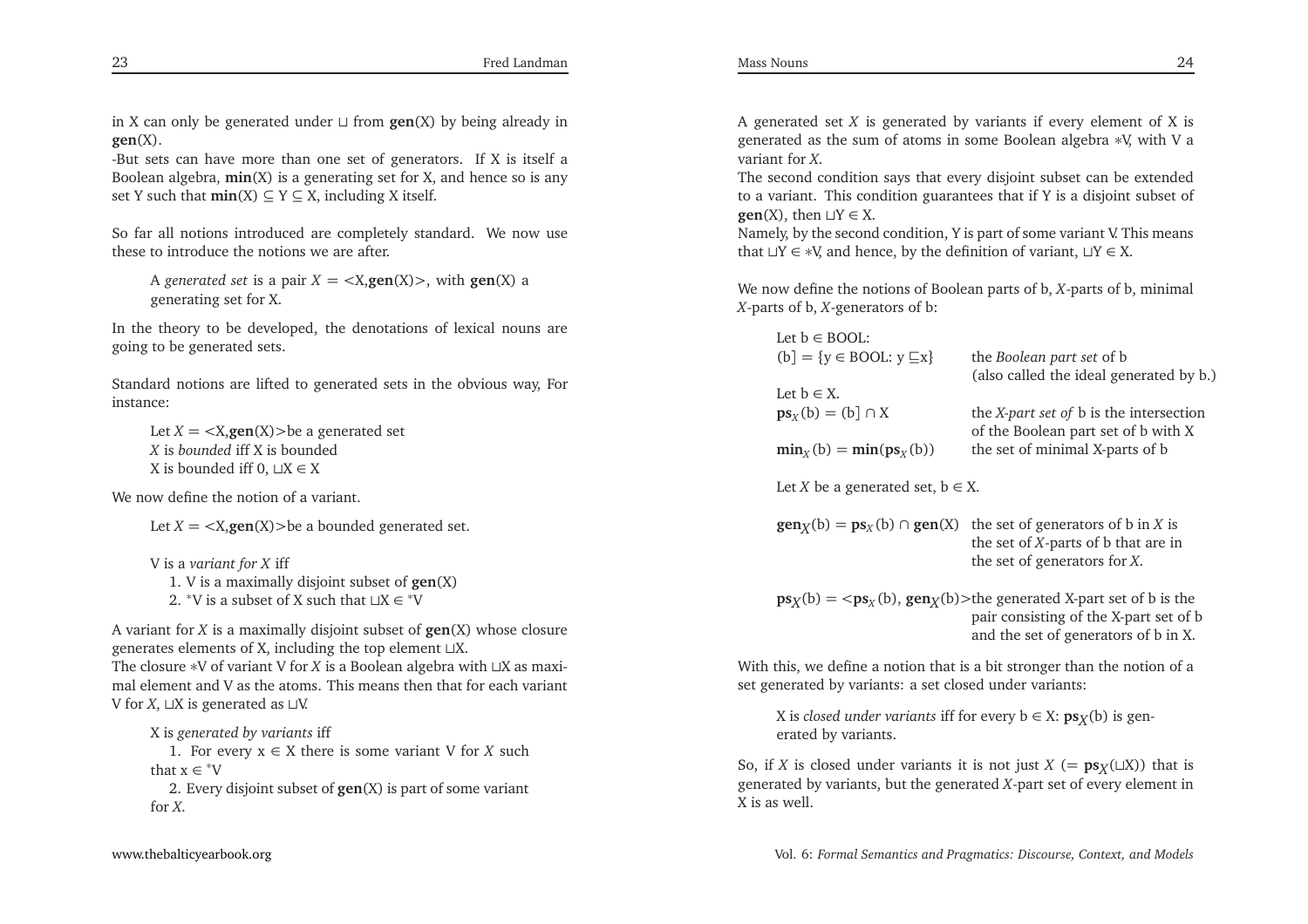in <sup>X</sup> can only be generated under <sup>⊔</sup> from **gen**(X) by being already in **gen**(X).

-But sets can have more than one set of generators. If <sup>X</sup> is itself <sup>a</sup> Boolean algebra, **min**(X) is <sup>a</sup> generating set for X, and hence so is anyset Y such that  $\min(X) \subseteq Y \subseteq X$ , including X itself.

So far all notions introduced are completely standard. We now usethese to introduce the notions we are after.

A *generated set* is a pair  $X = \langle X, \text{gen}(X) \rangle$ , with  $\text{gen}(X)$  a concrating set for **Y** generating set for X.

In the theory to be developed, the denotations of lexical nouns aregoing to be generated sets.

Standard notions are lifted to generated sets in the obvious way, For instance:

Let *<sup>X</sup>* <sup>=</sup> <sup>&</sup>lt;X,**gen**(X)>be <sup>a</sup> generated set *X* is *bounded* iff <sup>X</sup> is bounded <sup>X</sup> is bounded iff 0, <sup>⊔</sup><sup>X</sup> <sup>∈</sup> <sup>X</sup>

We now define the notion of <sup>a</sup> variant.

Let *<sup>X</sup>* <sup>=</sup> <sup>&</sup>lt;X,**gen**(X)>be <sup>a</sup> bounded generated set.

<sup>V</sup> is <sup>a</sup> *variant for <sup>X</sup>* iff 1. <sup>V</sup> is <sup>a</sup> maximally disjoint subset of **gen**(X)2. <sup>\*</sup>V is a subset of X such that  $\sqcup X \in {^*V}$ 

<sup>A</sup> variant for *<sup>X</sup>* is <sup>a</sup> maximally disjoint subset of **gen**(X) whose closure generates elements of X, including the top element <sup>⊔</sup>X.

The closure <sup>∗</sup><sup>V</sup> of variant <sup>V</sup> for *<sup>X</sup>* is <sup>a</sup> Boolean algebra with <sup>⊔</sup><sup>X</sup> as maximal element and <sup>V</sup> as the atoms. This means then that for each variant<sup>V</sup> for *<sup>X</sup>*, <sup>⊔</sup><sup>X</sup> is generated as <sup>⊔</sup>V.

<sup>X</sup> is *generated by variants* iff 1. For every <sup>x</sup> <sup>∈</sup> <sup>X</sup> there is some variant <sup>V</sup> for *<sup>X</sup>* such that  $x \in {}^*V$ 2. Every disjoint subset of **gen**(X) is par<sup>t</sup> of some variant <sup>A</sup> generated set *<sup>X</sup>* is generated by variants if every element of <sup>X</sup> is generated as the sum of atoms in some Boolean algebra <sup>∗</sup>V, with <sup>V</sup> <sup>a</sup> variant for *<sup>X</sup>*.

The second condition says that every disjoint subset can be extended to <sup>a</sup> variant. This condition guarantees that if <sup>Y</sup> is <sup>a</sup> disjoint subset of**gen**(X), then <sup>⊔</sup><sup>Y</sup> <sup>∈</sup> X.

Namely, by the second condition, <sup>Y</sup> is par<sup>t</sup> of some variant V. This meansthat <sup>⊔</sup><sup>Y</sup> <sup>∈</sup> <sup>∗</sup>V, and hence, by the definition of variant, <sup>⊔</sup><sup>Y</sup> <sup>∈</sup> X.

We now define the notions of Boolean parts of b, *<sup>X</sup>*-parts of b, minimal*<sup>X</sup>*-parts of b, *<sup>X</sup>*-generators of b:

| Let $b \in BOOL$ :                                    |                                                                                                              |
|-------------------------------------------------------|--------------------------------------------------------------------------------------------------------------|
| $(b] = \{y \in BOOL: y \sqsubseteq x\}$               | the Boolean part set of b                                                                                    |
|                                                       | (also called the ideal generated by b.)                                                                      |
| Let $b \in X$ .                                       |                                                                                                              |
| $\mathbf{ps}_X(b) = (b) \cap X$                       | the <i>X-part set of</i> b is the intersection<br>of the Boolean part set of b with X                        |
| $\min_{x}$ (b) = $\min(\text{ps}_{x}$ (b))            | the set of minimal X-parts of b                                                                              |
| Let X be a generated set, $b \in X$ .                 |                                                                                                              |
| $\text{gen}_X(b) = \text{ps}_X(b) \cap \text{gen}(X)$ | the set of generators of $\mathbf b$ in X is                                                                 |
|                                                       | the set of $X$ -parts of $b$ that are in                                                                     |
|                                                       | the set of generators for $X$ .                                                                              |
|                                                       | $\mathbf{ps}_X(b) = \langle \mathbf{ps}_X(b), \mathbf{gen}_X(b)\rangle$ the generated X-part set of b is the |
|                                                       | pair consisting of the X-part set of b<br>and the set of generators of b in X.                               |
|                                                       |                                                                                                              |

With this, we define <sup>a</sup> notion that is <sup>a</sup> bit stronger than the notion of <sup>a</sup>set generated by variants: <sup>a</sup> set closed under variants:

X is *closed under variants* iff for every  $b \in X$ :  $ps_X(b)$  is generated by variants.

So, if *X* is closed under variants it is not just  $X$  (=  $\mathbf{p}s_X(\square X)$ ) that is generated by variants, but the generated *<sup>X</sup>*-par<sup>t</sup> set of every element in<sup>X</sup> is as well.

for *<sup>X</sup>*.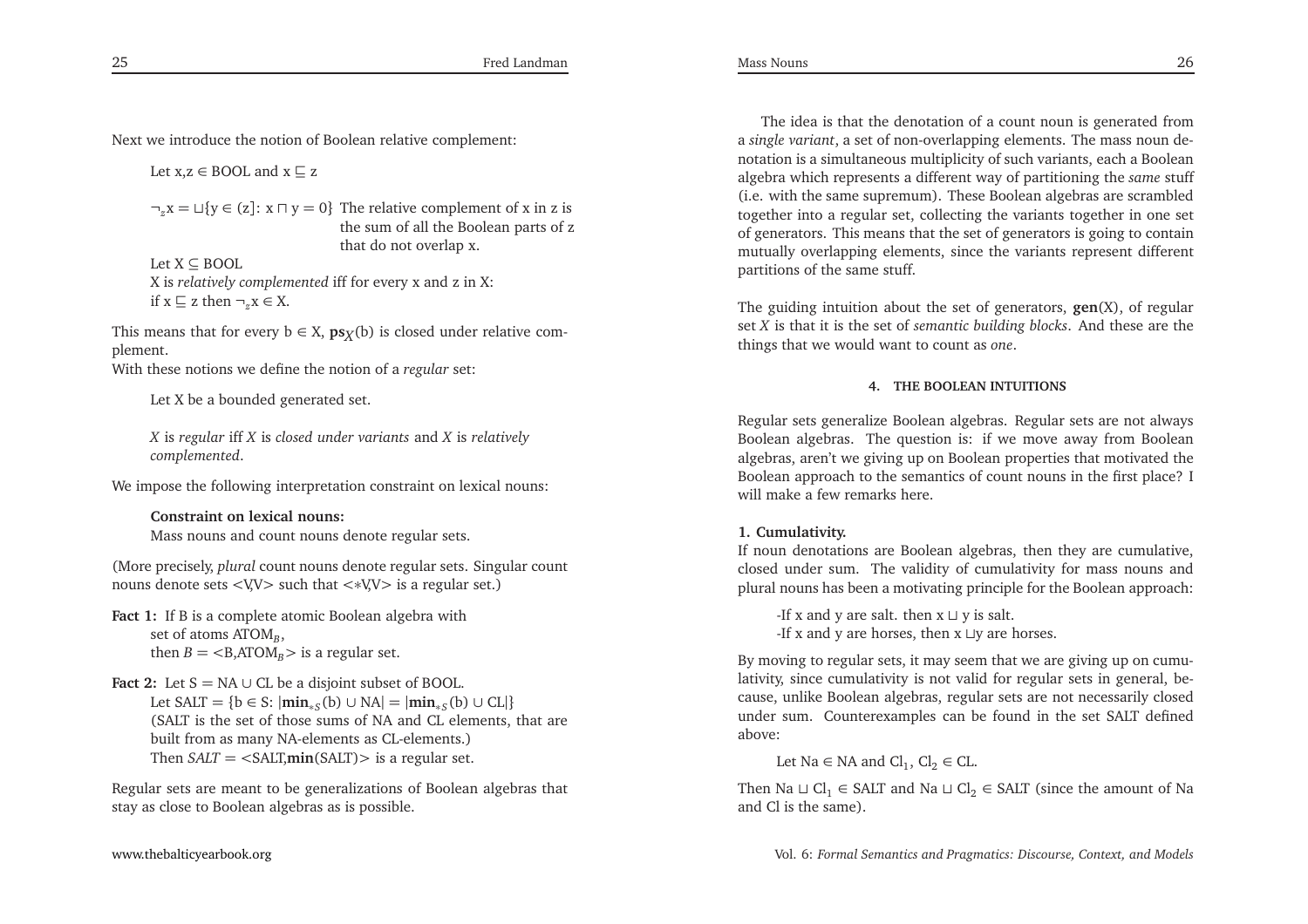Next we introduce the notion of Boolean relative complement:

Let  $x,z \in \text{BOOL}$  and  $x \sqsubseteq z$ 

¬*z*<sup>x</sup> <sup>=</sup> <sup>⊔</sup>{<sup>y</sup> <sup>∈</sup> (z]: <sup>x</sup> <sup>⊓</sup> <sup>y</sup> <sup>=</sup> <sup>0</sup>} The relative complement of <sup>x</sup> in <sup>z</sup> is the sum of all the Boolean parts of <sup>z</sup>that do not overlap x.

Let X <sup>⊆</sup> BOOL <sup>X</sup> is *relatively complemented* iff for every <sup>x</sup> and <sup>z</sup> in X: if  $x \subseteq z$  then  $\neg_z x \in X$ .

This means that for every  $b \in X$ ,  $ps_X(b)$  is closed under relative complement.

With these notions we define the notion of <sup>a</sup> *regular* set:

Let <sup>X</sup> be <sup>a</sup> bounded generated set.

*X* is *regular* iff *<sup>X</sup>* is *closed under variants* and *<sup>X</sup>* is *relatively complemented*.

We impose the following interpretation constraint on lexical nouns:

**Constraint on lexical nouns:**Mass nouns and count nouns denote regular sets.

(More precisely, *plural* count nouns denote regular sets. Singular countnouns denote sets <sup>&</sup>lt;V,V<sup>&</sup>gt; such that <sup>&</sup>lt;∗V,V<sup>&</sup>gt; is <sup>a</sup> regular set.)

**Fact 1:** If <sup>B</sup> is <sup>a</sup> complete atomic Boolean algebra withset of atoms ATOM<sub>B</sub>, then  $B = \langle B, ATOM_B \rangle$  is a regular set.

Fact 2: Let  $S = NA \cup CL$  be a disjoint subset of BOOL. Let SALT = {b ∈ S:  $|\min_{*S}(b) \cup NA| = |\min_{*S}(b) \cup CL|$ }<br>(SALT is the set of these sume of NA and CL elements) (SALT is the set of those sums of NA and CL elements, that arebuilt from as many NA-elements as CL-elements.)Then *SALT* <sup>=</sup> <sup>&</sup>lt;SALT,**min**(SALT)<sup>&</sup>gt; is <sup>a</sup> regular set.

Regular sets are meant to be generalizations of Boolean algebras thatstay as close to Boolean algebras as is possible.

The idea is that the denotation of <sup>a</sup> count noun is generated from a *single variant*, <sup>a</sup> set of non-overlapping elements. The mass noun denotation is <sup>a</sup> simultaneous multiplicity of such variants, each <sup>a</sup> Boolean algebra which represents <sup>a</sup> different way of partitioning the *same* stuff (i.e. with the same supremum). These Boolean algebras are scrambled together into <sup>a</sup> regular set, collecting the variants together in one set of generators. This means that the set of generators is going to contain mutually overlapping elements, since the variants represen<sup>t</sup> differentpartitions of the same stuff.

The guiding intuition about the set of generators, **gen**(X), of regular set *<sup>X</sup>* is that it is the set of *semantic building blocks*. And these are the things that we would want to count as *one*.

### **4. THE BOOLEAN INTUITIONS**

Regular sets generalize Boolean algebras. Regular sets are not always Boolean algebras. The question is: if we move away from Boolean algebras, aren't we <sup>g</sup>iving up on Boolean properties that motivated the Boolean approach to the semantics of count nouns in the first <sup>p</sup>lace? <sup>I</sup>will make <sup>a</sup> few remarks here.

#### **1. Cumulativity.**

If noun denotations are Boolean algebras, then they are cumulative, closed under sum. The validity of cumulativity for mass nouns and<sup>p</sup>lural nouns has been <sup>a</sup> motivating principle for the Boolean approach:

-If <sup>x</sup> and <sup>y</sup> are salt. then <sup>x</sup> <sup>⊔</sup> <sup>y</sup> is salt. -If <sup>x</sup> and <sup>y</sup> are horses, then <sup>x</sup> <sup>⊔</sup><sup>y</sup> are horses.

By moving to regular sets, it may seem that we are <sup>g</sup>iving up on cumulativity, since cumulativity is not valid for regular sets in general, because, unlike Boolean algebras, regular sets are not necessarily closed under sum. Counterexamples can be found in the set SALT definedabove:

Let Na  $\in$  NA and Cl<sub>1</sub>, Cl<sub>2</sub>  $\in$  CL.

Then Na  $\sqcup$  Cl<sub>1</sub> ∈ SALT and Na  $\sqcup$  Cl<sub>2</sub> ∈ SALT (since the amount of Na and Cl is the same).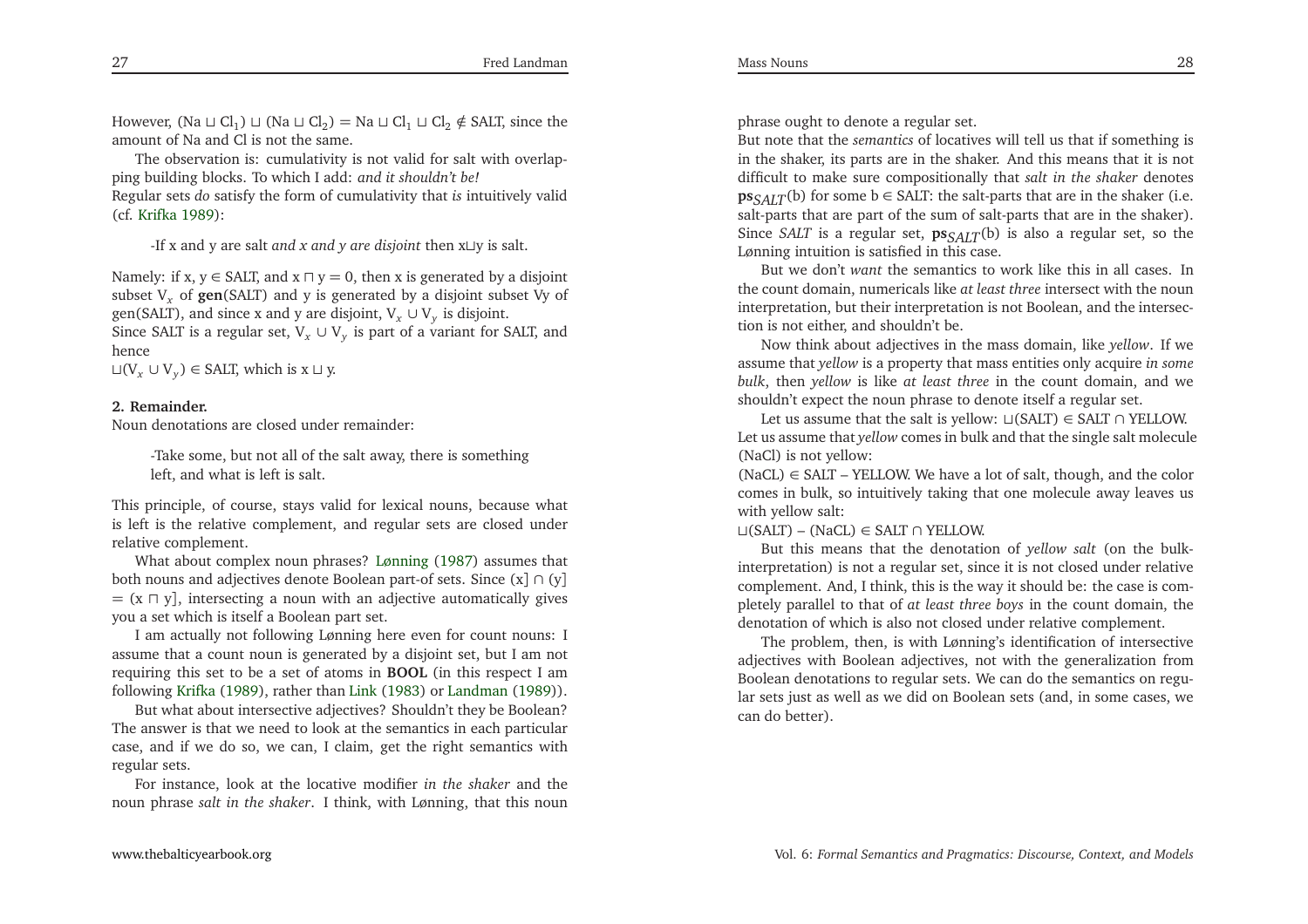However, (Na  $\sqcup$  Cl<sub>1</sub>)  $\sqcup$  (Na  $\sqcup$  Cl<sub>2</sub>) = Na  $\sqcup$  Cl<sub>1</sub>  $\sqcup$  Cl<sub>2</sub> ∉ SALT, since the amount of Na and Cl is not the same.

The observation is: cumulativity is not valid for salt with overlap<sup>p</sup>ing building blocks. To which <sup>I</sup> add: *and it shouldn't be!* Regular sets *do* satisfy the form of cumulativity that *is* intuitively valid(cf. [Krifka](#page-33-2) [1989](#page-33-2)):

-If <sup>x</sup> and <sup>y</sup> are salt *and <sup>x</sup> and <sup>y</sup> are disjoint* then <sup>x</sup><sup>⊔</sup><sup>y</sup> is salt.

Namely: if x, y ∈ SALT, and  $x \sqcap y = 0$ , then x is generated by a disjoint subset <sup>V</sup>*<sup>x</sup>* of **gen**(SALT) and <sup>y</sup> is generated by <sup>a</sup> disjoint subset Vy of gen(SALT), and since x and y are disjoint,  $V_x \cup V_y$  is disjoint. Since SALT is a regular set,  $V_x \cup V_y$  is part of a variant for SALT, and hence

 $\Box(V_x \cup V_y) \in \text{SALT}$ , which is  $x \Box y$ .

### **2. Remainder.**

Noun denotations are closed under remainder:

-Take some, but not all of the salt away, there is somethingleft, and what is left is salt.

This principle, of course, stays valid for lexical nouns, because what is left is the relative complement, and regular sets are closed underrelative complement.

What about complex noun <sup>p</sup>hrases? [Lønning](#page-33-11) [\(1987](#page-33-11)) assumes that both nouns and adjectives denote Boolean part-of sets. Since (x] <sup>∩</sup> (y] = (x ⊓<sup>y</sup>], intersecting <sup>a</sup> noun with an adjective automatically <sup>g</sup>ivesyou <sup>a</sup> set which is itself <sup>a</sup> Boolean par<sup>t</sup> set.

<sup>I</sup> am actually not following Lønning here even for count nouns: <sup>I</sup> assume that <sup>a</sup> count noun is generated by <sup>a</sup> disjoint set, but <sup>I</sup> am not requiring this set to be <sup>a</sup> set of atoms in **BOOL** (in this respec<sup>t</sup> <sup>I</sup> amfollowing [Krifka](#page-33-2) [\(1989](#page-33-2)), rather than [Link](#page-33-1) [\(1983](#page-33-1)) or [Landman](#page-33-12) [\(1989](#page-33-12))).

But what about intersective adjectives? Shouldn't they be Boolean? The answer is that we need to look at the semantics in each particular case, and if we do so, we can, <sup>I</sup> claim, ge<sup>t</sup> the right semantics withregular sets.

For instance, look at the locative modifier *in the shaker* and thenoun <sup>p</sup>hrase *salt in the shaker*. <sup>I</sup> think, with Lønning, that this noun <sup>p</sup>hrase ought to denote <sup>a</sup> regular set.

But note that the *semantics* of locatives will tell us that if something is in the shaker, its parts are in the shaker. And this means that it is not difficult to make sure compositionally that *salt in the shaker* denotes**ps***SALT*(b) for some b ∈ SALT: the salt-parts that are in the shaker (i.e. salt-parts that are par<sup>t</sup> of the sum of salt-parts that are in the shaker). Since *SALT* is <sup>a</sup> regular set, **ps***SALT*(b) is also <sup>a</sup> regular set, so the Lønning intuition is satisfied in this case.

But we don't *want* the semantics to work like this in all cases. In the count domain, numericals like *at least three* intersect with the noun interpretation, but their interpretation is not Boolean, and the intersection is not either, and shouldn't be.

Now think about adjectives in the mass domain, like *yellow*. If we assume that *yellow* is <sup>a</sup> property that mass entities only acquire *in some bulk*, then *yellow* is like *at least three* in the count domain, and we shouldn't expec<sup>t</sup> the noun <sup>p</sup>hrase to denote itself <sup>a</sup> regular set.

Let us assume that the salt is yellow:⊔(SALT)∈ SALT ∩ YELLOW. Let us assume that *yellow* comes in bulk and that the single salt molecule (NaCl) is not yellow:

 (NaCL)∈ SALT – YELLOW. We have <sup>a</sup> lot of salt, though, and the color comes in bulk, so intuitively taking that one molecule away leaves uswith yellow salt:

# <sup>⊔</sup>(SALT) – (NaCL)∈ SALT ∩ YELLOW.

 But this means that the denotation of *yellow salt* (on the bulkinterpretation) is not <sup>a</sup> regular set, since it is not closed under relative complement. And, <sup>I</sup> think, this is the way it should be: the case is com<sup>p</sup>letely parallel to that of *at least three boys* in the count domain, thedenotation of which is also not closed under relative complement.

The problem, then, is with Lønning's identification of intersective adjectives with Boolean adjectives, not with the generalization from Boolean denotations to regular sets. We can do the semantics on regular sets just as well as we did on Boolean sets (and, in some cases, wecan do better).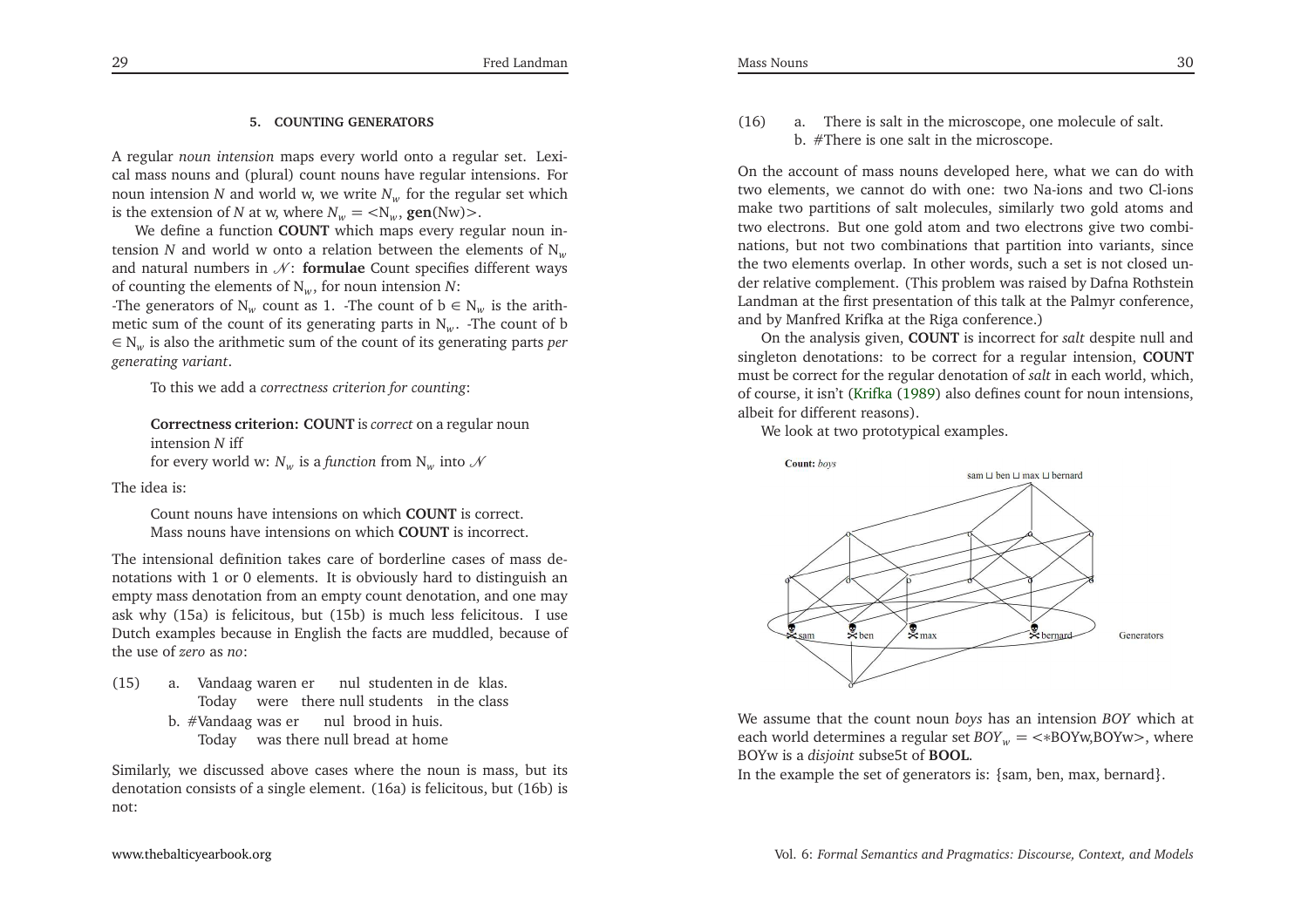## **5. COUNTING GENERATORS**

<sup>A</sup> regular *noun intension* maps every world onto <sup>a</sup> regular set. Lexical mass nouns and (plural) count nouns have regular intensions. Fornoun intension *N* and world w, we write  $N_w$  for the regular set which is the extension of *N* at *w*, where  $N_w = \langle N_w, \text{gen(Nw)} \rangle$ .<br>We define a function COUNT which mans event reg

We define <sup>a</sup> function **COUNT** which maps every regular noun intension *N* and world w onto a relation between the elements of  $N_w$ and natural numbers in  $N$ : **formulae** Count specifies different ways of counting the elements of <sup>N</sup>*<sup>w</sup>*, for noun intension *<sup>N</sup>*:

The generators of  $N_w$  count as 1. -The count of  $b \in N_w$  is the arithmetic sum of the count of its generating parts in <sup>N</sup>*w*. -The count of b ∈ <sup>N</sup>*<sup>w</sup>* is also the arithmetic sum of the count of its generating parts *per generating variant*.

To this we add <sup>a</sup> *correctness criterion for counting*:

```
Correctness criterion: COUNT is correct on a regular noun
intension N iff
for every world w: N_w is a function from N_w into \mathcal N
```
The idea is:

Count nouns have intensions on which **COUNT** is correct. Mass nouns have intensions on which **COUNT** is incorrect.

The intensional definition takes care of borderline cases of mass denotations with <sup>1</sup> or <sup>0</sup> elements. It is obviously hard to distinguish an empty mass denotation from an empty count denotation, and one may ask why (15a) is felicitous, but (15b) is much less felicitous. <sup>I</sup> use Dutch examples because in English the facts are muddled, because ofthe use of *zero* as *no*:

- (15) a. Vandaag waren ernulstudenten in de klas. Today were there null students in the class
	- b. #Vandaag was er nul brood in huis. Today was there null bread at home

Similarly, we discussed above cases where the noun is mass, but its denotation consists of <sup>a</sup> single element. (16a) is felicitous, but (16b) isnot:

(16) a. There is salt in the microscope, one molecule of salt. b. #There is one salt in the microscope.

On the account of mass nouns developed here, what we can do with two elements, we cannot do with one: two Na-ions and two Cl-ions make two partitions of salt molecules, similarly two gold atoms and two electrons. But one gold atom and two electrons <sup>g</sup>ive two combinations, but not two combinations that partition into variants, since the two elements overlap. In other words, such <sup>a</sup> set is not closed under relative complement. (This problem was raised by Dafna Rothstein Landman at the first presentation of this talk at the Palmyr conference, and by Manfred Krifka at the Riga conference.)

 On the analysis <sup>g</sup>iven, **COUNT** is incorrect for *salt* despite null and singleton denotations: to be correct for <sup>a</sup> regular intension, **COUNT** must be correct for the regular denotation of *salt* in each world, which, of course, it isn't [\(Krifka](#page-33-2) [\(1989](#page-33-2)) also defines count for noun intensions, albeit for different reasons).

We look at two prototypical examples.



We assume that the count noun *boys* has an intension *BOY* which at each world determines <sup>a</sup> regular set *BOY<sup>w</sup>* <sup>=</sup> <sup>&</sup>lt;∗BOYw,BOYw<sup>&</sup>gt;, where BOYw is <sup>a</sup> *disjoint* subse5t of **BOOL**.

In the example the set of generators is: {sam, ben, max, bernard}.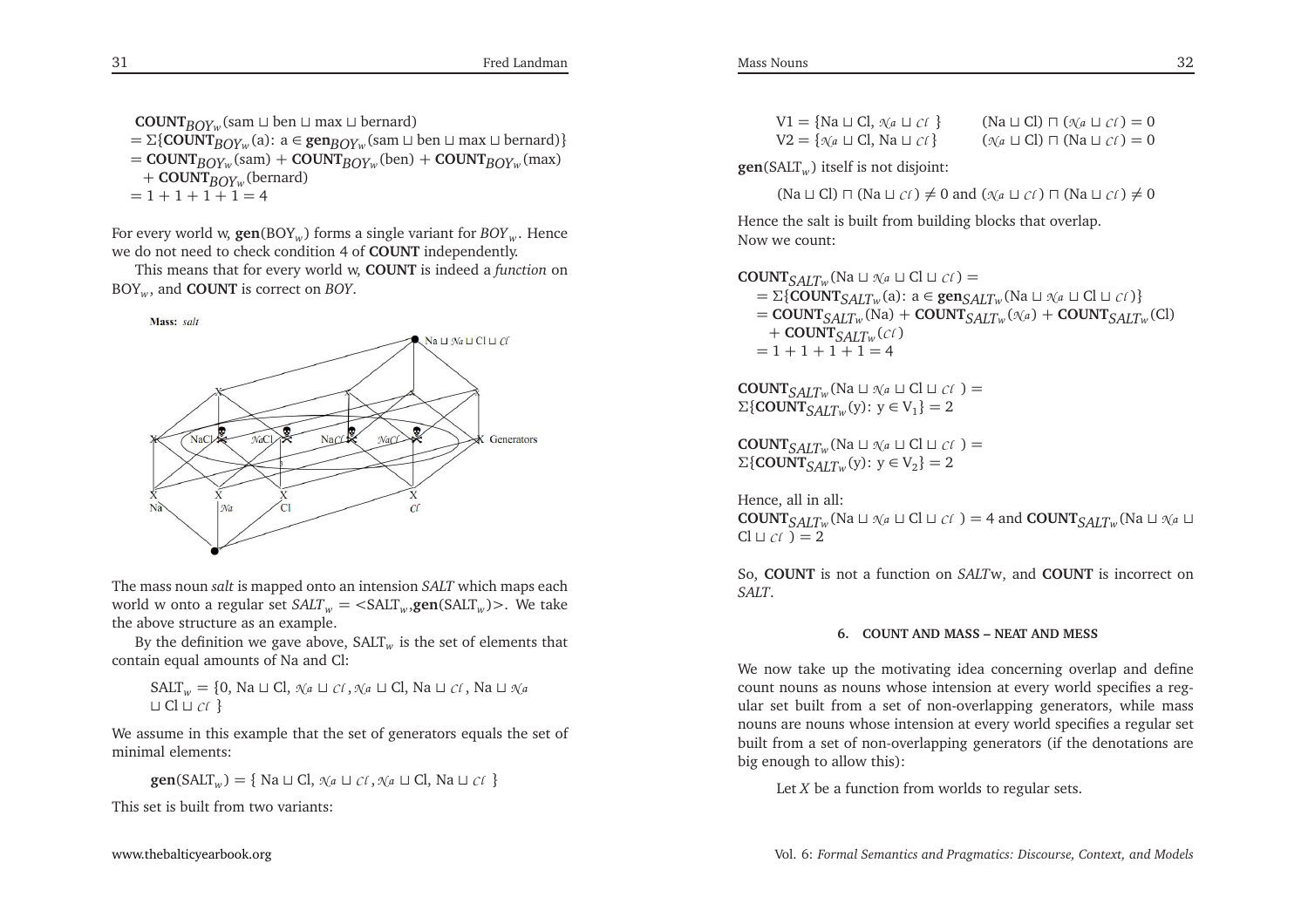**COUNT***BOYw*(sam <sup>⊔</sup> ben <sup>⊔</sup> max <sup>⊔</sup> bernard)  $= \sum \{ \text{COUNT}_{BOY_w}(a): a \in \text{gen}_{BOY_w}(\text{sam } \sqcup \text{ben } \sqcup \text{max } \sqcup \text{bernard}) \}$  $=$  **COUNT**<sub>*BOY<sup>w</sup></sub>(sam) + COUNT<sub>BOY<sup>w</sup></sub>(ben) + COUNT<sub>BOY<sup>w</sup></sub>(max)</sub>* + **COUNT***BOYw*(bernard)  $= 1 + 1 + 1 + 1 = 4$ 

For every world w, **gen**(BOY*w*) forms <sup>a</sup> single variant for *BOY<sup>w</sup>* . Hence we do not need to check condition <sup>4</sup> of **COUNT** independently.

This means that for every world w, **COUNT** is indeed <sup>a</sup> *function* on BOY*<sup>w</sup>*, and **COUNT** is correct on *BOY*.



The mass noun *salt* is mapped onto an intension *SALT* which maps each world <sup>w</sup> onto <sup>a</sup> regular set *SALT<sup>w</sup>* <sup>=</sup> <sup>&</sup>lt;SALT*<sup>w</sup>* ,**gen**(SALT*<sup>w</sup>* )<sup>&</sup>gt;. We take the above structure as an example.

By the definition we gave above,  $SALT_w$  is the set of elements that contain equal amounts of Na and Cl:

SALT*w* <sup>=</sup> {0, Na <sup>⊔</sup> Cl, *<sup>N</sup> <sup>a</sup>* <sup>⊔</sup> *Cl* ,*<sup>N</sup> <sup>a</sup>* <sup>⊔</sup> Cl, Na <sup>⊔</sup> *Cl* , Na <sup>⊔</sup> *<sup>N</sup> <sup>a</sup>* ⊔ Cl <sup>⊔</sup> *Cl* }

We assume in this example that the set of generators equals the set ofminimal elements:

**gen**(SALT*w*) <sup>=</sup> { Na <sup>⊔</sup> Cl, *<sup>N</sup> <sup>a</sup>* <sup>⊔</sup> *Cl* ,*<sup>N</sup> <sup>a</sup>* <sup>⊔</sup> Cl, Na <sup>⊔</sup> *Cl* }

This set is built from two variants:

**gen**(SALT*w* ) itself is not disjoint:

(Na  $\sqcup$  Cl)  $\sqcap$  (Na  $\sqcup$  *cl* )  $\neq$  0 and ( $\mathcal{A}_a \sqcup c$ *l*)  $\sqcap$  (Na  $\sqcup$  *cl*)  $\neq$  0

Hence the salt is built from building blocks that overlap. Now we count:

$$
COUNT_{SALTw}(\text{Na} \sqcup \text{Na} \sqcup \text{Cl} \sqcup \text{Cl}) =
$$
\n
$$
= \Sigma \{COUNT_{SALTw}(\text{Na}) : a \in \text{gen}_{SALTw}(\text{Na} \sqcup \text{Na} \sqcup \text{Cl} \sqcup \text{Cl}) \}
$$
\n
$$
= COUNT_{SALTw}(\text{Na}) + COUNT_{SALTw}(\text{Na}) + COUNT_{SALTw}(\text{Cl})
$$
\n
$$
+ COUNT_{SALTw}(\text{Cl})
$$
\n
$$
= 1 + 1 + 1 + 1 = 4
$$

 $\text{COUNT}_{SALT_W}$ (Na ⊔  $\mathcal{N}_a$  ⊔ Cl ⊔ *Cl* ) =<br>Σ{**COUNT** c *A1* T<sub>−</sub> (v): v ∈ V<sub>1</sub>} = 2  $\Sigma$ {**COUNT**<sub>*SALTw*</sub>(y):  $y \in V_1$ } = 2

 $\text{COUNT}_{SALTw}$ (Na ⊔  $\mathcal{N}_a$  ⊔ Cl ⊔ *Cl* ) =<br>Σ{**COUNT** c *A1* T<sub>n</sub> (V): V ∈ V<sub>2</sub>} = 2  $\Sigma$ {**COUNT**<sub>*SALTw*</sub>(y):  $y \in V_2$ } = 2

Hence, all in all:**COUNT**<sub>*SALT<sup>w</sup></sub>(Na ⊔*  $\mathcal{N}$ *<i>a* ⊔ Cl ⊔ *Cl* ) = 4 and **COUNT**<sub>*SALTw*</sub>(Na ⊔  $\mathcal{N}$ *a* ⊔</sub>  $Cl \sqcup cl$  ) = 2

So, **COUNT** is not <sup>a</sup> function on *SALT*w, and **COUNT** is incorrect on *SALT*.

# **6. COUNT AND MASS – NEAT AND MESS**

We now take up the motivating idea concerning overlap and define count nouns as nouns whose intension at every world specifies <sup>a</sup> regular set built from <sup>a</sup> set of non-overlapping generators, while mass nouns are nouns whose intension at every world specifies <sup>a</sup> regular set built from <sup>a</sup> set of non-overlapping generators (if the denotations arebig enough to allow this):

Let *<sup>X</sup>* be <sup>a</sup> function from worlds to regular sets.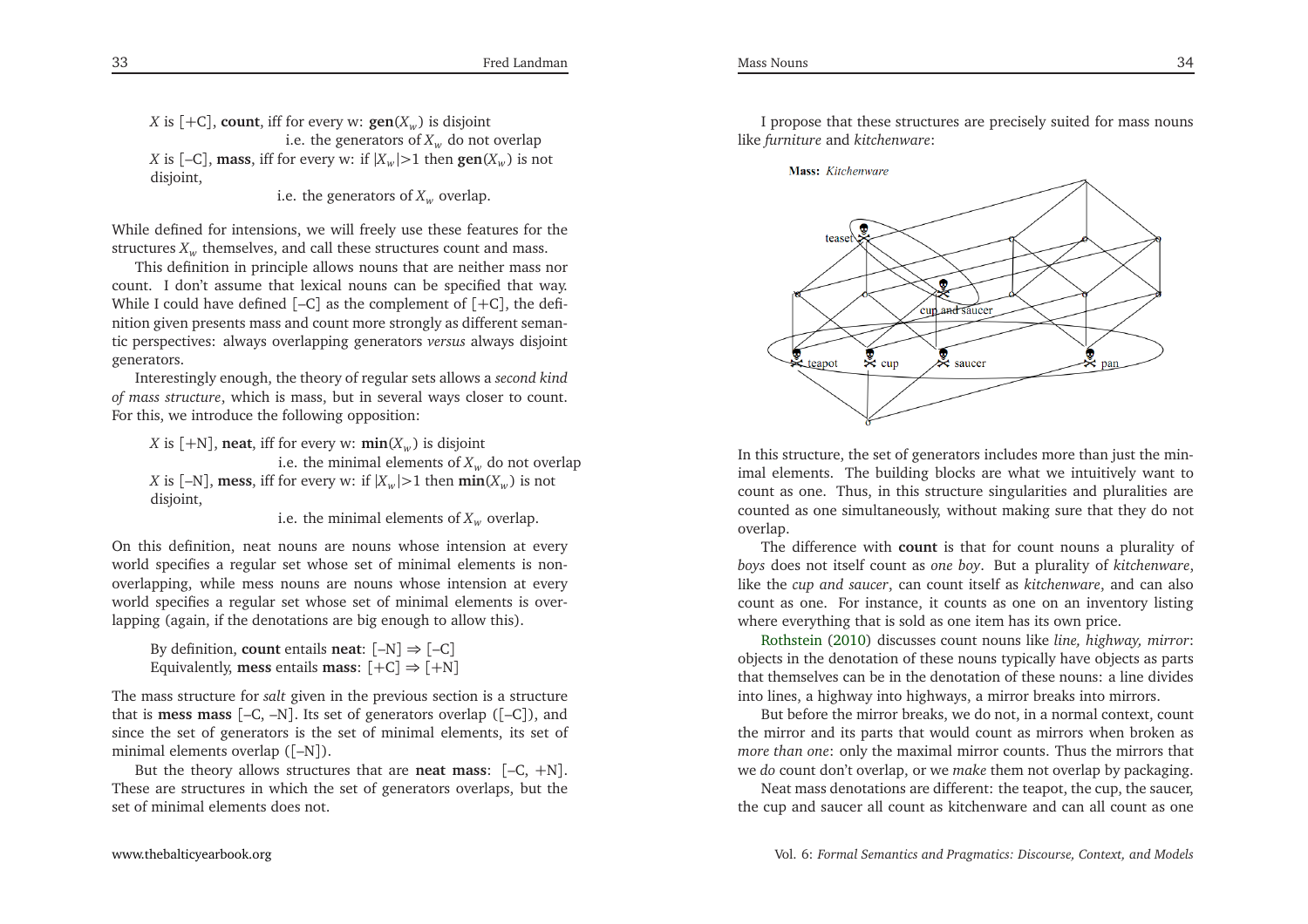*X* is  $[+C]$ , **count**, iff for every w:  $\textbf{gen}(X_w)$  is disjoint i.e. the generators of  $X_w$  do not overlap *X* is  $[-C]$ , **mass**, iff for every w: if  $|X_w| > 1$  then  $\text{gen}(X_w)$  is not disjoint,

i.e. the generators of  $X_w$  overlap.

While defined for intensions, we will freely use these features for thestructures  $X_w$  themselves, and call these structures count and mass.

This definition in principle allows nouns that are neither mass nor count. <sup>I</sup> don't assume that lexical nouns can be specified that way. While <sup>I</sup> could have defined [–C] as the complement of [+C], the definition <sup>g</sup>iven presents mass and count more strongly as different semantic perspectives: always overlapping generators *versus* always disjoint generators.

Interestingly enough, the theory of regular sets allows <sup>a</sup> *second kind of mass structure*, which is mass, but in several ways closer to count. For this, we introduce the following opposition:

*X* is  $[+N]$ , **neat**, iff for every w: **min**( $X_w$ ) is disjoint i.e. the minimal elements of  $X_w$  do not overlap *X* is  $[-N]$ , **mess**, iff for every w: if  $|X_w| > 1$  then  $\min(X_w)$  is not disjoint,

i.e. the minimal elements of  $X_w$  overlap.

On this definition, neat nouns are nouns whose intension at every world specifies <sup>a</sup> regular set whose set of minimal elements is nonoverlapping, while mess nouns are nouns whose intension at every world specifies <sup>a</sup> regular set whose set of minimal elements is overlapping (again, if the denotations are big enough to allow this).

```
By definition, count entails neat: [–N] ⇒ [–C]
Equivalently, mess entails mass: [+C] ⇒ [+N]
```
The mass structure for *salt* <sup>g</sup>iven in the previous section is <sup>a</sup> structure that is **mess mass** [–C, –N]. Its set of generators overlap ([–C]), and since the set of generators is the set of minimal elements, its set ofminimal elements overlap ([–N]).

But the theory allows structures that are **neat mass**: [–C, <sup>+</sup>N]. These are structures in which the set of generators overlaps, but theset of minimal elements does not.

<sup>I</sup> propose that these structures are precisely suited for mass nounslike *furniture* and *kitchenware*:



In this structure, the set of generators includes more than just the minimal elements. The building blocks are what we intuitively want to count as one. Thus, in this structure singularities and <sup>p</sup>luralities are counted as one simultaneously, without making sure that they do notoverlap.

The difference with **count** is that for count nouns <sup>a</sup> <sup>p</sup>lurality of *boys* does not itself count as *one boy*. But <sup>a</sup> <sup>p</sup>lurality of *kitchenware*, like the *cup and saucer*, can count itself as *kitchenware*, and can also count as one. For instance, it counts as one on an inventory listingwhere ever[y](#page-34-4)thing that is sold as one item has its own price.

Rothstein [\(2010](#page-34-4)) discusses count nouns like *line, highway, mirror*: objects in the denotation of these nouns typically have objects as parts that themselves can be in the denotation of these nouns: <sup>a</sup> line dividesinto lines, <sup>a</sup> highway into highways, <sup>a</sup> mirror breaks into mirrors.

But before the mirror breaks, we do not, in <sup>a</sup> normal context, count the mirror and its parts that would count as mirrors when broken as *more than one*: only the maximal mirror counts. Thus the mirrors thatwe *do* count don't overlap, or we *make* them not overlap by packaging.

Neat mass denotations are different: the teapot, the cup, the saucer, the cup and saucer all count as kitchenware and can all count as one

33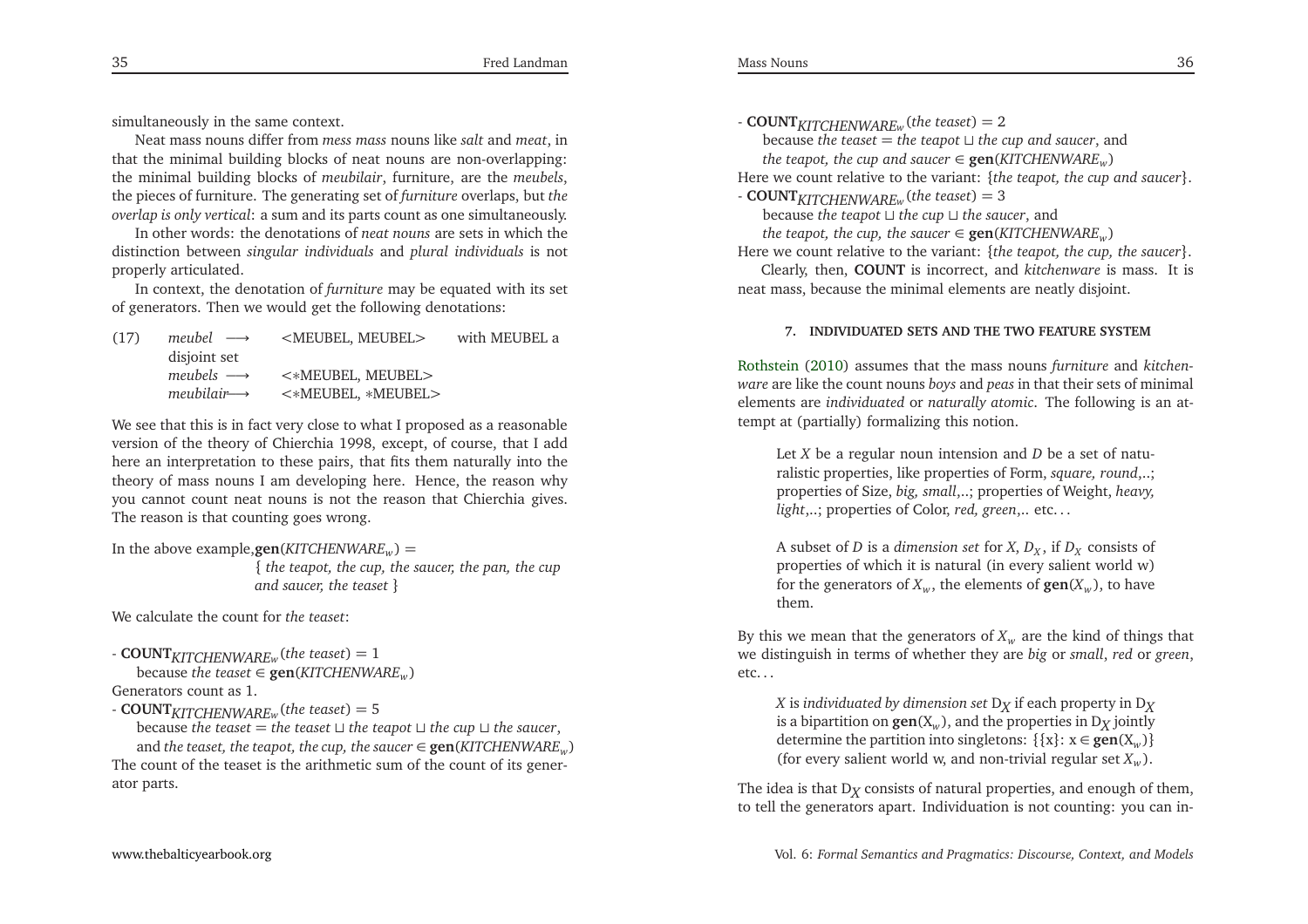simultaneously in the same context.

Neat mass nouns differ from *mess mass* nouns like *salt* and *meat*, in that the minimal building blocks of neat nouns are non-overlapping: the minimal building blocks of *meubilair*, furniture, are the *meubels*, the <sup>p</sup>ieces of furniture. The generating set of *furniture* overlaps, but *the overlap is only vertical*: <sup>a</sup> sum and its parts count as one simultaneously.

In other words: the denotations of *neat nouns* are sets in which the distinction between *singular individuals* and *plural individuals* is not properly articulated.

In context, the denotation of *furniture* may be equated with its set of generators. Then we would ge<sup>t</sup> the following denotations:

| (17) | meubel $\longrightarrow$  | <meubel, meubel=""></meubel,> | with MEUBEL a |
|------|---------------------------|-------------------------------|---------------|
|      | disjoint set              |                               |               |
|      | meubels $\longrightarrow$ | $\prec$ *MEUBEL, MEUBEL>      |               |
|      | $meubilair \rightarrow$   | <*MEUBEL, *MEUBEL>            |               |
|      |                           |                               |               |

We see that this is in fact very close to what <sup>I</sup> proposed as <sup>a</sup> reasonable version of the theory of Chierchia 1998, except, of course, that <sup>I</sup> add here an interpretation to these pairs, that fits them naturally into the theory of mass nouns <sup>I</sup> am developing here. Hence, the reason why you cannot count neat nouns is not the reason that Chierchia <sup>g</sup>ives. The reason is that counting goes wrong.

```
In the above example,gen(KITCHENWAREw) =
```
 { *the teapot, the cup, the saucer, the pan, the cupand saucer, the teaset* }

We calculate the count for *the teaset*:

```
- COUNTKITCHENWAREw(the teaset) = 1
    \texttt{because the teacher} \in \textbf{gen}(KITCHENWARE_w)Generators count as 1.
```
 $\text{COUNT}_{KITCHENWARE_w}$ (*the teaset*) = 5

because *the teaset* <sup>=</sup> *the teaset* <sup>⊔</sup> *the teapot* <sup>⊔</sup> *the cup* <sup>⊔</sup> *the saucer*,  $\mathbf{a}$  and *the teaset, the teapot, the cup, the saucer*  $\in \mathbf{gen}(KITCHENWARE_w)$ The count of the teaset is the arithmetic sum of the count of its generator parts.

- **COUNT***KITCHENWAREw*(*the teaset*) <sup>=</sup> <sup>2</sup>

because *the teaset* <sup>=</sup> *the teapot* <sup>⊔</sup> *the cup and saucer*, and  $t$ he  $t$ eapot,  $t$ he  $cup$  and  ${saucer} \in \mathbf{gen}(KITCHENWARE_w)$ 

Here we count relative to the variant: {*the teapot, the cup and saucer*}.

- **COUNT***KITCHENWAREw*(*the teaset*) <sup>=</sup> <sup>3</sup>

because *the teapot* <sup>⊔</sup> *the cup* <sup>⊔</sup> *the saucer*, and

 $t$ he  $t$ eapot,  $t$ he  $t$ up,  $t$ he  $s$ aucer $\in$   $\mathbf{gen}(KITCHENWARE_w)$ 

Here we count relative to the variant: {*the teapot, the cup, the saucer*}.

Clearly, then, **COUNT** is incorrect, and *kitchenware* is mass. It is neat mass, because the minimal elements are neatly disjoint.

# **7. INDIVIDUATED SETS AND THE TWO FEATURE SYSTEM**

Rothstein [\(2010](#page-34-4)) assumes that the mass nouns *furniture* and *kitchenware* are like the count nouns *boys* and *peas* in that their sets of minimal elements are *individuated* or *naturally atomic*. The following is an attempt at (partially) formalizing this notion.

Let *<sup>X</sup>* be <sup>a</sup> regular noun intension and *<sup>D</sup>* be <sup>a</sup> set of naturalistic properties, like properties of Form, *square, round*,..; properties of Size, *big, small*,..; properties of Weight, *heavy, light*,..; properties of Color, *red, green*,.. etc. . .

A subset of *D* is a *dimension set* for *X*,  $D_X$ , if  $D_X$  consists of properties of which it is natural (in every salient world w)for the generators of  $X_w$ , the elements of  $\textbf{gen}(X_w)$ , to have them.

By this we mean that the generators of  $X_w$  are the kind of things that we distinguish in terms of whether they are *big* or *small*, *red* or *green*, etc. . .

*X* is individuated by dimension set  $D_X$  if each property in  $D_X$ <br>*is a binorition on*  $\cos(X)$  and the properties in Desinthy is a bipartition on  $\textbf{gen}(X_w)$ , and the properties in D<sub>X</sub> jointly determine the partition into singletons: {{x}: <sup>x</sup> <sup>∈</sup> **gen**(X*w*)} (for every salient world w, and non-trivial regular set *<sup>X</sup><sup>w</sup>* ).

The idea is that  $D_X$  consists of natural properties, and enough of them,  $\frac{1}{2}$  to tall the congrators apart. Individuation is not counting, you can in to tell the generators apart. Individuation is not counting: you can in-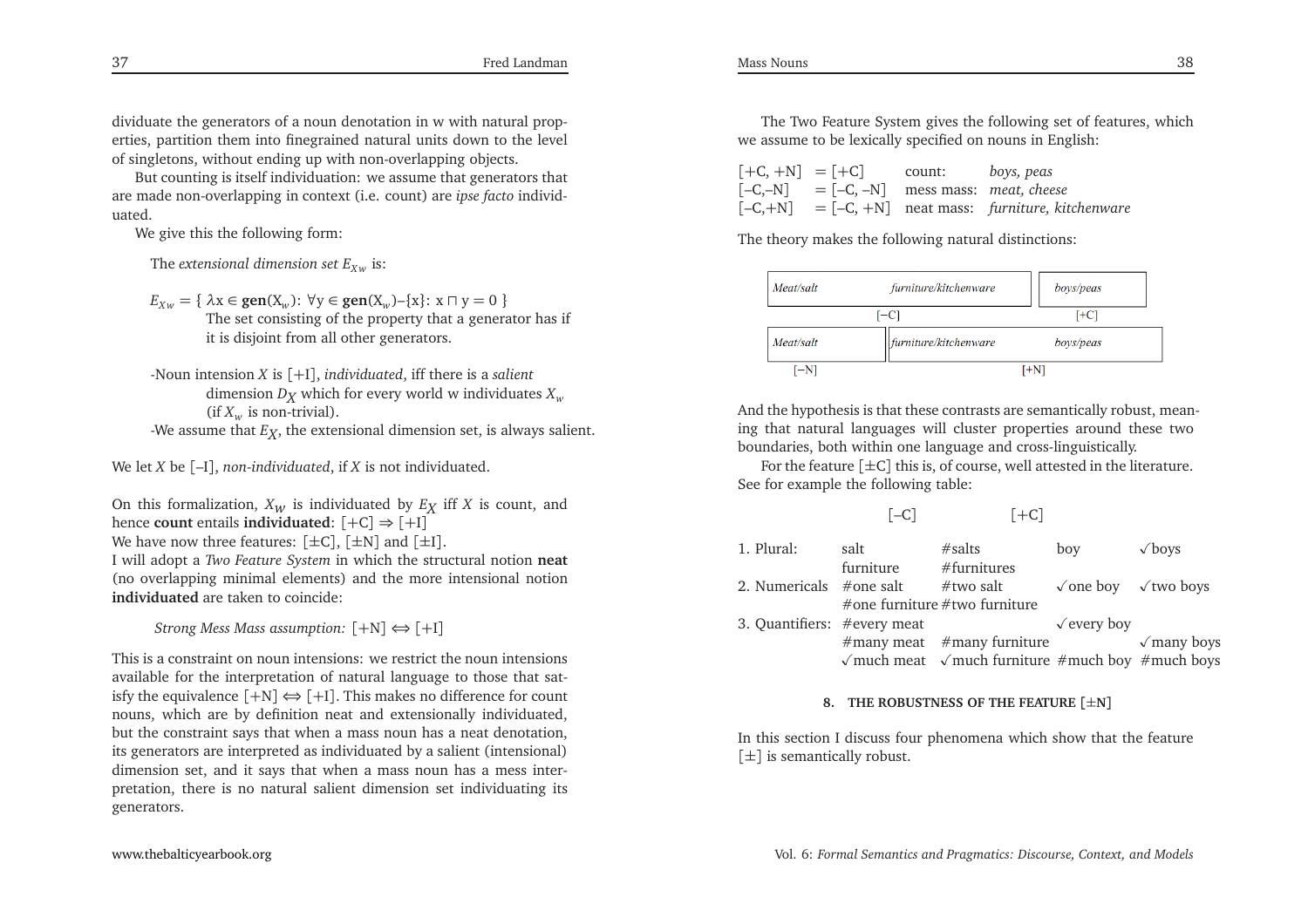dividuate the generators of <sup>a</sup> noun denotation in <sup>w</sup> with natural properties, partition them into finegrained natural units down to the levelof singletons, without ending up with non-overlapping objects.

But counting is itself individuation: we assume that generators that are made non-overlapping in context (i.e. count) are *ipse facto* individuated.

We <sup>g</sup>ive this the following form:

The extensional dimension set  $E_{Xw}$  is:

 $E_{Xw} = \{ \lambda x \in \text{gen}(X_w): \forall y \in \text{gen}(X_w) - \{x\}: x \sqcap y = 0 \}$ <br>The set consisting of the property that a separate The set consisting of the property that <sup>a</sup> generator has ifit is disjoint from all other generators.

-Noun intension *<sup>X</sup>* is [+I], *individuated*, iff there is <sup>a</sup> *salient* dimension  $D_X$  which for every world w individuates  $X_w$  $(\text{if } X_w \text{ is non-trivial}).$ 

-We assume that  $E_X^{}$ , the extensional dimension set, is always salient.

We let *<sup>X</sup>* be [–I], *non-individuated*, if *<sup>X</sup>* is not individuated.

On this formalization,  $X_W$  is individuated by  $E_X$  iff *X* is count, and hance **count** ontails individuated:  $[+C] \rightarrow [+1]$ hence **count** entails **individuated**: [+C] <sup>⇒</sup> [+I]

We have now three features:  $[\pm C]$ ,  $[\pm N]$  and  $[\pm I]$ .

<sup>I</sup> will adopt <sup>a</sup> *Two Feature System* in which the structural notion **neat** (no overlapping minimal elements) and the more intensional notion**individuated** are taken to coincide:

*Strong Mess Mass assumption:* [+N] <sup>⇔</sup> [+I]

This is <sup>a</sup> constraint on noun intensions: we restrict the noun intensions available for the interpretation of natural language to those that satisfy the equivalence  $[+N] \Leftrightarrow$ isfy the equivalence  $[+N] \Leftrightarrow [+1]$ . This makes no difference for count nouns, which are by definition neat and extensionally individuated, but the constraint says that when <sup>a</sup> mass noun has <sup>a</sup> neat denotation, its generators are interpreted as individuated by <sup>a</sup> salient (intensional) dimension set, and it says that when <sup>a</sup> mass noun has <sup>a</sup> mess interpretation, there is no natural salient dimension set individuating itsgenerators.

| $[+C, +N] = [+C]$ |                                             | count: boys, peas |                                                                          |
|-------------------|---------------------------------------------|-------------------|--------------------------------------------------------------------------|
|                   | $[-C,-N] = [-C,-N]$ mess mass: meat, cheese |                   |                                                                          |
|                   |                                             |                   | $[-C, +N]$ = $[-C, +N]$ neat mass: <i>furniture</i> , <i>kitchenware</i> |

The theory makes the following natural distinctions:

| Meat/salt<br>furniture/kitchenware |      | boys/peas |
|------------------------------------|------|-----------|
|                                    | [-C] | [+C       |
| furniture/kitchenware<br>Meat/salt |      | boys/peas |
| ∫–N                                | ſ+N  |           |

And the hypothesis is that these contrasts are semantically robust, meaning that natural languages will cluster properties around these twoboundaries, both within one language and cross-linguistically.

For the feature  $[\pm C]$  this is, of course, well attested in the literature. See for example the following table:

# $[-C]$   $[+C]$

| 1. Plural:                  | salt      | #salts                                                              | boy                                              | $\sqrt{\text{boys}}$ |
|-----------------------------|-----------|---------------------------------------------------------------------|--------------------------------------------------|----------------------|
|                             | furniture | $#$ furnitures                                                      |                                                  |                      |
| 2. Numericals #one salt     |           | #two salt                                                           | $\sqrt{\text{one}}$ boy $\sqrt{\text{two}}$ boys |                      |
|                             |           | #one furniture #two furniture                                       |                                                  |                      |
| 3. Quantifiers: #every meat |           |                                                                     | $\sqrt{\text{every}}$ boy                        |                      |
|                             |           | $#$ many meat $#$ many furniture                                    |                                                  | $\sqrt{$ many boys   |
|                             |           | $\sqrt{m}$ much meat $\sqrt{m}$ much furniture #much boy #much boys |                                                  |                      |

# **8. THE ROBUSTNESS OF THE FEATURE [**±**N]**

In this section <sup>I</sup> discuss four <sup>p</sup>henomena which show that the feature $[\pm]$  is semantically robust.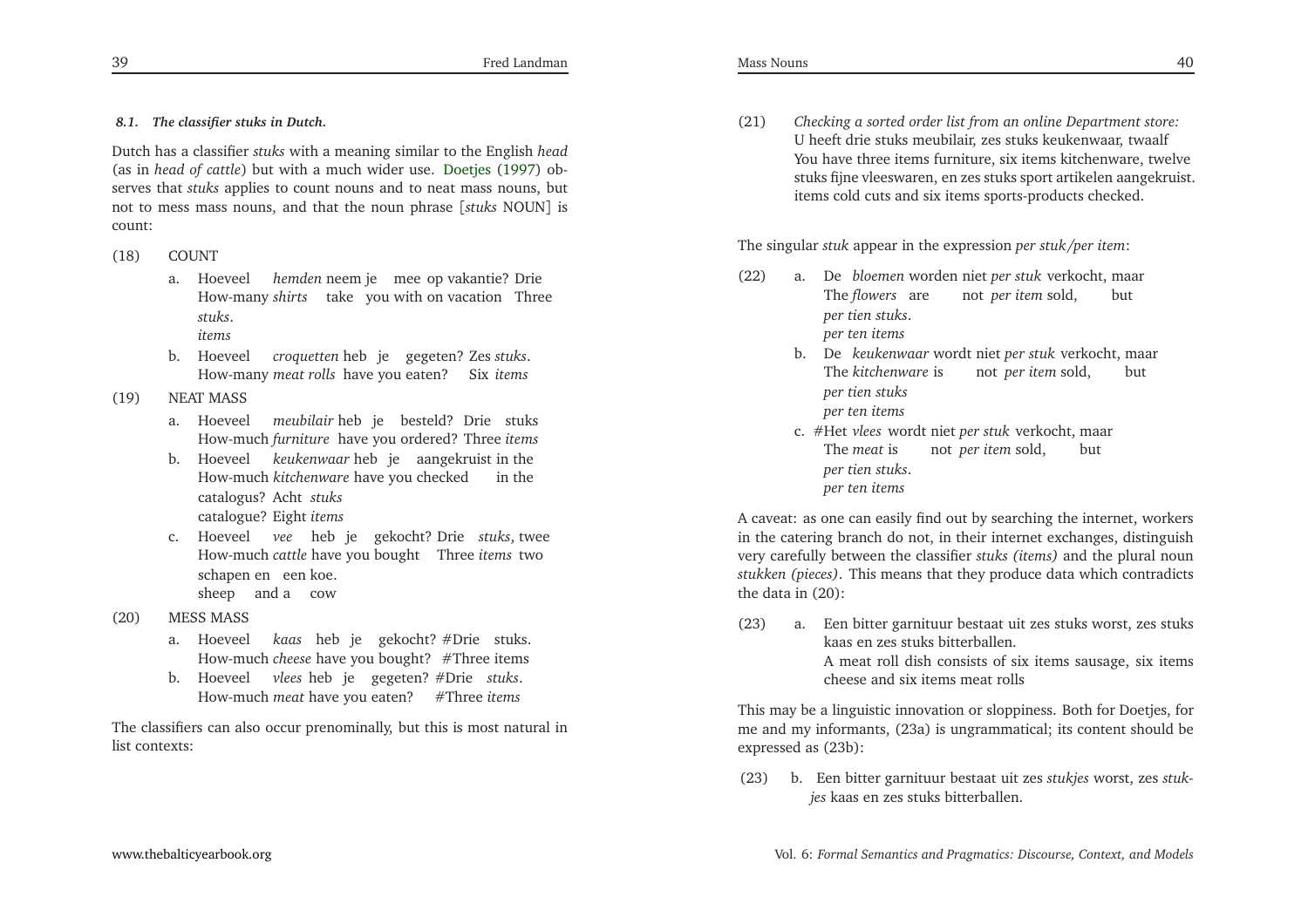Fred Landman

# *8.1. The classifier stuks in Dutch.*

Dutch has <sup>a</sup> classifier *stuks* with <sup>a</sup> meaning similar to the English *head* (as in *head of cattle*) but with <sup>a</sup> much wider use. [Doetjes](#page-33-13) [\(1997\)](#page-33-13) observes that *stuks* applies to count nouns and to neat mass nouns, but not to mess mass nouns, and that the noun <sup>p</sup>hrase [*stuks* NOUN] is count:

### (18) COUNT

- a. HoeveelHow-many *shirts* take you with on vacation Three*hemden* neem je mee op vakantie? Drie *stuks*.
	- *items*
- b. Hoeveel*croquetten*hebjegegeten?Zes*stuks*.How-many *meat rolls* have you eaten? Six*items*

### (19) NEAT MASS

- a. Hoeveel meubilair**heb** je besteld? Drie stuks How-much *furniture* have you ordered? Three *items*
- b. Hoeveel keukenwaar heb je aangekruist in the How-much *kitchenware* have you checked in the catalogus? Acht stuks catalogue? Eight *items*
- c. Hoeveel*vee*hebjegekocht?Drie*stuks*,twee How-much *cattle* have you bought Three *items* twoschapen en een koe. sheep and a cow
- (20) MESS MASS
	- a. Hoeveel *kaas* heb je gekocht?#Drie stuks. How-much *cheese* have you bought? #Three items
	- b. Hoeveel*vlees*hebjegegeten?#Drie*stuks*.How-much *meat* have you eaten? #Three *items*

The classifiers can also occur prenominally, but this is most natural inlist contexts:

(21) *Checking <sup>a</sup> sorted order list from an online Department store:* <sup>U</sup> heeft drie stuks meubilair, zes stuks keukenwaar, twaalf You have three items furniture, six items kitchenware, twelve stuks fijne vleeswaren, en zes stuks spor<sup>t</sup> artikelen aangekruist. items cold cuts and six items sports-products checked.

The singular *stuk* appear in the expression *per stuk/per item*:

- (22) a. De*bloemen*wordenniet*per stuk*verkocht,maarThe *flowers* are *per tien stuks*. not *per item*sold,but*per ten items*
	- b. De*keukenwaar*wordtniet*per stuk*verkocht,maar The *kitchenware*is *per tien stuks* not *per item*sold,but*per ten items*
	- c. #Het*vlees*wordtniet*per stuk*verkocht,maar The *meat*is *per tien stuks*. not *per item*sold,but*per ten items*

<sup>A</sup> caveat: as one can easily find out by searching the internet, workers in the catering branch do not, in their internet exchanges, distinguish very carefully between the classifier *stuks (items)* and the <sup>p</sup>lural noun *stukken (pieces)*. This means that they produce data which contradictsthe data in (20):

(23) a. Een bitter garnituur bestaat uit zes stuks worst, zes stuks kaas en zes stuks bitterballen. <sup>A</sup> meat roll dish consists of six items sausage, six itemscheese and six items meat rolls

This may be <sup>a</sup> linguistic innovation or sloppiness. Both for Doetjes, for me and my informants, (23a) is ungrammatical; its content should beexpressed as (23b):

(23) b. Een bitter garnituur bestaat uit zes *stukjes* worst, zes *stukjes* kaas en zes stuks bitterballen.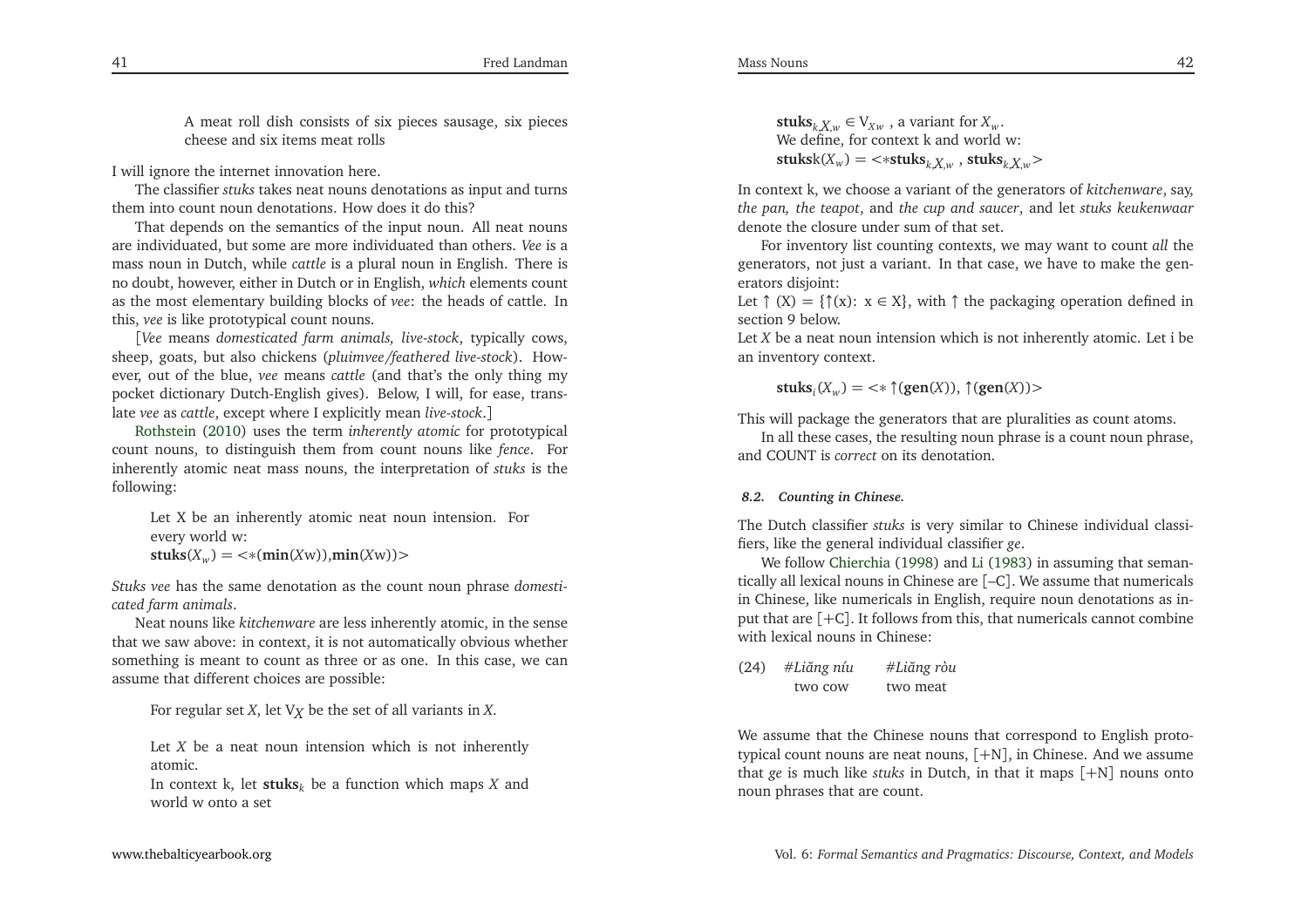Mass Nouns

<sup>A</sup> meat roll dish consists of six <sup>p</sup>ieces sausage, six <sup>p</sup>iecescheese and six items meat rolls

<sup>I</sup> will ignore the internet innovation here.

The classifier *stuks* takes neat nouns denotations as input and turnsthem into count noun denotations. How does it do this?

 That depends on the semantics of the input noun. All neat nouns are individuated, but some are more individuated than others. *Vee* is <sup>a</sup> mass noun in Dutch, while *cattle* is <sup>a</sup> <sup>p</sup>lural noun in English. There is no doubt, however, either in Dutch or in English, *which* elements count as the most elementary building blocks of *vee*: the heads of cattle. Inthis, *vee* is like prototypical count nouns.

[*Vee* means *domesticated farm animals, live-stock*, typically cows, sheep, goats, but also chickens (*pluimvee/feathered live-stock*). However, out of the blue, *vee* means *cattle* (and that's the only thing my pocket dictionary Dutch-English <sup>g</sup>ives). Below, <sup>I</sup> will, for ease, translate *vee* as *cattle*, excep<sup>t</sup> where <sup>I</sup> explicitly mean *live-stock*.]

Rothstein [\(2010](#page-34-4)) uses the term *inherently atomic* for prototypical count nouns, to distinguish them from count nouns like *fence*. For inherently atomic neat mass nouns, the interpretation of *stuks* is thefollowing:

Let <sup>X</sup> be an inherently atomic neat noun intension. Forevery world w: $\textbf{stuks}(X_w) = \text{&}( \textbf{min}(Xw) ), \textbf{min}(Xw) )$ 

*Stuks vee* has the same denotation as the count noun <sup>p</sup>hrase *domesticated farm animals*.

Neat nouns like *kitchenware* are less inherently atomic, in the sense that we saw above: in context, it is not automatically obvious whether something is meant to count as three or as one. In this case, we canassume that different choices are possible:

For regular set *<sup>X</sup>*, let <sup>V</sup>*<sup>X</sup>* be the set of all variants in *<sup>X</sup>*.

Let *<sup>X</sup>* be <sup>a</sup> neat noun intension which is not inherently atomic.

In context k, let **stuks***<sup>k</sup>* be <sup>a</sup> function which maps *<sup>X</sup>* and world <sup>w</sup> onto <sup>a</sup> set

**stuks**<sub> $k$ </sub> $X$ <sub>*w*</sub>  $\in$   $V_{Xw}$ , a variant for  $X_w$ . We define, for context k and world w: $\textbf{stuksk}(X_w) = \texttt{~<}{\textbf{~*} \textbf{stuks}}_{k,X,w}$  ,  $\textbf{stuks}_{k,X,w}$ 

In context k, we choose <sup>a</sup> variant of the generators of *kitchenware*, say, *the pan, the teapot*, and *the cup and saucer*, and let *stuks keukenwaar* denote the closure under sum of that set.

For inventory list counting contexts, we may want to count *all* the generators, not just <sup>a</sup> variant. In that case, we have to make the generators disjoint:

Let  $\uparrow$  (X) = { $\uparrow$ (x):  $x \in X$ }, with  $\uparrow$  the packaging operation defined in section 9 below.

Let *<sup>X</sup>* be <sup>a</sup> neat noun intension which is not inherently atomic. Let <sup>i</sup> be an inventory context.

**stuks**<sub>*i*</sub>( $X_w$ ) = <\*  $\uparrow$  (**gen**(*X*)),  $\uparrow$  (**gen**(*X*))>

This will package the generators that are <sup>p</sup>luralities as count atoms.

In all these cases, the resulting noun <sup>p</sup>hrase is <sup>a</sup> count noun <sup>p</sup>hrase, and COUNT is *correct* on its denotation.

# *8.2. Counting in Chinese.*

The Dutch classifier *stuks* is very similar to Chinese individual classifiers, like the general individual classifier *ge*.

We follow [Chierchia](#page-33-4) [\(1998](#page-33-4)) and [Li](#page-33-14) [\(1983](#page-33-14)) in assuming that seman-<br>" tically all lexical nouns in Chinese are [–C]. We assume that numericals in Chinese, like numericals in English, require noun denotations as inpu<sup>t</sup> that are [+C]. It follows from this, that numericals cannot combine with lexical nouns in Chinese:

(24) #*Li˘ang níu* #*Li˘ang ròu* two meat

We assume that the Chinese nouns that correspond to English prototypical count nouns are neat nouns, [+N], in Chinese. And we assume that *ge* is much like *stuks* in Dutch, in that it maps [+N] nouns ontonoun <sup>p</sup>hrases that are count.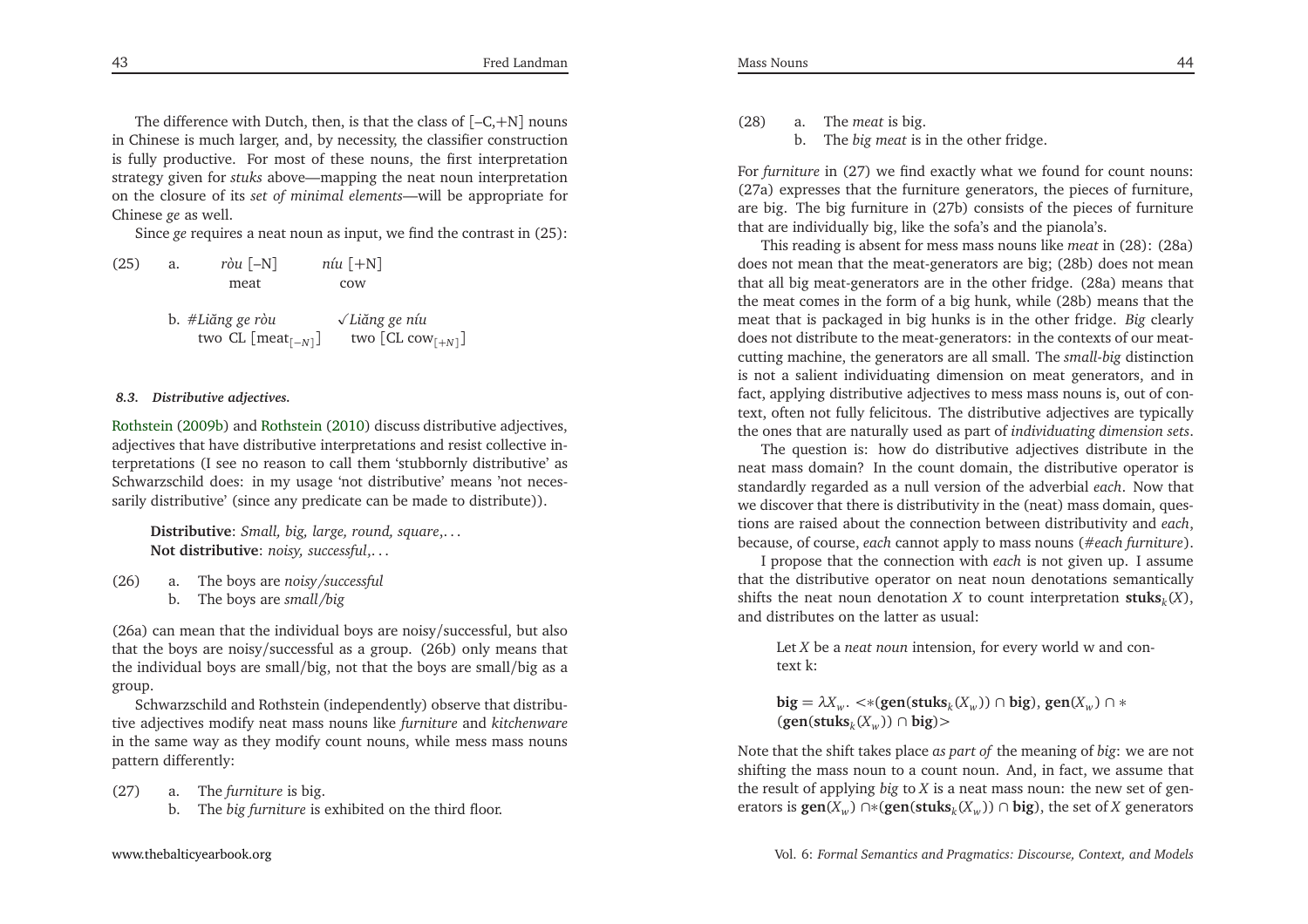The difference with Dutch, then, is that the class of [–C, +N] nouns in Chinese is much larger, and, by necessity, the classifier construction is fully productive. For most of these nouns, the first interpretation strategy <sup>g</sup>iven for *stuks* above—mapping the neat noun interpretation on the closure of its *set of minimal elements*—will be appropriate for Chinese *ge* as well.

Since *ge* requires <sup>a</sup> neat noun as input, we find the contrast in (25):

| (25) | a. | $r\dot{\delta}u$ [-N]          | $niu$ [ $+N$ ]                |  |
|------|----|--------------------------------|-------------------------------|--|
|      |    | meat                           | cow                           |  |
|      |    | b. #Liăng ge ròu               | $\sqrt{L}$ iăng ge níu        |  |
|      |    | two CL [meat <sub>[-N]</sub> ] | two $[CL \text{ cow}_{[+N]}]$ |  |

### *8.3. Distributive adjectives.*

Rothstein [\(2009b](#page-34-8)) and [Rothstein](#page-34-4) [\(2010](#page-34-4)) discuss distributive adjectives, adjectives that have distributive interpretations and resist collective interpretations (I see no reason to call them 'stubbornly distributive' as Schwarzschild does: in my usage 'not distributive' means 'not necessarily distributive' (since any predicate can be made to distribute)).

**Distributive**: *Small, big, large, round, square*,. . . **Not distributive**: *noisy, successful*,. . .

- (26) a. The boys are *noisy /successful*
	- b. The boys are *small /big*

(26a) can mean that the individual boys are noisy/successful, but also that the boys are noisy/successful as <sup>a</sup> group. (26b) only means that the individual boys are small/big, not that the boys are small/big as <sup>a</sup>group.

Schwarzschild and Rothstein (independently) observe that distributive adjectives modify neat mass nouns like *furniture* and *kitchenware* in the same way as they modify count nouns, while mess mass nounspattern differently:

(27) a. The *furniture* is big.

b. The *big furniture* is exhibited on the third floor.

(28) a. The *meat* is big. b. The *big meat* is in the other fridge.

For *furniture* in (27) we find exactly what we found for count nouns: (27a) expresses that the furniture generators, the <sup>p</sup>ieces of furniture, are big. The big furniture in (27b) consists of the <sup>p</sup>ieces of furniturethat are individually big, like the sofa's and the <sup>p</sup>ianola's.

This reading is absent for mess mass nouns like *meat* in (28): (28a) does not mean that the meat-generators are big; (28b) does not mean that all big meat-generators are in the other fridge. (28a) means that the meat comes in the form of <sup>a</sup> big hunk, while (28b) means that the meat that is packaged in big hunks is in the other fridge. *Big* clearly does not distribute to the meat-generators: in the contexts of our meatcutting machine, the generators are all small. The *small-big* distinction is not <sup>a</sup> salient individuating dimension on meat generators, and in fact, applying distributive adjectives to mess mass nouns is, out of context, often not fully felicitous. The distributive adjectives are typicallythe ones that are naturally used as par<sup>t</sup> of *individuating dimension sets*.

The question is: how do distributive adjectives distribute in the neat mass domain? In the count domain, the distributive operator is standardly regarded as <sup>a</sup> null version of the adverbial *each*. Now that we discover that there is distributivity in the (neat) mass domain, questions are raised about the connection between distributivity and *each*, because, of course, *each* cannot apply to mass nouns (#*each furniture*).

<sup>I</sup> propose that the connection with *each* is not <sup>g</sup>iven up. <sup>I</sup> assume that the distributive operator on neat noun denotations semanticallyshifts the neat noun denotation *X* to count interpretation  $\textbf{stuks}_k(X)$ , and distributes on the latter as usual:

Let*X* be <sup>a</sup> *neat noun* intension, for every world <sup>w</sup> and context k:

**big** =  $\lambda X_w$ . <\*(**gen**(**stuks**<sub>*k*</sub>( $X_w$ )) ∩ **big**), **gen**( $X_w$ ) ∩ \* (**gen**(**stuks***k*(*Xw* )) ∩ **big**)<sup>&</sup>gt;

Note that the shift takes <sup>p</sup>lace *as par<sup>t</sup> of* the meaning of *big*: we are not shifting the mass noun to <sup>a</sup> count noun. And, in fact, we assume that the result of applying *big* to*X* is <sup>a</sup> neat mass noun: the new set of generators is **gen**(*<sup>X</sup>w*) ∩∗(**gen**(**stuks***<sup>k</sup>*(*Xw* )) ∩ **big**), the set of *X* generators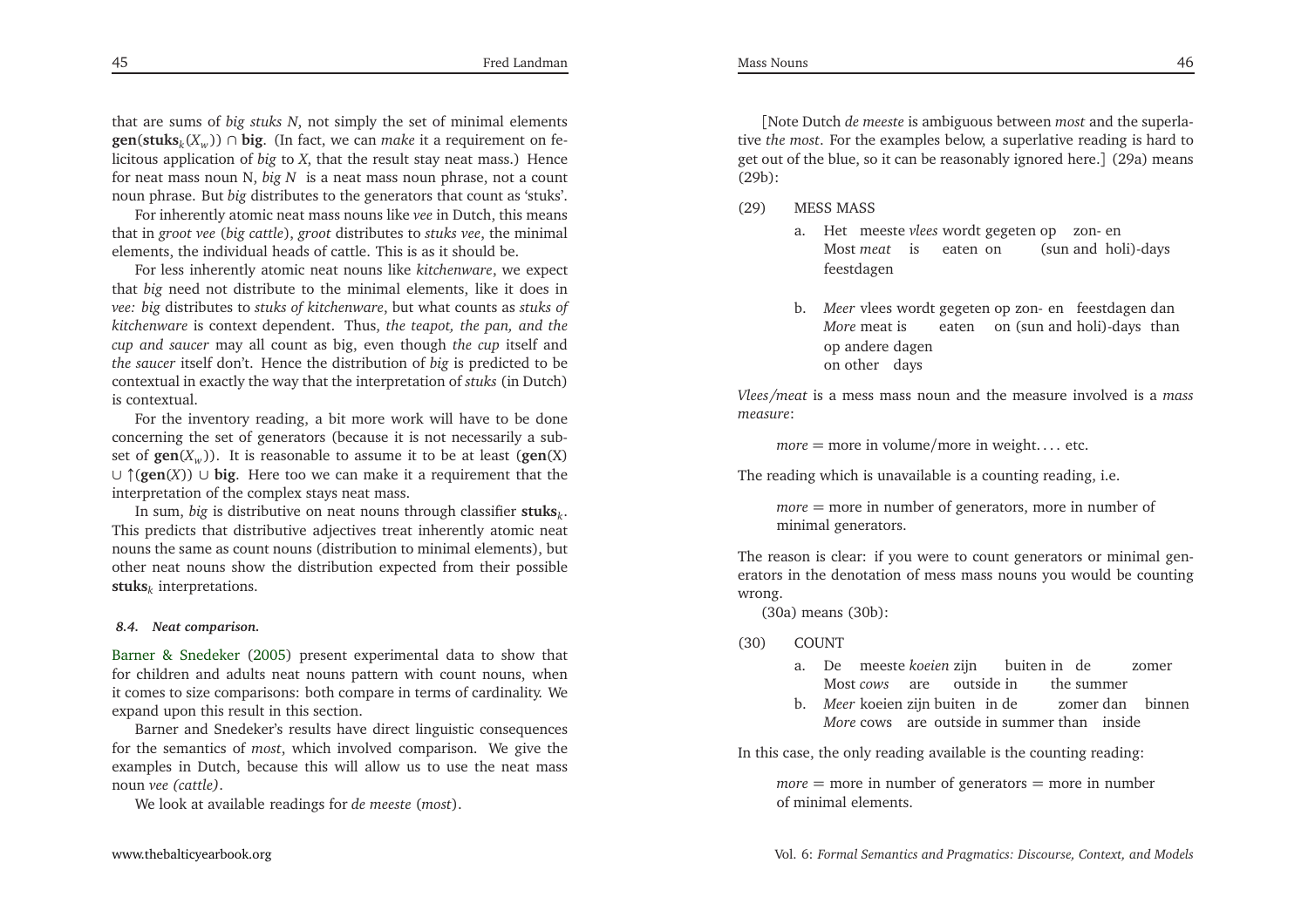that are sums of *big stuks <sup>N</sup>*, not simply the set of minimal elements**gen**(**stuks**<sub>*k*</sub>( $X_w$ )) ∩ **big**. (In fact, we can *make* it a requirement on felicitous application of *big* to *<sup>X</sup>*, that the result stay neat mass.) Hence for neat mass noun N, *big <sup>N</sup>* is <sup>a</sup> neat mass noun <sup>p</sup>hrase, not <sup>a</sup> count noun <sup>p</sup>hrase. But *big* distributes to the generators that count as 'stuks'.

For inherently atomic neat mass nouns like *vee* in Dutch, this means that in *groo<sup>t</sup> vee* (*big cattle*), *groo<sup>t</sup>* distributes to *stuks vee*, the minimal elements, the individual heads of cattle. This is as it should be.

For less inherently atomic neat nouns like *kitchenware*, we expec<sup>t</sup> that *big* need not distribute to the minimal elements, like it does in *vee: big* distributes to *stuks of kitchenware*, but what counts as *stuks of kitchenware* is context dependent. Thus, *the teapot, the pan, and the cup and saucer* may all count as big, even though *the cup* itself and *the saucer* itself don't. Hence the distribution of *big* is predicted to be contextual in exactly the way that the interpretation of *stuks* (in Dutch)is contextual.

For the inventory reading, <sup>a</sup> bit more work will have to be done concerning the set of generators (because it is not necessarily <sup>a</sup> subset of  $\text{gen}(X_w)$ ). It is reasonable to assume it to be at least  $(\text{gen}(X))$ <sup>∪</sup> <sup>↑</sup>(**gen**(*X*)) <sup>∪</sup> **big**. Here too we can make it <sup>a</sup> requirement that the interpretation of the complex stays neat mass.

In sum, *big* is distributive on neat nouns through classifier **stuks***<sup>k</sup>*. This predicts that distributive adjectives treat inherently atomic neat nouns the same as count nouns (distribution to minimal elements), but other neat nouns show the distribution expected from their possible**stuks***k* interpretations.

#### *8.4. Neat comparison.*

Barner & Snedeker [\(2005](#page-33-15)) presen<sup>t</sup> experimental data to show that for children and adults neat nouns pattern with count nouns, when it comes to size comparisons: both compare in terms of cardinality. Weexpand upon this result in this section.

Barner and Snedeker's results have direct linguistic consequences for the semantics of *most*, which involved comparison. We <sup>g</sup>ive the examples in Dutch, because this will allow us to use the neat massnoun *vee (cattle)*.

We look at available readings for *de meeste* (*most*).

[Note Dutch *de meeste* is ambiguous between *most* and the superlative *the most*. For the examples below, <sup>a</sup> superlative reading is hard to ge<sup>t</sup> out of the blue, so it can be reasonably ignored here.] (29a) means (29b):

(29) MESS MASS

- a. Het meeste *vlees* wordt gegeten op zon- Most *meat* is eatenonop zon- en<br>(sun and holi)-days feestdagen
- b. Meer vlees wordt gegeten op zon- en feestdagen dan *More* meatisop andere dagen eaten on (sun and holi)-days thanon other days

*Vlees/meat* is <sup>a</sup> mess mass noun and the measure involved is <sup>a</sup> *mass measure*:

*more* <sup>=</sup> more in volume/more in weight. . . . etc.

The reading which is unavailable is <sup>a</sup> counting reading, i.e.

*more* <sup>=</sup> more in number of generators, more in number of minimal generators.

The reason is clear: if you were to count generators or minimal generators in the denotation of mess mass nouns you would be countingwrong.

(30a) means (30b):

(30) COUNT

- a. Demeeste*koeien*zijn Most *cows* are outsideinbuiten in) de the summerzomer
- b. Meer koeien zijn buiten in de zomer dan binnen *More* cows are outside in summer than inside

In this case, the only reading available is the counting reading:

*more* = more in number of generators = more in number of minimal elements.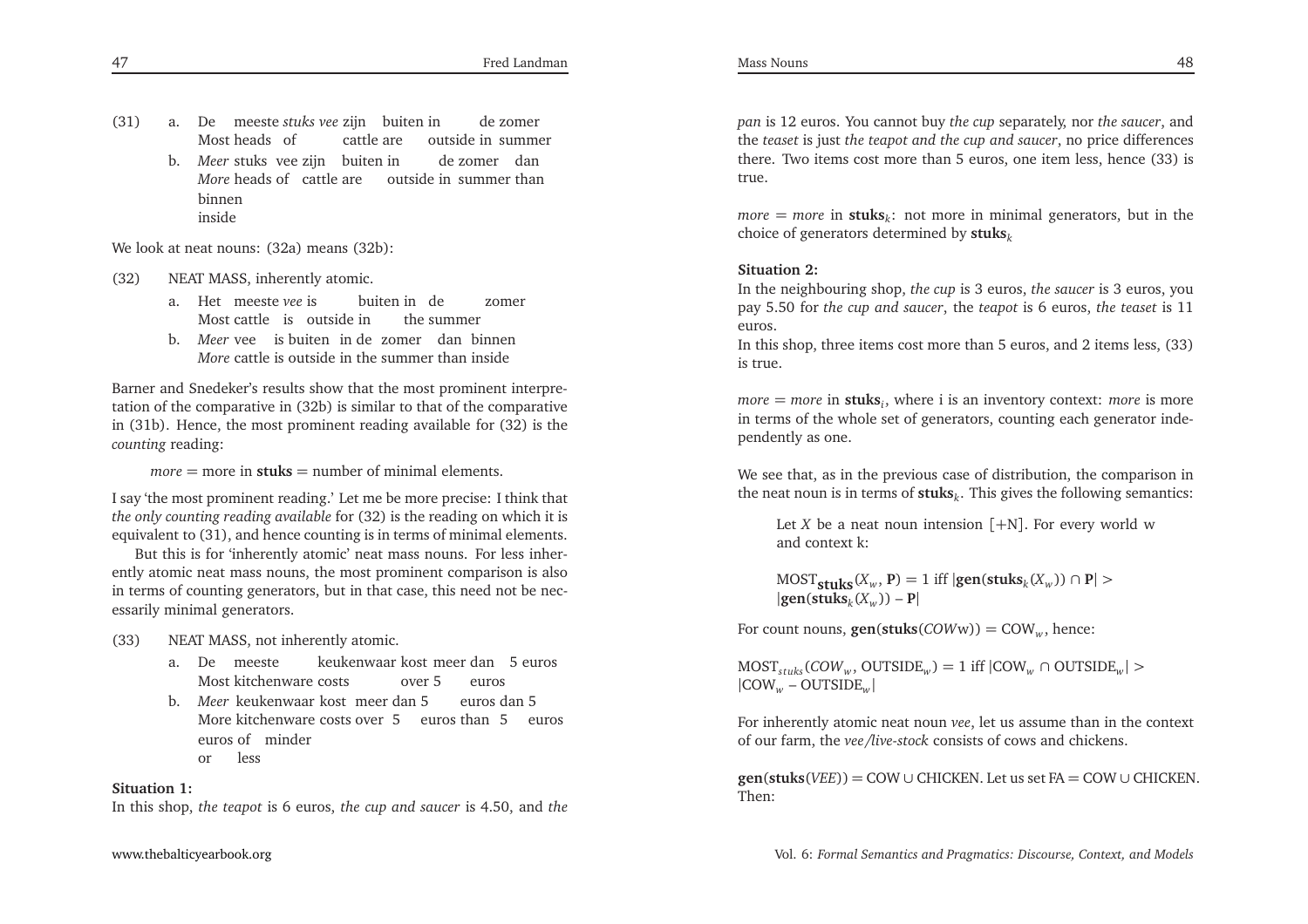b. *Meer* stuks vee zijn buiten in de zomer dan *More* heads of cattle are outside in summer than binneninside

We look at neat nouns: (32a) means (32b):

- (32) NEAT MASS, inherently atomic.
	- a. Het meeste*vee* is Most cattle is outsideinbuiten in) de the summerzomer
	- b. *Meer* vee is buiten in de zomer dan binnen More cattle is outside in the summer than inside

Barner and Snedeker's results show that the most prominent interpretation of the comparative in (32b) is similar to that of the comparative in (31b). Hence, the most prominent reading available for (32) is the*counting* reading:

*more* <sup>=</sup> more in **stuks** <sup>=</sup> number of minimal elements.

<sup>I</sup> say 'the most prominent reading.' Let me be more precise: <sup>I</sup> think that *the only counting reading available* for (32) is the reading on which it is equivalent to (31), and hence counting is in terms of minimal elements.

But this is for 'inherently atomic' neat mass nouns. For less inherently atomic neat mass nouns, the most prominent comparison is also in terms of counting generators, but in that case, this need not be necessarily minimal generators.

- (33) NEAT MASS, not inherently atomic.
	- a. De meeste Most kitchenware costs keukenwaar kost meer dan 5 euros over 5 euros
	- b. Meer keukenwaar kost meer dan 5 More kitchenware costs over 5 euros than 5 euroseuros of minder euros dan 5 or less

# **Situation 1:**

In this shop, *the teapot* is <sup>6</sup> euros, *the cup and saucer* is 4.50, and *the*

*pan* is <sup>12</sup> euros. You cannot buy *the cup* separately, nor *the saucer*, and the *teaset* is just *the teapot and the cup and saucer*, no price differences there. Two items cost more than <sup>5</sup> euros, one item less, hence (33) istrue.

*more* = *more* in **stuks**<sub>*k*</sub>: not more in minimal generators, but in the choice of generators determined by **stuks***<sup>k</sup>*

# **Situation 2:**

 In the neighbouring shop, *the cup* is <sup>3</sup> euros, *the saucer* is <sup>3</sup> euros, you pay 5.50 for *the cup and saucer*, the *teapot* is <sup>6</sup> euros, *the teaset* is <sup>11</sup>euros.

In this shop, three items cost more than <sup>5</sup> euros, and <sup>2</sup> items less, (33)is true.

*more* <sup>=</sup> *more* in **stuks***<sup>i</sup>*, where <sup>i</sup> is an inventory context: *more* is more in terms of the whole set of generators, counting each generator independently as one.

We see that, as in the previous case of distribution, the comparison inthe neat noun is in terms of **stuks***<sup>k</sup>*. This <sup>g</sup>ives the following semantics:

Let *<sup>X</sup>* be <sup>a</sup> neat noun intension [+N]. For every world <sup>w</sup>and context k:

 $MOST_{\textbf{stuks}}(X_w, \mathbf{P}) = 1$  iff  $|\textbf{gen}(\textbf{stuks}_k(X_w)) \cap \mathbf{P}| >$ |**gen**(**stuks***k*(*Xw* )) – **<sup>P</sup>**<sup>|</sup>

For count nouns, **gen**(**stuks**(*COW*w)) <sup>=</sup> COW*<sup>w</sup>* , hence:

 $\text{MOST}_{stuks}(\text{COW}_w, \text{OUTSIDE}_w) = 1 \text{ iff } |\text{COW}_w \cap \text{OUTSIDE}_w| >$ |COW*w* – OUTSIDE*<sup>w</sup>* <sup>|</sup>

For inherently atomic neat noun *vee*, let us assume than in the context of our farm, the *vee/live-stock* consists of cows and chickens.

**gen**(**stuks**(*VEE*)) <sup>=</sup> COW <sup>∪</sup> CHICKEN. Let us set FA <sup>=</sup> COW <sup>∪</sup> CHICKEN. Then: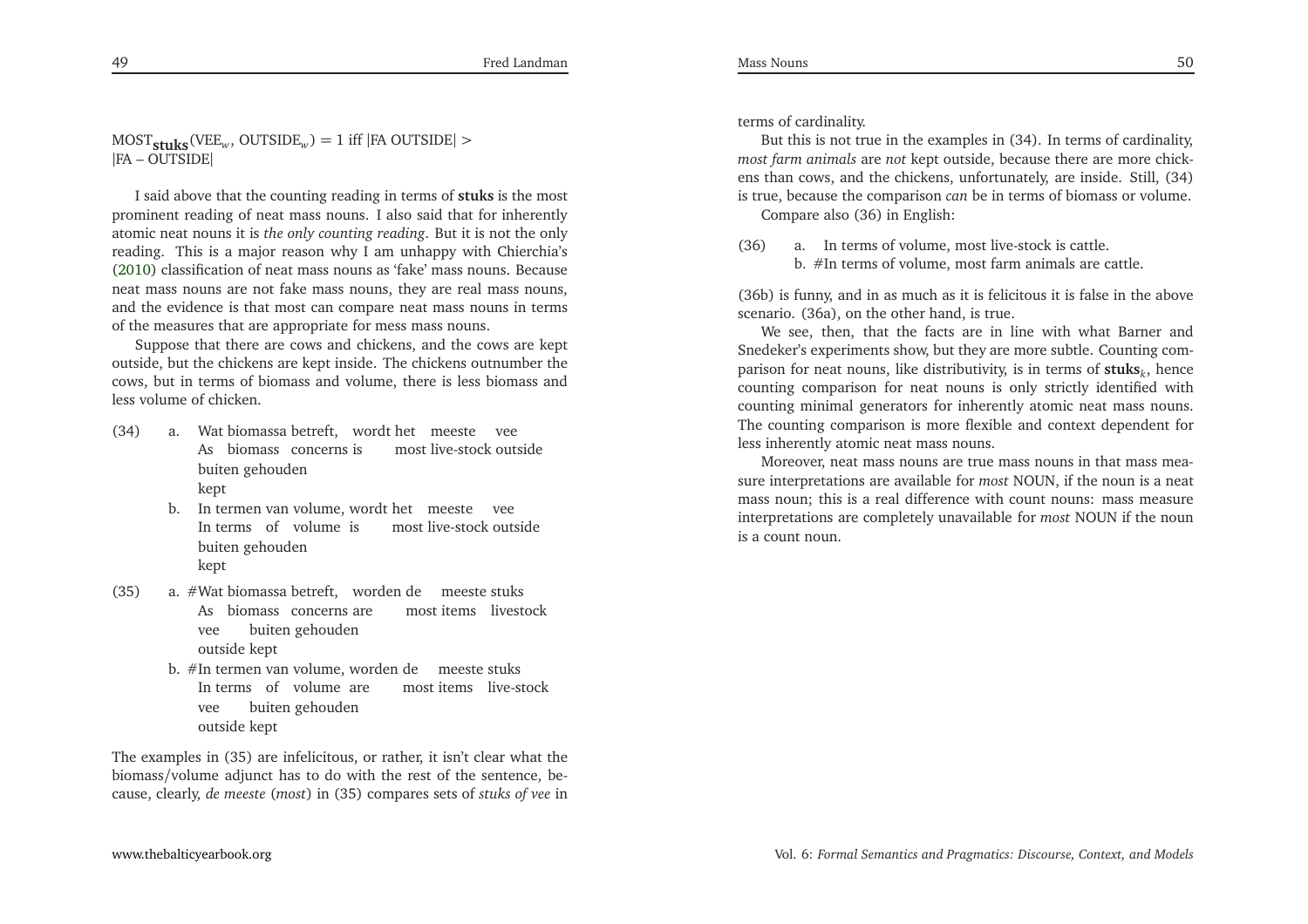MOST**stuks**(VEE*<sup>w</sup>*, OUTSIDE*w*) <sup>=</sup> <sup>1</sup> iff <sup>|</sup>FA OUTSIDE<sup>|</sup> <sup>&</sup>gt; |FA – OUTSIDE|

<sup>I</sup> said above that the counting reading in terms of **stuks** is the most prominent reading of neat mass nouns. <sup>I</sup> also said that for inherently atomic neat nouns it is *the only counting reading*. But it is not the only reading. This is <sup>a</sup> major reason why <sup>I</sup> am unhappy with Chierchia's [\(2010](#page-33-5)) classification of neat mass nouns as 'fake' mass nouns. Because neat mass nouns are not fake mass nouns, they are real mass nouns, and the evidence is that most can compare neat mass nouns in termsof the measures that are appropriate for mess mass nouns.

Suppose that there are cows and chickens, and the cows are kept outside, but the chickens are kept inside. The chickens outnumber the cows, but in terms of biomass and volume, there is less biomass andless volume of chicken.

- (34) a. Wat biomassa betreft, wordt het meeste vee As biomass concerns is buiten gehouden most live-stock outsidekept
	- b. In termen van volume, wordt het meeste vee In terms of volume is buiten gehouden most live-stock outsidekept
- (35) a. #Wat biomassa betreft, worden de meeste stuks As biomass concerns are buiten gehouden most items livestockveeoutside kept
	- b. #In termen van volume, worden de In terms of volume are vee most items live-stockmeeste stuks outside kept buiten gehouden

The examples in (35) are infelicitous, or rather, it isn't clear what the biomass/volume adjunct has to do with the rest of the sentence, because, clearly, *de meeste* (*most*) in (35) compares sets of *stuks of vee* in

terms of cardinality.

But this is not true in the examples in (34). In terms of cardinality, *most farm animals* are *not* kept outside, because there are more chickens than cows, and the chickens, unfortunately, are inside. Still, (34)is true, because the comparison *can* be in terms of biomass or volume.

Compare also (36) in English:

(36) a. In terms of volume, most live-stock is cattle. b. #In terms of volume, most farm animals are cattle.

(36b) is funny, and in as much as it is felicitous it is false in the above scenario. (36a), on the other hand, is true.

We see, then, that the facts are in line with what Barner and Snedeker's experiments show, but they are more subtle. Counting comparison for neat nouns, like distributivity, is in terms of **stuks***<sup>k</sup>*, hence counting comparison for neat nouns is only strictly identified with counting minimal generators for inherently atomic neat mass nouns. The counting comparison is more flexible and context dependent forless inherently atomic neat mass nouns.

Moreover, neat mass nouns are true mass nouns in that mass mea sure interpretations are available for *most* NOUN, if the noun is <sup>a</sup> neat mass noun; this is <sup>a</sup> real difference with count nouns: mass measure interpretations are completely unavailable for *most* NOUN if the nounis <sup>a</sup> count noun.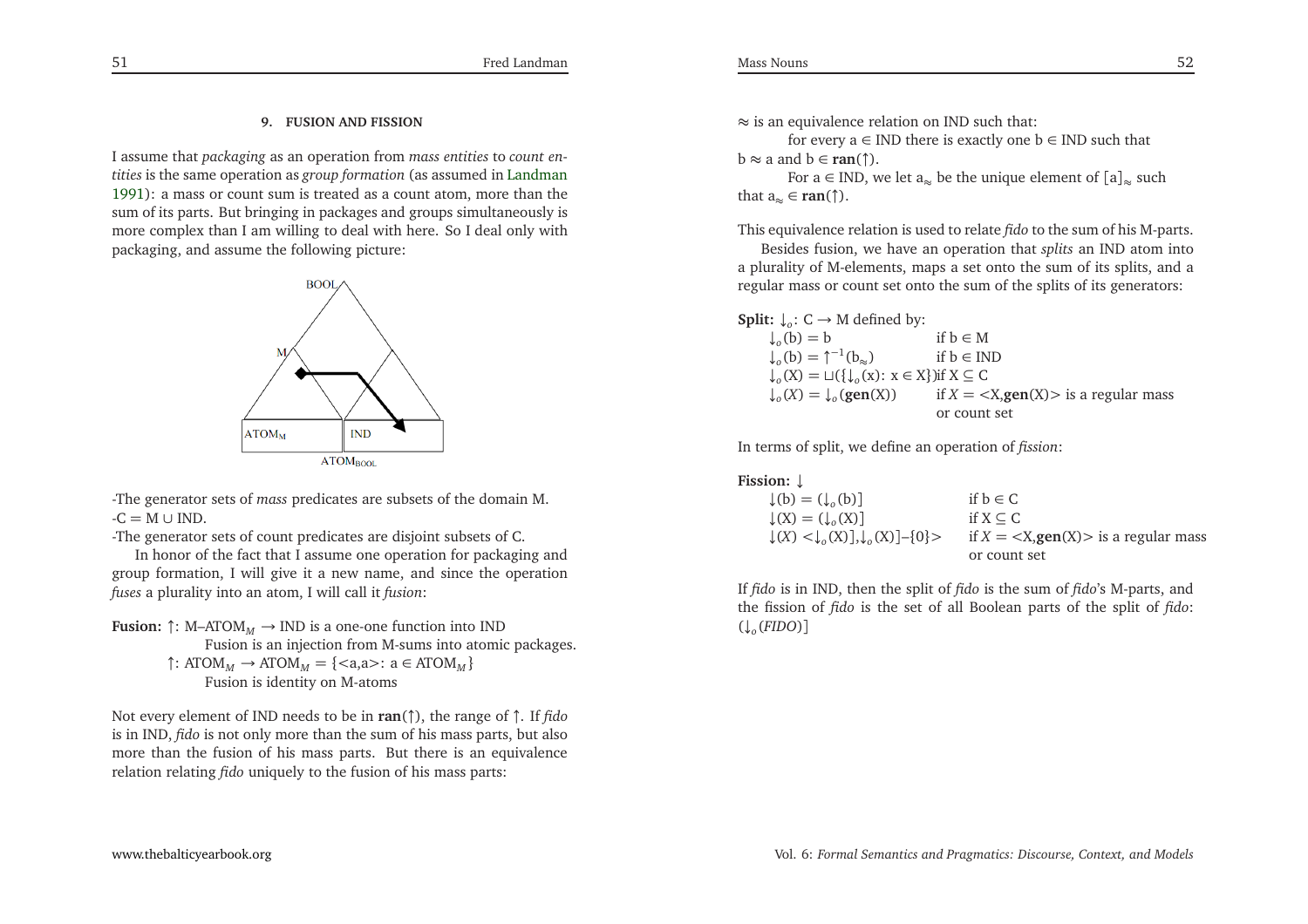## **9. FUSION AND FISSION**

<sup>I</sup> assume that *packaging* as an operation from *mass entities* to *count entities* is the same operation as *group formation* (as assumed in [Landman](#page-33-0) [1991](#page-33-0)): <sup>a</sup> mass or count sum is treated as <sup>a</sup> count atom, more than the sum of its parts. But bringing in packages and groups simultaneously is more complex than <sup>I</sup> am willing to deal with here. So <sup>I</sup> deal only withpackaging, and assume the following <sup>p</sup>icture:



-The generator sets of *mass* predicates are subsets of the domain M.  $-C = M \cup IND$ .<br>The concreter

-The generator sets of count predicates are disjoint subsets of C.

In honor of the fact that <sup>I</sup> assume one operation for packaging and group formation, <sup>I</sup> will <sup>g</sup>ive it <sup>a</sup> new name, and since the operation*fuses* <sup>a</sup> <sup>p</sup>lurality into an atom, <sup>I</sup> will call it *fusion*:

**Fusion:**  $\uparrow$ : M-ATOM<sub>*M*</sub>  $\rightarrow$  IND is a one-one function into IND<br>Fusion is an injection from M-sums into atomic Fusion is an injection from M-sums into atomic packages. ↑: ATOM*<sup>M</sup>* <sup>→</sup> ATOM*<sup>M</sup>* <sup>=</sup> {<a,a>: <sup>a</sup> <sup>∈</sup> ATOM*<sup>M</sup>* } Fusion is identity on M-atoms

Not every element of IND needs to be in **ran**(↑), the range of <sup>↑</sup>. If *fido* is in IND, *fido* is not only more than the sum of his mass parts, but also more than the fusion of his mass parts. But there is an equivalencerelation relating *fido* uniquely to the fusion of his mass parts:

≈ is an equivalence relation on IND such that:

for every a ∈ IND there is exactly one  $b \in IND$  such that  $b \approx a$  and  $b \in \text{ran}(\uparrow)$ .

For a ∈ IND, we let a<sub>≈</sub> be the unique element of  $[a]_{\approx}$  such that  $a_{\approx} \in \text{ran}(\uparrow)$ .

This equivalence relation is used to relate *fido* to the sum of his M-parts.

Besides fusion, we have an operation that *splits* an IND atom into <sup>a</sup> <sup>p</sup>lurality of M-elements, maps <sup>a</sup> set onto the sum of its splits, and <sup>a</sup>regular mass or count set onto the sum of the splits of its generators:

**Split:**  $\downarrow_o$ : C  $\rightarrow$  M defined by:

 $\downarrow_o(b) =$  $if b \in M$ if  $h \in IND$  $\downarrow_o(b) =$  <sup>↑</sup>−<sup>1</sup>(b≈) if <sup>b</sup> <sup>∈</sup> IND ↓*o*(X) <sup>=</sup> <sup>⊔</sup>({↓*o*(x): <sup>x</sup> <sup>∈</sup> <sup>X</sup>})if <sup>X</sup> <sup>⊆</sup> <sup>C</sup>  $\downarrow_o(X) =$  $if X = \langle X, \text{gen}(X) \rangle$  *is a regular mass* or count set

In terms of split, we define an operation of *fission*:

| Fission: $\downarrow$ |  |
|-----------------------|--|
|                       |  |

| $\downarrow(b) = (\downarrow_{0}(b))$                                                   | if $b \in C$                                                |
|-----------------------------------------------------------------------------------------|-------------------------------------------------------------|
| $\downarrow(X) = (\downarrow_{\circ}(X))$                                               | if $X \subseteq C$                                          |
| $\downarrow$ (X) < $\downarrow$ <sub>0</sub> (X)], $\downarrow$ <sub>0</sub> (X)]–{0} > | if $X = \langle X, \text{gen}(X) \rangle$ is a regular mass |
|                                                                                         | or count set                                                |

If *fido* is in IND, then the split of *fido* is the sum of *fido*'s M-parts, and the fission of *fido* is the set of all Boolean parts of the split of *fido*: (↓*o*(*FIDO*)]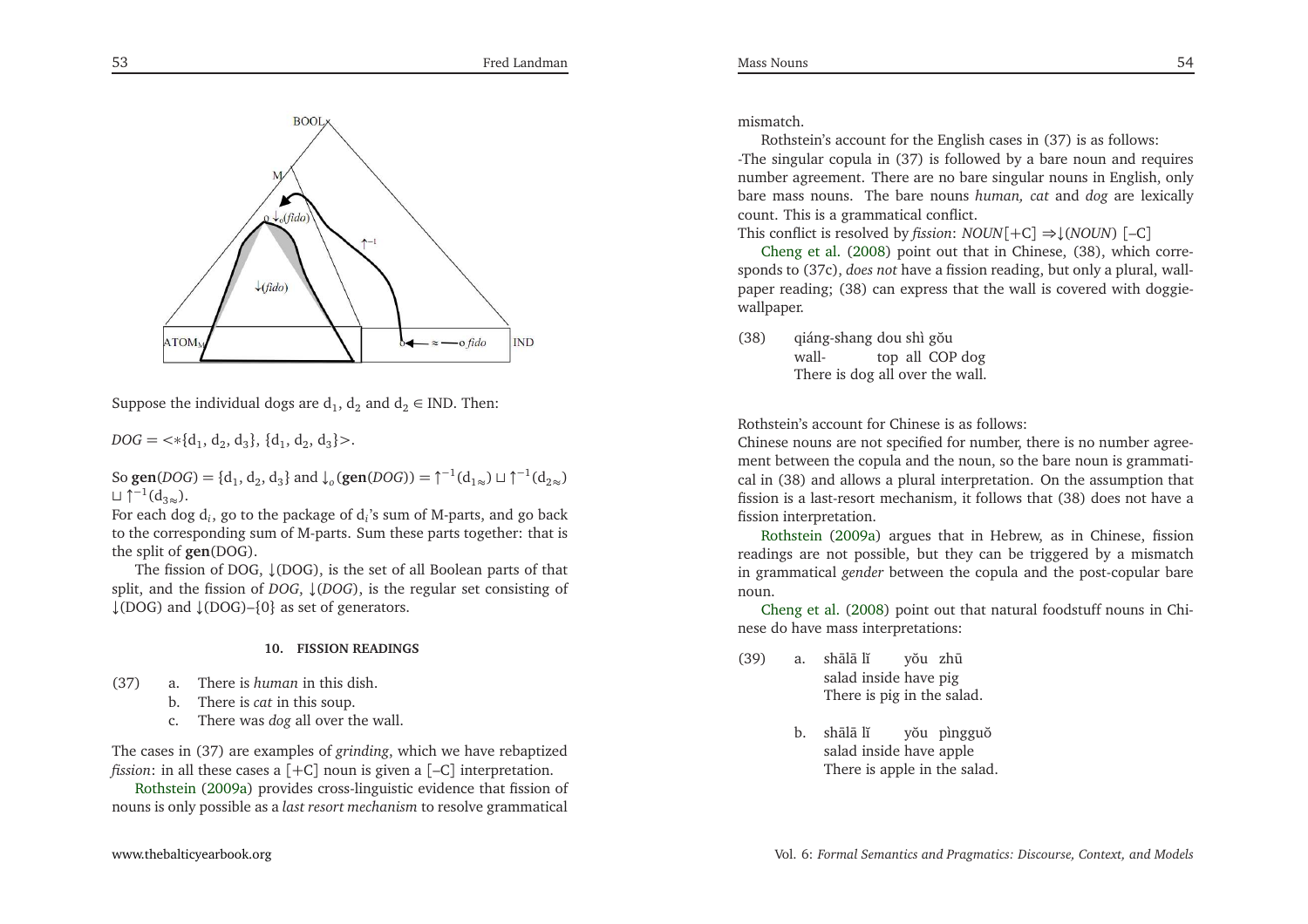

Suppose the individual dogs are  $\mathsf{d}_1, \mathsf{d}_2$  and  $\mathsf{d}_2 \in \text{IND}$ . Then:

 $DOG = \langle * \{d_1, d_2, d_3\}, \{d_1, d_2, d_3\} \rangle.$ 

So **gen**(*DOG*) = {d<sub>1</sub>, d<sub>2</sub>, d<sub>3</sub>} and  $\downarrow_o$ (**gen**(*DOG*)) =  $\uparrow^{-1}(d_{1\approx}) \sqcup \uparrow^{-1}(d_{2\approx})$  $\Box$   $\uparrow^{-1}(d_{3\infty})$ .

For each dog d*<sup>i</sup>*, go to the package of d*i*'s sum of M-parts, and go back to the corresponding sum of M-parts. Sum these parts together: that isthe split of **gen**(DOG).

The fission of DOG, ↓(DOG), is the set of all Boolean parts of that split, and the fission of *DOG*, ↓(*DOG*), is the regular set consisting of  $\downarrow$ (DOG) and  $\downarrow$ (DOG)–{0} as set of generators.

### **10. FISSION READINGS**

- (37) a. There is *human* in this dish.
	- b. There is *cat* in this soup.
	- c. There was *dog* all over the wall.

The cases in (37) are examples of *grinding*, which we have rebaptized*fission*:in all these cases <sup>a</sup> [+C] noun is <sup>g</sup>iven <sup>a</sup> [–C] interpretation.

Rothstein [\(2009a](#page-34-3)) provides cross-linguistic evidence that fission of nouns is only possible as <sup>a</sup> *last resort mechanism* to resolve grammatical

Rothstein's account for the English cases in (37) is as follows: -The singular copula in (37) is followed by <sup>a</sup> bare noun and requires number agreement. There are no bare singular nouns in English, only bare mass nouns. The bare nouns *human, cat* and *dog* are lexically count. This is <sup>a</sup> grammatical conflict.

Thisconflict is resolved by *fission*: *NOUN*[+C] ⇒↓(*NOUN*) [–C]

Cheng et al. [\(2008](#page-33-16)) point out that in Chinese, (38), which corresponds to (37c), *does not* have <sup>a</sup> fission reading, but only <sup>a</sup> <sup>p</sup>lural, wallpaper reading; (38) can express that the wall is covered with doggiewallpaper.

(38) qiáng-shang dou walldou shì gŏu<br>top)all COP dog There is dog all over the wall.

Rothstein's account for Chinese is as follows:

 Chinese nouns are not specified for number, there is no number agreement between the copula and the noun, so the bare noun is grammatical in (38) and allows <sup>a</sup> <sup>p</sup>lural interpretation. On the assumption that fission is <sup>a</sup> last-resort mechanism, it follows that (38) does not have <sup>a</sup>fissioninterpretation.

Rothstein [\(2009a\)](#page-34-3) argues that in Hebrew, as in Chinese, fission readings are not possible, but they can be triggered by <sup>a</sup> mismatch in grammatical *gender* between the copula and the post-copular barenoun.

 Cheng et al. [\(2008](#page-33-16)) point out that natural foodstuff nouns in Chinese do have mass interpretations:

- (39) a. shālā lĭ salad inside have pig There is <sup>p</sup>ig in the salad. yŏu zhū
	- b. shālā lĭ salad inside haveapple There is apple in the salad. yŏu pìngguŏ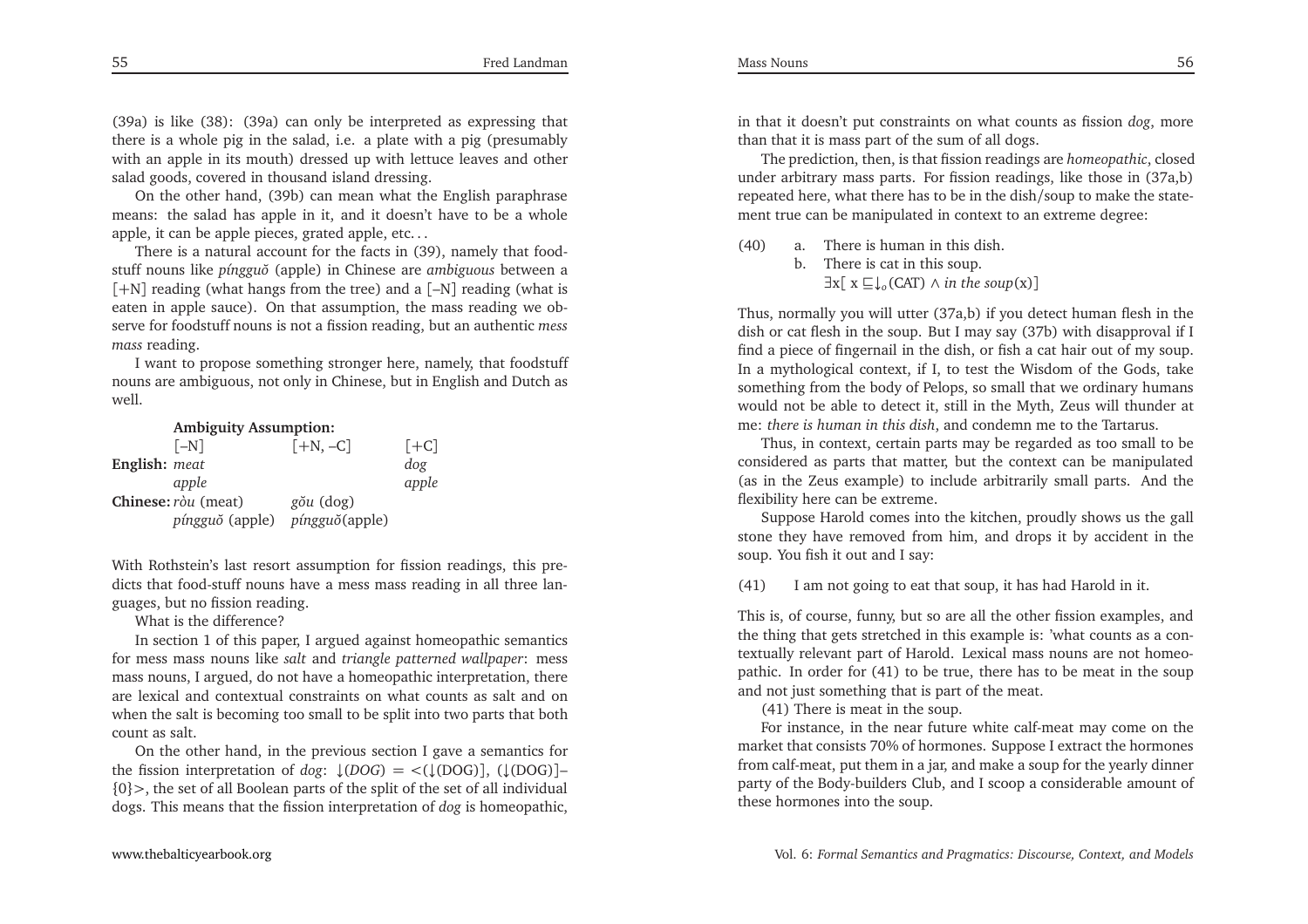(39a) is like (38): (39a) can only be interpreted as expressing that there is <sup>a</sup> whole <sup>p</sup>ig in the salad, i.e. <sup>a</sup> <sup>p</sup>late with <sup>a</sup> <sup>p</sup>ig (presumably with an apple in its mouth) dressed up with lettuce leaves and other salad goods, covered in thousand island dressing.

On the other hand, (39b) can mean what the English paraphrase means: the salad has apple in it, and it doesn't have to be <sup>a</sup> wholeapple, it can be apple <sup>p</sup>ieces, grated apple, etc. . .

There is <sup>a</sup> natural account for the facts in (39), namely that foodstuff nouns like *<sup>p</sup>ínggu˘o* (apple) in Chinese are *ambiguous* between <sup>a</sup> [+N] reading (what hangs from the tree) and <sup>a</sup> [–N] reading (what is eaten in apple sauce). On that assumption, the mass reading we observe for foodstuff nouns is not <sup>a</sup> fission reading, but an authentic *mess mass* reading.

<sup>I</sup> want to propose something stronger here, namely, that foodstuff nouns are ambiguous, not only in Chinese, but in English and Dutch aswell.

### **Ambiguity Assumption:**

|                      | $[-N]$          | $[+N, -C]$     | $[+C]$ |
|----------------------|-----------------|----------------|--------|
| <b>English:</b> meat |                 |                | dog    |
|                      | apple           |                | apple  |
| Chinese: ròu (meat)  |                 | gŏu (dog)      |        |
|                      | píngguŏ (apple) | píngguŏ(apple) |        |

With Rothstein's last resort assumption for fission readings, this predicts that food-stuff nouns have <sup>a</sup> mess mass reading in all three languages, but no fission reading.

# What is the difference?

 In section <sup>1</sup> of this paper, <sup>I</sup> argued against homeopathic semantics for mess mass nouns like *salt* and *triangle patterned wallpaper*: mess mass nouns, <sup>I</sup> argued, do not have <sup>a</sup> homeopathic interpretation, there are lexical and contextual constraints on what counts as salt and on when the salt is becoming too small to be split into two parts that bothcount as salt.

On the other hand, in the previous section <sup>I</sup> gave <sup>a</sup> semantics forthe fission interpretation of *dog*:  $\downarrow$ (*DOG*) = <( $\downarrow$ (*DOG*)], ( $\downarrow$ (*DOG*)]–<br> $\Omega$ \, the set of all Boolean parts of the split of the set of all individual  ${0}$  >, the set of all Boolean parts of the split of the set of all individual dogs. This means that the fission interpretation of *dog* is homeopathic,

in that it doesn't pu<sup>t</sup> constraints on what counts as fission *dog*, more than that it is mass par<sup>t</sup> of the sum of all dogs.

The prediction, then, is that fission readings are *homeopathic*, closed under arbitrary mass parts. For fission readings, like those in (37a,b) repeated here, what there has to be in the dish/soup to make the statement true can be manipulated in context to an extreme degree:

(40) a. There is human in this dish. b. There is cat in this soup.  $\exists$ x[ x  $\sqsubseteq$  ↓<sub>o</sub>(CAT) ∧ *in the soup*(x)]

Thus, normally you will utter (37a,b) if you detect human flesh in the dish or cat flesh in the soup. But <sup>I</sup> may say (37b) with disapproval if <sup>I</sup> find <sup>a</sup> <sup>p</sup>iece of fingernail in the dish, or fish <sup>a</sup> cat hair out of my soup. In <sup>a</sup> mythological context, if I, to test the Wisdom of the Gods, take something from the body of Pelops, so small that we ordinary humans would not be able to detect it, still in the Myth, Zeus will thunder atme: *there is human in this dish*, and condemn me to the Tartarus.

Thus, in context, certain parts may be regarded as too small to be considered as parts that matter, but the context can be manipulated (as in the Zeus example) to include arbitrarily small parts. And theflexibility here can be extreme.

Suppose Harold comes into the kitchen, proudly shows us the gallstone they have removed from him, and drops it by accident in thesoup. You fish it out and <sup>I</sup> say:

(41) <sup>I</sup> am not going to eat that soup, it has had Harold in it.

This is, of course, funny, but so are all the other fission examples, and the thing that gets stretched in this example is: 'what counts as <sup>a</sup> contextually relevant par<sup>t</sup> of Harold. Lexical mass nouns are not homeopathic. In order for (41) to be true, there has to be meat in the soupand not just something that is par<sup>t</sup> of the meat.

(41) There is meat in the soup.

For instance, in the near future white calf-meat may come on the market that consists 70% of hormones. Suppose <sup>I</sup> extract the hormones from calf-meat, pu<sup>t</sup> them in <sup>a</sup> jar, and make <sup>a</sup> soup for the yearly dinner party of the Body-builders Club, and <sup>I</sup> scoop <sup>a</sup> considerable amount ofthese hormones into the soup.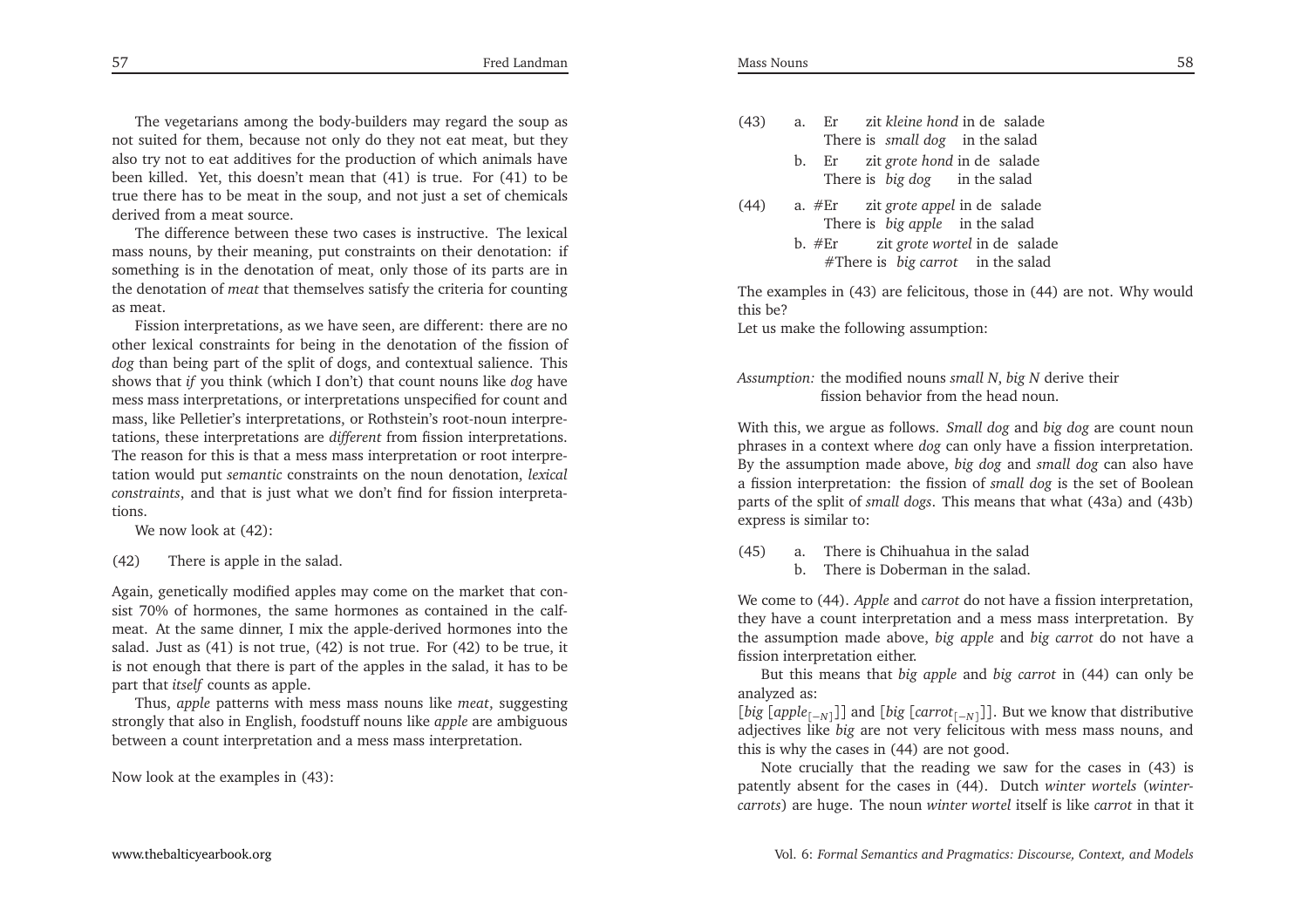The vegetarians among the body-builders may regard the soup as not suited for them, because not only do they not eat meat, but they also try not to eat additives for the production of which animals have been killed. Yet, this doesn't mean that (41) is true. For (41) to be true there has to be meat in the soup, and not just <sup>a</sup> set of chemicalsderived from <sup>a</sup> meat source.

The difference between these two cases is instructive. The lexical mass nouns, by their meaning, pu<sup>t</sup> constraints on their denotation: if something is in the denotation of meat, only those of its parts are in the denotation of *meat* that themselves satisfy the criteria for countingas meat.

Fission interpretations, as we have seen, are different: there are no other lexical constraints for being in the denotation of the fission of *dog* than being par<sup>t</sup> of the split of dogs, and contextual salience. This shows that *if* you think (which <sup>I</sup> don't) that count nouns like *dog* have mess mass interpretations, or interpretations unspecified for count and mass, like Pelletier's interpretations, or Rothstein's root-noun interpretations, these interpretations are *different* from fission interpretations. The reason for this is that <sup>a</sup> mess mass interpretation or root interpretation would pu<sup>t</sup> *semantic* constraints on the noun denotation, *lexical constraints*, and that is just what we don't find for fission interpretations.

We now look at (42):

(42) There is apple in the salad.

Again, genetically modified apples may come on the market that consist 70% of hormones, the same hormones as contained in the calfmeat. At the same dinner, <sup>I</sup> mix the apple-derived hormones into the salad. Just as (41) is not true, (42) is not true. For (42) to be true, it is not enough that there is par<sup>t</sup> of the apples in the salad, it has to bepar<sup>t</sup> that *itself* counts as apple.

Thus, *apple* patterns with mess mass nouns like *meat*, suggesting strongly that also in English, foodstuff nouns like *apple* are ambiguous between <sup>a</sup> count interpretation and <sup>a</sup> mess mass interpretation.

Now look at the examples in (43):

- (43) a. ErThere is *small* dog in the salad zit*kleine hond*indesalade
	- b. Erzit *grote hond* in de salade There is *big dog* in the salad
- (44) a. #ErThere is *big apple* in the salad zit*grote appel* indesalade
	- zit *grote* wortel in de salade  $h$  #Er #There is*big carrot* in the salad

The examples in (43) are felicitous, those in (44) are not. Why wouldthis be?

Let us make the following assumption:

# *Assumption:* the modified nouns *small <sup>N</sup>*, *big <sup>N</sup>* derive their fission behavior from the head noun.

With this, we argue as follows. *Small dog* and *big dog* are count noun <sup>p</sup>hrases in <sup>a</sup> context where *dog* can only have <sup>a</sup> fission interpretation. By the assumption made above, *big dog* and *small dog* can also have <sup>a</sup> fission interpretation: the fission of *small dog* is the set of Boolean parts of the split of *small dogs*. This means that what (43a) and (43b)express is similar to:

- (45) a. There is Chihuahua in the salad
	- b. There is Doberman in the salad.

We come to (44). *Apple* and *carrot* do not have <sup>a</sup> fission interpretation, they have <sup>a</sup> count interpretation and <sup>a</sup> mess mass interpretation. By the assumption made above, *big apple* and *big carrot* do not have <sup>a</sup> fission interpretation either.

But this means that *big apple* and *big carrot* in (44) can only be analyzed as:

 [*big* [*apple*[−*N*]]] and [*big* [*carrot*[−*N*]]]. But we know that distributive adjectives like *big* are not very felicitous with mess mass nouns, andthis is why the cases in (44) are not good.

Note crucially that the reading we saw for the cases in (43) is patently absent for the cases in (44). Dutch *winter wortels* (*wintercarrots*) are huge. The noun *winter wortel* itself is like *carrot* in that it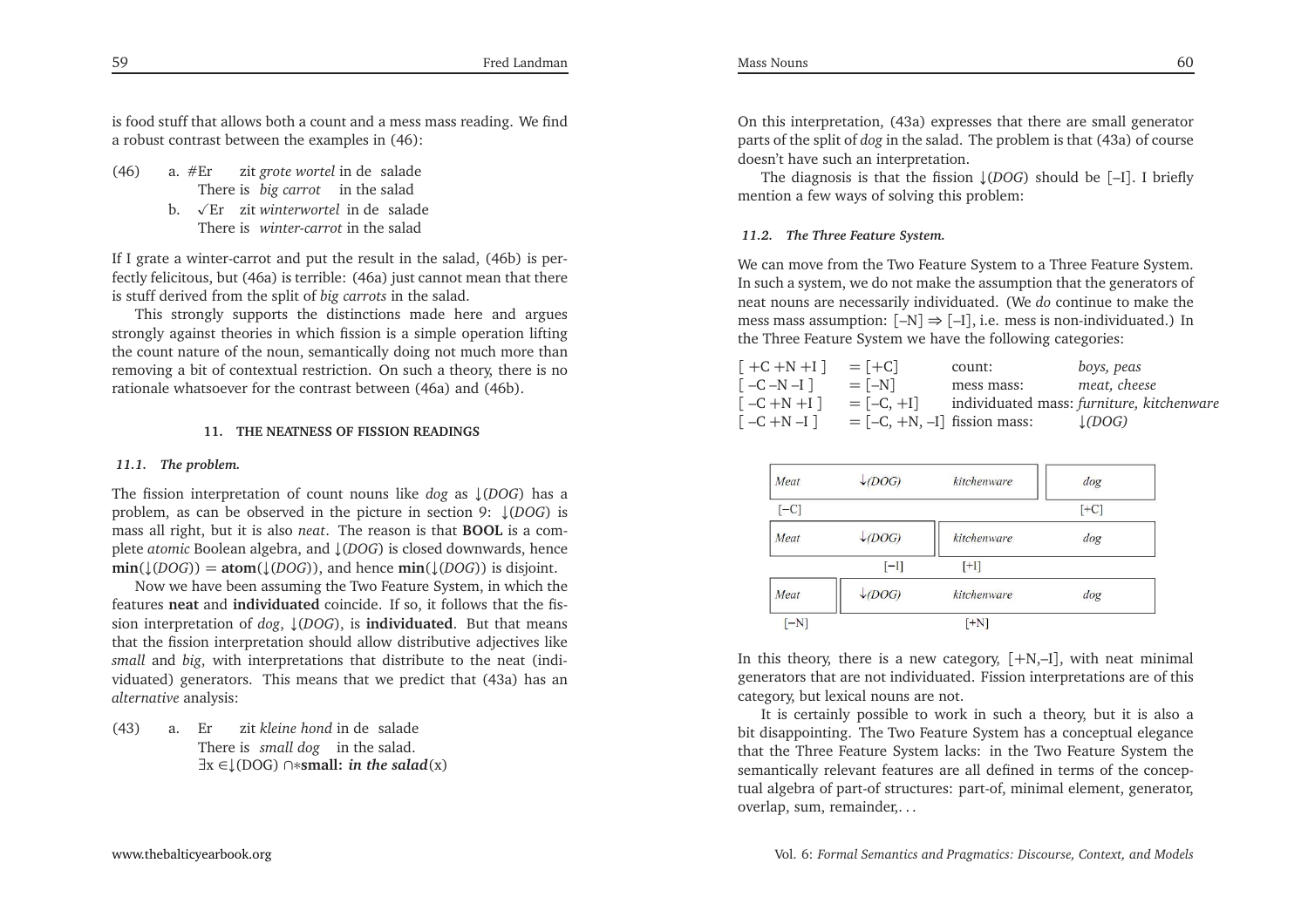is food stuff that allows both <sup>a</sup> count and <sup>a</sup> mess mass reading. We find<sup>a</sup> robust contrast between the examples in (46):

Fred Landman

- (46) a. #Er zit *grote wortel* in de salade There is *big* carrot in the salad
	- b.  $\sqrt{E}$ r zit *winterwortel* in de salade There is *winter-carrot* in the salad

If <sup>I</sup> grate <sup>a</sup> winter-carrot and pu<sup>t</sup> the result in the salad, (46b) is perfectly felicitous, but (46a) is terrible: (46a) just cannot mean that thereis stuff derived from the split of *big carrots* in the salad.

This strongly supports the distinctions made here and argues strongly against theories in which fission is <sup>a</sup> simple operation lifting the count nature of the noun, semantically doing not much more than removing <sup>a</sup> bit of contextual restriction. On such <sup>a</sup> theory, there is norationale whatsoever for the contrast between (46a) and (46b).

### **11. THE NEATNESS OF FISSION READINGS**

### *11.1. The problem.*

The fission interpretation of count nouns like *dog* as ↓(*DOG*) has <sup>a</sup> problem, as can be observed in the <sup>p</sup>icture in section 9: ↓(*DOG*) is mass all right, but it is also *neat*. The reason is that **BOOL** is <sup>a</sup> complete *atomic* Boolean algebra, and <sup>↓</sup>(*DOG*) is closed downwards, hence **min**(↓(*DOG*)) = **atom**(↓(*DOG*)), and hence  $\min$ (↓(*DOG*)) is disjoint.

Now we have been assuming the Two Feature System, in which the features **neat** and **individuated** coincide. If so, it follows that the fission interpretation of *dog*, ↓(*DOG*), is **individuated**. But that means that the fission interpretation should allow distributive adjectives like *small* and *big*, with interpretations that distribute to the neat (individuated) generators. This means that we predict that (43a) has an*alternative* analysis:

(43) a. ErThere is *small* dog in the salad. ∃x ∈↓(DOG) ∩∗**small:** *in the salad*(x) zit*kleine hond*indesalade

On this interpretation, (43a) expresses that there are small generator parts of the split of *dog* in the salad. The problem is that (43a) of coursedoesn't have such an interpretation.

The diagnosis is that the fission <sup>↓</sup>(*DOG*) should be [–I]. <sup>I</sup> briefly mention <sup>a</sup> few ways of solving this problem:

### *11.2. The Three Feature System.*

We can move from the Two Feature System to <sup>a</sup> Three Feature System. In such <sup>a</sup> system, we do not make the assumption that the generators of neat nouns are necessarily individuated. (We *do* continue to make the mess mass assumption:  $[-N] \Rightarrow [-I]$ , i.e. mess is non-individuated.) In the Three Feature System we have the following categories: the Three Feature System we have the following categories:

| $\lceil +C +N +I \rceil$   | $=  +C $                      | count:     | boys, peas                                |
|----------------------------|-------------------------------|------------|-------------------------------------------|
| $\lceil -C - N - I \rceil$ | $=$ $[-N]$                    | mess mass: | meat, cheese                              |
| $\lceil -C + N + I \rceil$ | $=[-C, +1]$                   |            | individuated mass: furniture, kitchenware |
| $\lceil -C + N - I \rceil$ | $=[-C, +N, -I]$ fission mass: |            | $\downarrow$ (DOG)                        |

| Meat   | $\downarrow$ (DOG) | kitchenware | dog    |
|--------|--------------------|-------------|--------|
| $[-C]$ |                    |             | $[+C]$ |
| Meat   | $\downarrow$ (DOG) | kitchenware | dog    |
|        | $[-1]$             | $[+1]$      |        |
| Meat   | $\downarrow$ (DOG) | kitchenware | dog    |
| $[-N]$ |                    | $[+N]$      |        |

In this theory, there is a new category,  $[+N,-1]$ , with neat minimal generators that are not individuated. Fission interpretations are of thiscategory, but lexical nouns are not.

It is certainly possible to work in such <sup>a</sup> theory, but it is also <sup>a</sup> bit disappointing. The Two Feature System has <sup>a</sup> conceptual elegance that the Three Feature System lacks: in the Two Feature System the semantically relevant features are all defined in terms of the conceptual algebra of part-of structures: part-of, minimal element, generator, overlap, sum, remainder,. . .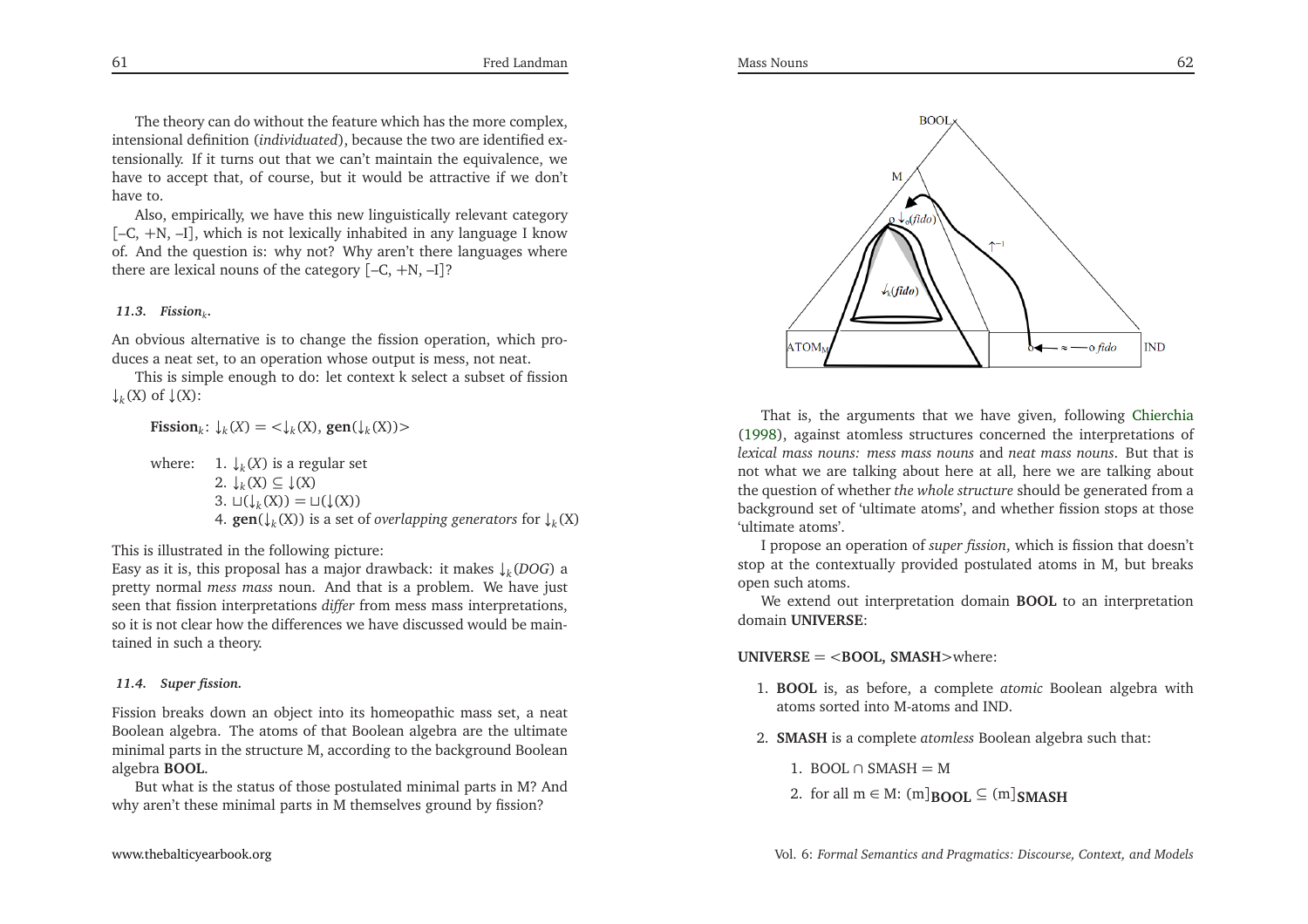The theory can do without the feature which has the more complex, intensional definition (*individuated*), because the two are identified extensionally. If it turns out that we can't maintain the equivalence, we have to accep<sup>t</sup> that, of course, but it would be attractive if we don'thave to.

Also, empirically, we have this new linguistically relevant category [–C, <sup>+</sup>N, –I], which is not lexically inhabited in any language <sup>I</sup> know of. And the question is: why not? Why aren't there languages wherethere are lexical nouns of the category [–C, <sup>+</sup>N, –I]?

# *11.3. Fission<sup>k</sup>.*

An obvious alternative is to change the fission operation, which produces <sup>a</sup> neat set, to an operation whose output is mess, not neat.

This is simple enough to do: let context k select <sup>a</sup> subset of fission $\downarrow_k$ (X) of  $\downarrow$ (X):

**Fission**<sub>*k*</sub>:  $\downarrow$ <sub>*k*</sub>(*X*) = < $\downarrow$ <sub>*k*</sub>(*X*), **gen**( $\downarrow$ <sub>*k*</sub>(*X*))>

where: 1.  $\downarrow_k(X)$  is a regular set 2. ↓*k*(X) <sup>⊆</sup> <sup>↓</sup>(X) 3.  $□(\downarrow_k(X)) = □(\downarrow(X))$ 4. **gen**(↓*k*(X)) is <sup>a</sup> set of *overlapping generators* for ↓*k*(X)

This is illustrated in the following <sup>p</sup>icture:

 Easy as it is, this proposal has <sup>a</sup> major drawback: it makes ↓*k*(*DOG*) <sup>a</sup> pretty normal *mess mass* noun. And that is <sup>a</sup> problem. We have just seen that fission interpretations *differ* from mess mass interpretations, so it is not clear how the differences we have discussed would be maintained in such <sup>a</sup> theory.

### *11.4. Super fission.*

Fission breaks down an object into its homeopathic mass set, <sup>a</sup> neat Boolean algebra. The atoms of that Boolean algebra are the ultimate minimal parts in the structure M, according to the background Booleanalgebra **BOOL**.

But what is the status of those postulated minimal parts in M? Andwhy aren't these minimal parts in <sup>M</sup> themselves ground by fission?



That is, the arguments that we have <sup>g</sup>iven, following [Chierchia](#page-33-4) [\(1998](#page-33-4)), against atomless structures concerned the interpretations of *lexical mass nouns: mess mass nouns* and *neat mass nouns*. But that is not what we are talking about here at all, here we are talking about the question of whether *the whole structure* should be generated from <sup>a</sup> background set of 'ultimate atoms', and whether fission stops at those'ultimate atoms'.

<sup>I</sup> propose an operation of *super fission*, which is fission that doesn't stop at the contextually provided postulated atoms in M, but breaksopen such atoms.

We extend out interpretation domain **BOOL** to an interpretation domain **UNIVERSE**:

**UNIVERSE** <sup>=</sup> <sup>&</sup>lt;**BOOL, SMASH**>where:

- 1. **BOOL** is, as before, <sup>a</sup> complete *atomic* Boolean algebra withatoms sorted into M-atoms and IND.
- 2. **SMASH** is <sup>a</sup> complete *atomless* Boolean algebra such that:
	- 1. BOOL ∩ SMASH  $=$  M
	- 2. for all  $m \in M$ :  $(m]_{\text{BOOL}} \subseteq (m]_{\text{SMASH}}$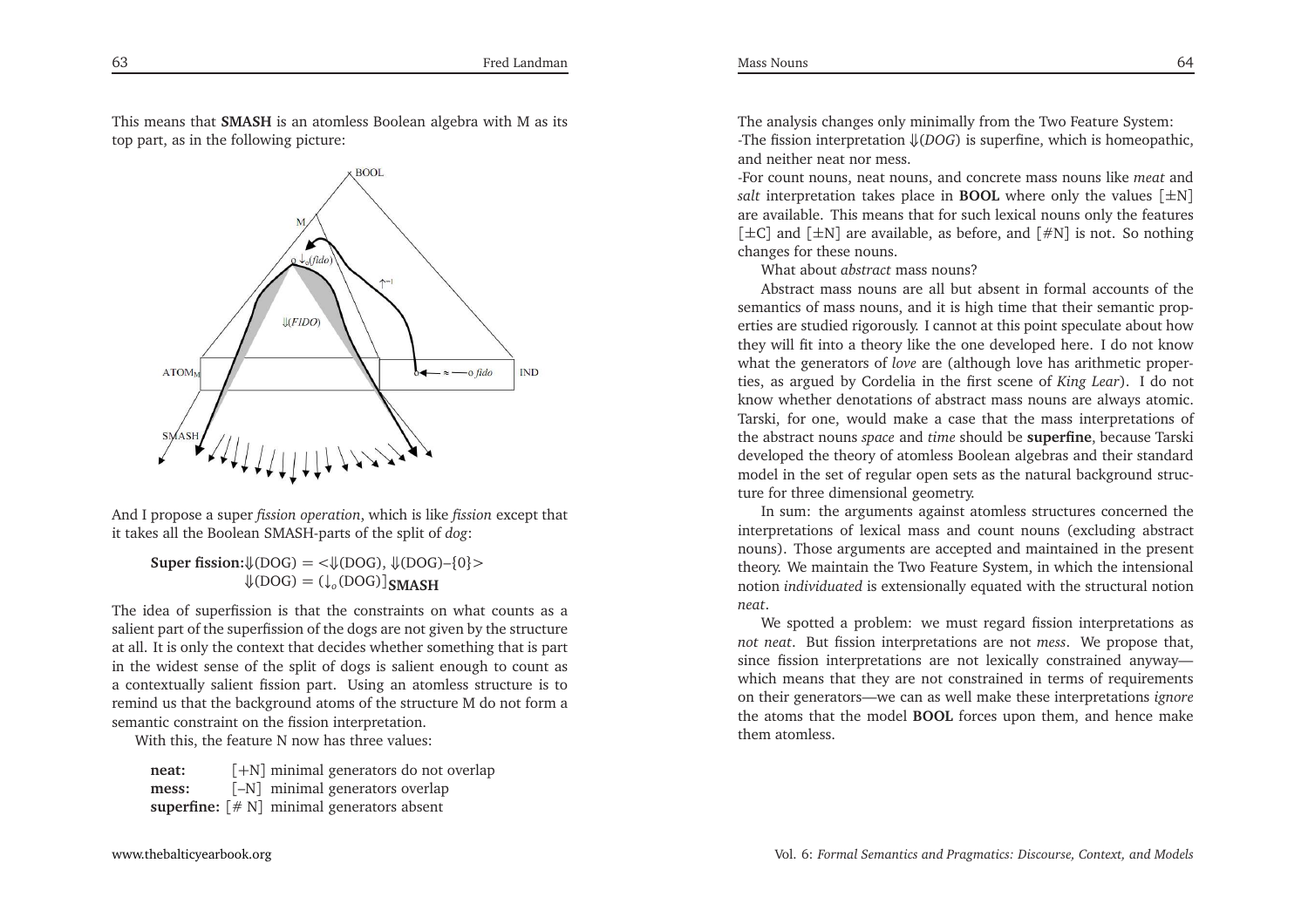This means that **SMASH** is an atomless Boolean algebra with <sup>M</sup> as its top part, as in the following <sup>p</sup>icture:



And <sup>I</sup> propose <sup>a</sup> super *fission operation*, which is like *fission* excep<sup>t</sup> that it takes all the Boolean SMASH-parts of the split of *dog*:

**Super fission:** $\{ (DOG) = \langle \downarrow (DOG), \downarrow (DOG) - \{0\} \rangle$  $\mathcal{L}(\text{DOG}) = (\mathcal{L}_0(\text{DOG}))$ **SMASH** 

 The idea of superfission is that the constraints on what counts as <sup>a</sup> salient par<sup>t</sup> of the superfission of the dogs are not <sup>g</sup>iven by the structure at all. It is only the context that decides whether something that is par<sup>t</sup> in the widest sense of the split of dogs is salient enough to count as <sup>a</sup> contextually salient fission part. Using an atomless structure is to remind us that the background atoms of the structure <sup>M</sup> do not form <sup>a</sup>semantic constraint on the fission interpretation.

With this, the feature <sup>N</sup> now has three values:

**neat:** [+N] minimal generators do not overlap**mess:** [–N] minimal generators overlap**superfine:** [# <sup>N</sup>] minimal generators absent

The analysis changes only minimally from the Two Feature System: -The fission interpretation ⇓(*DOG*) is superfine, which is homeopathic, and neither neat nor mess.

-For count nouns, neat nouns, and concrete mass nouns like *meat* and *salt* interpretation takes <sup>p</sup>lace in **BOOL** where only the values [±N] are available. This means that for such lexical nouns only the features [±C] and [±N] are available, as before, and [#N] is not. So nothing changes for these nouns.

What about *abstract* mass nouns?

 Abstract mass nouns are all but absent in formal accounts of the semantics of mass nouns, and it is high time that their semantic properties are studied rigorously. <sup>I</sup> cannot at this point speculate about how they will fit into <sup>a</sup> theory like the one developed here. <sup>I</sup> do not know what the generators of *love* are (although love has arithmetic properties, as argued by Cordelia in the first scene of *King Lear*). <sup>I</sup> do not know whether denotations of abstract mass nouns are always atomic. Tarski, for one, would make <sup>a</sup> case that the mass interpretations of the abstract nouns *space* and *time* should be **superfine**, because Tarski developed the theory of atomless Boolean algebras and their standard model in the set of regular open sets as the natural background structure for three dimensional geometry.

In sum: the arguments against atomless structures concerned the interpretations of lexical mass and count nouns (excluding abstract nouns). Those arguments are accepted and maintained in the presen<sup>t</sup> theory. We maintain the Two Feature System, in which the intensionalnotion *individuated* is extensionally equated with the structural notion *neat*.

We spotted <sup>a</sup> problem: we must regard fission interpretations as *not neat*. But fission interpretations are not *mess*. We propose that, since fission interpretations are not lexically constrained anyway which means that they are not constrained in terms of requirements on their generators—we can as well make these interpretations *ignore* the atoms that the model **BOOL** forces upon them, and hence make them atomless.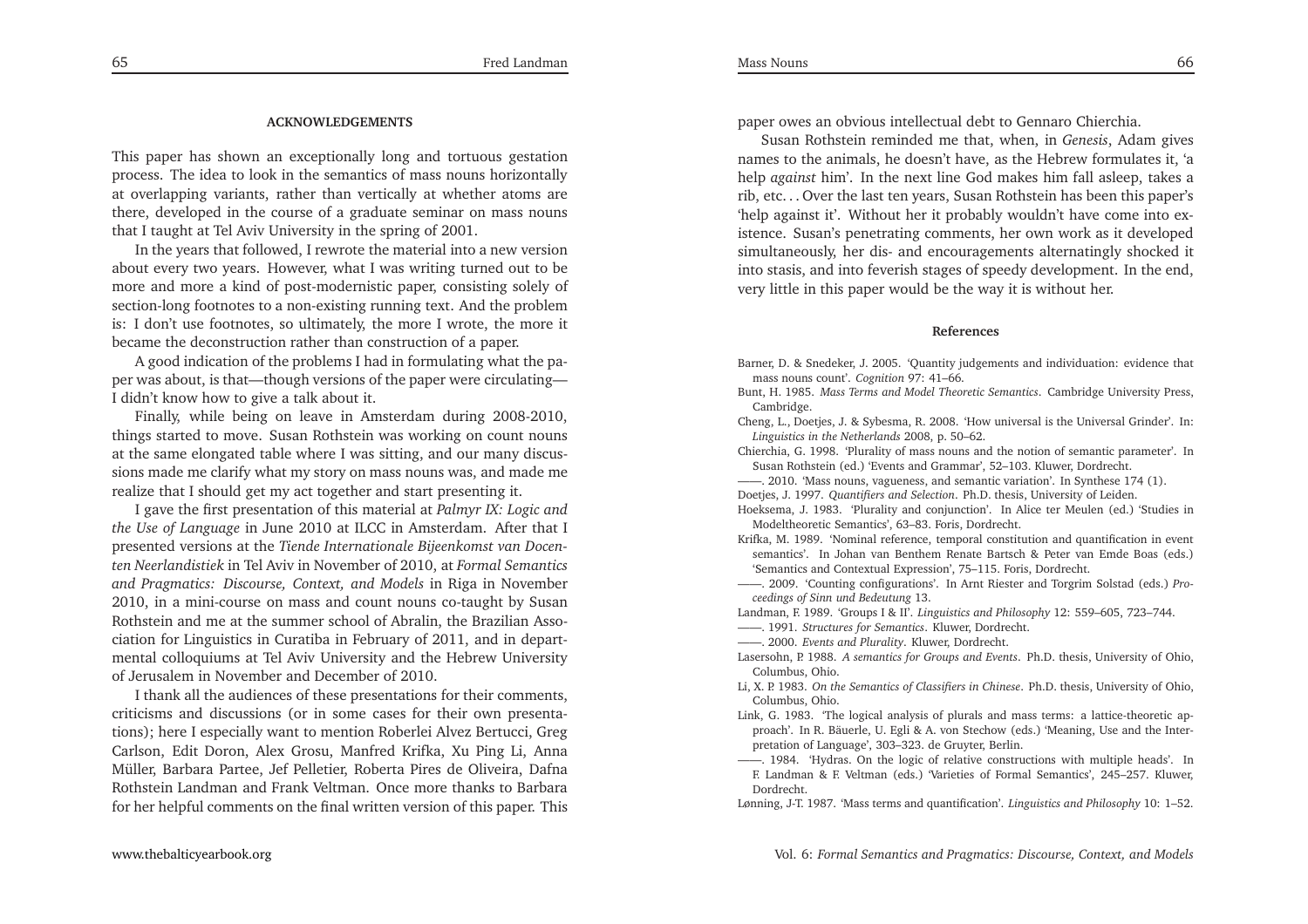#### <span id="page-33-14"></span><span id="page-33-13"></span><span id="page-33-12"></span><span id="page-33-10"></span><span id="page-33-9"></span><span id="page-33-8"></span><span id="page-33-7"></span><span id="page-33-6"></span><span id="page-33-5"></span><span id="page-33-4"></span><span id="page-33-2"></span><span id="page-33-1"></span><span id="page-33-0"></span>**ACKNOWLEDGEMENTS**

<span id="page-33-11"></span>This paper has shown an exceptionally long and tortuous gestation process. The idea to look in the semantics of mass nouns horizontally at overlapping variants, rather than vertically at whether atoms are there, developed in the course of <sup>a</sup> graduate seminar on mass nounsthat <sup>I</sup> taught at Tel Aviv University in the spring of 2001.

In the years that followed, <sup>I</sup> rewrote the material into <sup>a</sup> new version about every two years. However, what <sup>I</sup> was writing turned out to be more and more <sup>a</sup> kind of post-modernistic paper, consisting solely of section-long footnotes to <sup>a</sup> non-existing running text. And the problem is: <sup>I</sup> don't use footnotes, so ultimately, the more <sup>I</sup> wrote, the more itbecame the deconstruction rather than construction of <sup>a</sup> paper.

<sup>A</sup> good indication of the problems <sup>I</sup> had in formulating what the paper was about, is that—though versions of the paper were circulating—<sup>I</sup> didn't know how to <sup>g</sup>ive <sup>a</sup> talk about it.

Finally, while being on leave in Amsterdam during 2008-2010, things started to move. Susan Rothstein was working on count nouns at the same elongated table where <sup>I</sup> was sitting, and our many discussions made me clarify what my story on mass nouns was, and made me realize that <sup>I</sup> should ge<sup>t</sup> my act together and start presenting it.

<sup>I</sup> gave the first presentation of this material at *Palmyr IX: Logic and the Use of Language* in June <sup>2010</sup> at ILCC in Amsterdam. After that <sup>I</sup> presented versions at the *Tiende Internationale Bijeenkomst van Docenten Neerlandistiek* in Tel Aviv in November of 2010, at *Formal Semantics and Pragmatics: Discourse, Context, and Models* in Riga in November 2010, in <sup>a</sup> mini-course on mass and count nouns co-taught by Susan Rothstein and me at the summer school of Abralin, the Brazilian Association for Linguistics in Curatiba in February of 2011, and in departmental colloquiums at Tel Aviv University and the Hebrew Universityof Jerusalem in November and December of 2010.

<sup>I</sup> thank all the audiences of these presentations for their comments, criticisms and discussions (or in some cases for their own presentations); here <sup>I</sup> especially want to mention Roberlei Alvez Bertucci, Greg Carlson, Edit Doron, Alex Grosu, Manfred Krifka, Xu Ping Li, Anna Müller, Barbara Partee, Jef Pelletier, Roberta Pires de Oliveira, Dafna Rothstein Landman and Frank Veltman. Once more thanks to Barbarafor her helpful comments on the final written version of this paper. This

<span id="page-33-16"></span><span id="page-33-15"></span><span id="page-33-3"></span>paper owes an obvious intellectual debt to Gennaro Chierchia.

Susan Rothstein reminded me that, when, in *Genesis*, Adam <sup>g</sup>ives names to the animals, he doesn't have, as the Hebrew formulates it, 'a help *against* him'. In the next line God makes him fall asleep, takes <sup>a</sup> rib, etc. . . Over the last ten years, Susan Rothstein has been this paper's 'help against it'. Without her it probably wouldn't have come into existence. Susan's penetrating comments, her own work as it developed simultaneously, her dis- and encouragements alternatingly shocked it into stasis, and into feverish stages of speedy development. In the end, very little in this paper would be the way it is without her.

#### **References**

Barner, D. & Snedeker, J. 2005. 'Quantity judgements and individuation: evidence thatmass nouns count'. *Cognition* 97: 41–66.

Bunt, H. 1985. *Mass Terms and Model Theoretic Semantics*. Cambridge University Press, Cambridge.

 Cheng, L., Doetjes, J. & Sybesma, R. 2008. 'How universal is the Universal Grinder'. In:*Linguistics in the Netherlands* 2008, p. 50–62.

Chierchia, G. 1998. 'Plurality of mass nouns and the notion of semantic parameter'. InSusan Rothstein (ed.) 'Events and Grammar', 52–103. Kluwer, Dordrecht.

——. 2010. 'Mass nouns, vagueness, and semantic variation'. In Synthese 174 (1). Doetjes, J. 1997. *Quantifiers and Selection*. Ph.D. thesis, University of Leiden.

Hoeksema, J. 1983. 'Plurality and conjunction'. In Alice ter Meulen (ed.) 'Studies inModeltheoretic Semantics', 63–83. Foris, Dordrecht.

Krifka, M. 1989. 'Nominal reference, temporal constitution and quantification in event semantics'. In Johan van Benthem Renate Bartsch & Peter van Emde Boas (eds.)'Semantics and Contextual Expression', 75–115. Foris, Dordrecht.

——. 2009. 'Counting configurations'. In Arnt Riester and Torgrim Solstad (eds.) *Proceedings of Sinn und Bedeutung* 13.

Landman, F. 1989. 'Groups <sup>I</sup> & II'. *Linguistics and Philosophy* 12: 559–605, 723–744.

——. 1991. *Structures for Semantics*. Kluwer, Dordrecht.

——. 2000. *Events and Plurality*. Kluwer, Dordrecht.

Lasersohn, P. 1988. *<sup>A</sup> semantics for Groups and Events*. Ph.D. thesis, University of Ohio, Columbus, Ohio.

- Li, X. P. 1983. *On the Semantics of Classifiers in Chinese*. Ph.D. thesis, University of Ohio, Columbus, Ohio.
- Link, G. 1983. 'The logical analysis of <sup>p</sup>lurals and mass terms: <sup>a</sup> lattice-theoretic approach'. In R. Bäuerle, U. Egli & A. von Stechow (eds.) 'Meaning, Use and the Interpretation of Language', 303–323. de Gruyter, Berlin.

——. 1984. 'Hydras. On the logic of relative constructions with multiple heads'. In F. Landman & F. Veltman (eds.) 'Varieties of Formal Semantics', 245–257. Kluwer, Dordrecht.

Lønning, J-T. 1987. 'Mass terms and quantification'. *Linguistics and Philosophy* 10: 1–52.